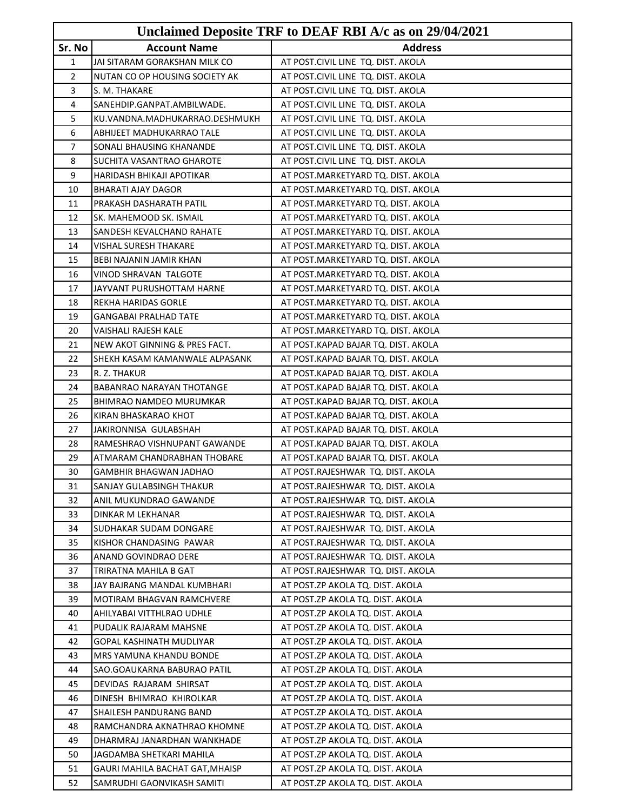|              |                                 | Unclaimed Deposite TRF to DEAF RBI A/c as on 29/04/2021 |
|--------------|---------------------------------|---------------------------------------------------------|
| Sr. No       | <b>Account Name</b>             | <b>Address</b>                                          |
| $\mathbf{1}$ | JAI SITARAM GORAKSHAN MILK CO   | AT POST.CIVIL LINE TQ. DIST. AKOLA                      |
| 2            | NUTAN CO OP HOUSING SOCIETY AK  | AT POST.CIVIL LINE TQ. DIST. AKOLA                      |
| 3            | S. M. THAKARE                   | AT POST.CIVIL LINE TQ. DIST. AKOLA                      |
| 4            | SANEHDIP.GANPAT.AMBILWADE.      | AT POST.CIVIL LINE TQ. DIST. AKOLA                      |
| 5            | KU.VANDNA.MADHUKARRAO.DESHMUKH  | AT POST.CIVIL LINE TQ. DIST. AKOLA                      |
| 6            | ABHIJEET MADHUKARRAO TALE       | AT POST.CIVIL LINE TQ. DIST. AKOLA                      |
| 7            | SONALI BHAUSING KHANANDE        | AT POST.CIVIL LINE TQ. DIST. AKOLA                      |
| 8            | SUCHITA VASANTRAO GHAROTE       | AT POST.CIVIL LINE TQ. DIST. AKOLA                      |
| 9            | HARIDASH BHIKAJI APOTIKAR       | AT POST.MARKETYARD TQ. DIST. AKOLA                      |
| 10           | <b>BHARATI AJAY DAGOR</b>       | AT POST.MARKETYARD TQ. DIST. AKOLA                      |
| 11           | PRAKASH DASHARATH PATIL         | AT POST.MARKETYARD TQ. DIST. AKOLA                      |
| 12           | SK. MAHEMOOD SK. ISMAIL         | AT POST.MARKETYARD TQ. DIST. AKOLA                      |
| 13           | SANDESH KEVALCHAND RAHATE       | AT POST.MARKETYARD TQ. DIST. AKOLA                      |
| 14           | VISHAL SURESH THAKARE           | AT POST.MARKETYARD TQ. DIST. AKOLA                      |
| 15           | BEBI NAJANIN JAMIR KHAN         | AT POST.MARKETYARD TQ. DIST. AKOLA                      |
| 16           | VINOD SHRAVAN TALGOTE           | AT POST.MARKETYARD TQ. DIST. AKOLA                      |
| 17           | JAYVANT PURUSHOTTAM HARNE       | AT POST.MARKETYARD TQ. DIST. AKOLA                      |
| 18           | REKHA HARIDAS GORLE             | AT POST.MARKETYARD TQ. DIST. AKOLA                      |
| 19           | <b>GANGABAI PRALHAD TATE</b>    | AT POST.MARKETYARD TQ. DIST. AKOLA                      |
| 20           | VAISHALI RAJESH KALE            | AT POST.MARKETYARD TQ. DIST. AKOLA                      |
| 21           | NEW AKOT GINNING & PRES FACT.   | AT POST.KAPAD BAJAR TQ. DIST. AKOLA                     |
| 22           | SHEKH KASAM KAMANWALE ALPASANK  | AT POST.KAPAD BAJAR TQ. DIST. AKOLA                     |
| 23           | R. Z. THAKUR                    | AT POST.KAPAD BAJAR TQ. DIST. AKOLA                     |
| 24           | BABANRAO NARAYAN THOTANGE       | AT POST.KAPAD BAJAR TQ. DIST. AKOLA                     |
| 25           | BHIMRAO NAMDEO MURUMKAR         | AT POST.KAPAD BAJAR TQ. DIST. AKOLA                     |
| 26           | KIRAN BHASKARAO KHOT            | AT POST.KAPAD BAJAR TQ. DIST. AKOLA                     |
| 27           | JAKIRONNISA GULABSHAH           | AT POST.KAPAD BAJAR TQ. DIST. AKOLA                     |
| 28           | RAMESHRAO VISHNUPANT GAWANDE    | AT POST.KAPAD BAJAR TQ. DIST. AKOLA                     |
| 29           | ATMARAM CHANDRABHAN THOBARE     | AT POST.KAPAD BAJAR TQ. DIST. AKOLA                     |
| 30           | GAMBHIR BHAGWAN JADHAO          | AT POST.RAJESHWAR TQ. DIST. AKOLA                       |
| 31           | SANJAY GULABSINGH THAKUR        | AT POST.RAJESHWAR TQ. DIST. AKOLA                       |
| 32           | ANIL MUKUNDRAO GAWANDE          | AT POST.RAJESHWAR TQ. DIST. AKOLA                       |
| 33           | DINKAR M LEKHANAR               | AT POST.RAJESHWAR TQ. DIST. AKOLA                       |
| 34           | SUDHAKAR SUDAM DONGARE          | AT POST.RAJESHWAR TQ. DIST. AKOLA                       |
| 35           | KISHOR CHANDASING PAWAR         | AT POST.RAJESHWAR TQ. DIST. AKOLA                       |
| 36           | ANAND GOVINDRAO DERE            | AT POST.RAJESHWAR TQ. DIST. AKOLA                       |
| 37           | TRIRATNA MAHILA B GAT           | AT POST.RAJESHWAR TQ. DIST. AKOLA                       |
| 38           | JAY BAJRANG MANDAL KUMBHARI     | AT POST.ZP AKOLA TQ. DIST. AKOLA                        |
| 39           | MOTIRAM BHAGVAN RAMCHVERE       | AT POST.ZP AKOLA TQ. DIST. AKOLA                        |
| 40           | AHILYABAI VITTHLRAO UDHLE       | AT POST.ZP AKOLA TQ. DIST. AKOLA                        |
| 41           | PUDALIK RAJARAM MAHSNE          | AT POST.ZP AKOLA TQ. DIST. AKOLA                        |
| 42           | GOPAL KASHINATH MUDLIYAR        | AT POST.ZP AKOLA TQ. DIST. AKOLA                        |
| 43           | MRS YAMUNA KHANDU BONDE         | AT POST.ZP AKOLA TQ. DIST. AKOLA                        |
| 44           | SAO.GOAUKARNA BABURAO PATIL     | AT POST.ZP AKOLA TQ. DIST. AKOLA                        |
| 45           | DEVIDAS RAJARAM SHIRSAT         | AT POST.ZP AKOLA TQ. DIST. AKOLA                        |
| 46           | DINESH BHIMRAO KHIROLKAR        | AT POST.ZP AKOLA TQ. DIST. AKOLA                        |
| 47           | SHAILESH PANDURANG BAND         | AT POST.ZP AKOLA TQ. DIST. AKOLA                        |
| 48           | RAMCHANDRA AKNATHRAO KHOMNE     | AT POST.ZP AKOLA TQ. DIST. AKOLA                        |
| 49           | DHARMRAJ JANARDHAN WANKHADE     | AT POST.ZP AKOLA TQ. DIST. AKOLA                        |
| 50           | JAGDAMBA SHETKARI MAHILA        | AT POST.ZP AKOLA TQ. DIST. AKOLA                        |
| 51           | GAURI MAHILA BACHAT GAT, MHAISP | AT POST.ZP AKOLA TQ. DIST. AKOLA                        |
| 52           | SAMRUDHI GAONVIKASH SAMITI      | AT POST.ZP AKOLA TQ. DIST. AKOLA                        |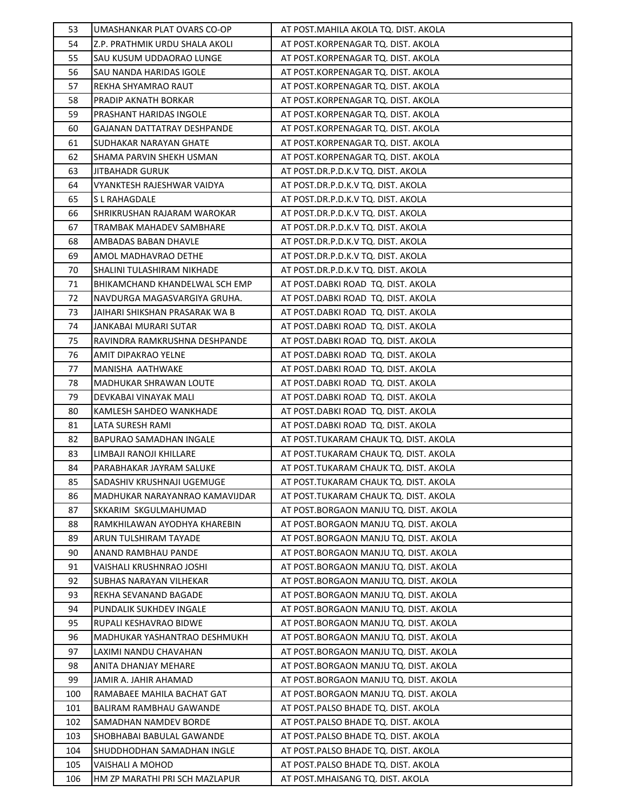| 53  | UMASHANKAR PLAT OVARS CO-OP    | AT POST. MAHILA AKOLA TQ. DIST. AKOLA |
|-----|--------------------------------|---------------------------------------|
| 54  | Z.P. PRATHMIK URDU SHALA AKOLI | AT POST.KORPENAGAR TQ. DIST. AKOLA    |
| 55  | SAU KUSUM UDDAORAO LUNGE       | AT POST.KORPENAGAR TQ. DIST. AKOLA    |
| 56  | SAU NANDA HARIDAS IGOLE        | AT POST.KORPENAGAR TQ. DIST. AKOLA    |
| 57  | REKHA SHYAMRAO RAUT            | AT POST.KORPENAGAR TQ. DIST. AKOLA    |
| 58  | PRADIP AKNATH BORKAR           | AT POST.KORPENAGAR TQ. DIST. AKOLA    |
| 59  | PRASHANT HARIDAS INGOLE        | AT POST.KORPENAGAR TQ. DIST. AKOLA    |
| 60  | GAJANAN DATTATRAY DESHPANDE    | AT POST.KORPENAGAR TQ. DIST. AKOLA    |
| 61  | SUDHAKAR NARAYAN GHATE         | AT POST.KORPENAGAR TQ. DIST. AKOLA    |
| 62  | SHAMA PARVIN SHEKH USMAN       | AT POST.KORPENAGAR TQ. DIST. AKOLA    |
| 63  | <b>JITBAHADR GURUK</b>         | AT POST.DR.P.D.K.V TQ. DIST. AKOLA    |
| 64  | VYANKTESH RAJESHWAR VAIDYA     | AT POST.DR.P.D.K.V TQ. DIST. AKOLA    |
| 65  | S L RAHAGDALE                  | AT POST.DR.P.D.K.V TQ. DIST. AKOLA    |
| 66  | SHRIKRUSHAN RAJARAM WAROKAR    | AT POST.DR.P.D.K.V TQ. DIST. AKOLA    |
| 67  | TRAMBAK MAHADEV SAMBHARE       | AT POST.DR.P.D.K.V TQ. DIST. AKOLA    |
| 68  | AMBADAS BABAN DHAVLE           | AT POST.DR.P.D.K.V TQ. DIST. AKOLA    |
| 69  | AMOL MADHAVRAO DETHE           | AT POST.DR.P.D.K.V TQ. DIST. AKOLA    |
| 70  | SHALINI TULASHIRAM NIKHADE     | AT POST.DR.P.D.K.V TQ. DIST. AKOLA    |
| 71  | BHIKAMCHAND KHANDELWAL SCH EMP | AT POST.DABKI ROAD TQ. DIST. AKOLA    |
| 72  | NAVDURGA MAGASVARGIYA GRUHA.   | AT POST.DABKI ROAD TQ. DIST. AKOLA    |
| 73  | JAIHARI SHIKSHAN PRASARAK WA B | AT POST.DABKI ROAD TQ. DIST. AKOLA    |
| 74  | JANKABAI MURARI SUTAR          | AT POST.DABKI ROAD TQ. DIST. AKOLA    |
| 75  | RAVINDRA RAMKRUSHNA DESHPANDE  | AT POST.DABKI ROAD TQ. DIST. AKOLA    |
| 76  | AMIT DIPAKRAO YELNE            | AT POST.DABKI ROAD TQ. DIST. AKOLA    |
| 77  | MANISHA AATHWAKE               | AT POST.DABKI ROAD TQ. DIST. AKOLA    |
| 78  | MADHUKAR SHRAWAN LOUTE         | AT POST.DABKI ROAD TQ. DIST. AKOLA    |
| 79  | DEVKABAI VINAYAK MALI          | AT POST.DABKI ROAD TQ. DIST. AKOLA    |
| 80  | KAMLESH SAHDEO WANKHADE        | AT POST.DABKI ROAD TQ. DIST. AKOLA    |
| 81  | LATA SURESH RAMI               | AT POST.DABKI ROAD TQ. DIST. AKOLA    |
| 82  | BAPURAO SAMADHAN INGALE        | AT POST.TUKARAM CHAUK TQ. DIST. AKOLA |
| 83  | LIMBAJI RANOJI KHILLARE        | AT POST.TUKARAM CHAUK TQ. DIST. AKOLA |
| 84  | PARABHAKAR JAYRAM SALUKE       | AT POST.TUKARAM CHAUK TQ. DIST. AKOLA |
| 85  | SADASHIV KRUSHNAJI UGEMUGE     | AT POST.TUKARAM CHAUK TQ. DIST. AKOLA |
| 86  | MADHUKAR NARAYANRAO KAMAVIJDAR | AT POST.TUKARAM CHAUK TQ. DIST. AKOLA |
| 87  | SKKARIM SKGULMAHUMAD           | AT POST.BORGAON MANJU TQ. DIST. AKOLA |
| 88  | RAMKHILAWAN AYODHYA KHAREBIN   | AT POST.BORGAON MANJU TO. DIST. AKOLA |
| 89  | ARUN TULSHIRAM TAYADE          | AT POST.BORGAON MANJU TQ. DIST. AKOLA |
| 90  | ANAND RAMBHAU PANDE            | AT POST.BORGAON MANJU TQ. DIST. AKOLA |
| 91  | VAISHALI KRUSHNRAO JOSHI       | AT POST.BORGAON MANJU TQ. DIST. AKOLA |
| 92  | SUBHAS NARAYAN VILHEKAR        | AT POST.BORGAON MANJU TQ. DIST. AKOLA |
| 93  | REKHA SEVANAND BAGADE          | AT POST.BORGAON MANJU TQ. DIST. AKOLA |
| 94  | PUNDALIK SUKHDEV INGALE        | AT POST.BORGAON MANJU TQ. DIST. AKOLA |
| 95  | RUPALI KESHAVRAO BIDWE         | AT POST.BORGAON MANJU TQ. DIST. AKOLA |
| 96  | MADHUKAR YASHANTRAO DESHMUKH   | AT POST.BORGAON MANJU TQ. DIST. AKOLA |
| 97  | LAXIMI NANDU CHAVAHAN          | AT POST.BORGAON MANJU TQ. DIST. AKOLA |
| 98  | ANITA DHANJAY MEHARE           | AT POST.BORGAON MANJU TQ. DIST. AKOLA |
| 99  | JAMIR A. JAHIR AHAMAD          | AT POST.BORGAON MANJU TQ. DIST. AKOLA |
| 100 | RAMABAEE MAHILA BACHAT GAT     | AT POST.BORGAON MANJU TQ. DIST. AKOLA |
| 101 | BALIRAM RAMBHAU GAWANDE        | AT POST.PALSO BHADE TQ. DIST. AKOLA   |
| 102 | SAMADHAN NAMDEV BORDE          | AT POST.PALSO BHADE TQ. DIST. AKOLA   |
| 103 | SHOBHABAI BABULAL GAWANDE      | AT POST.PALSO BHADE TQ. DIST. AKOLA   |
| 104 | SHUDDHODHAN SAMADHAN INGLE     | AT POST.PALSO BHADE TQ. DIST. AKOLA   |
| 105 | VAISHALI A MOHOD               | AT POST.PALSO BHADE TQ. DIST. AKOLA   |
| 106 | HM ZP MARATHI PRI SCH MAZLAPUR | AT POST.MHAISANG TQ. DIST. AKOLA      |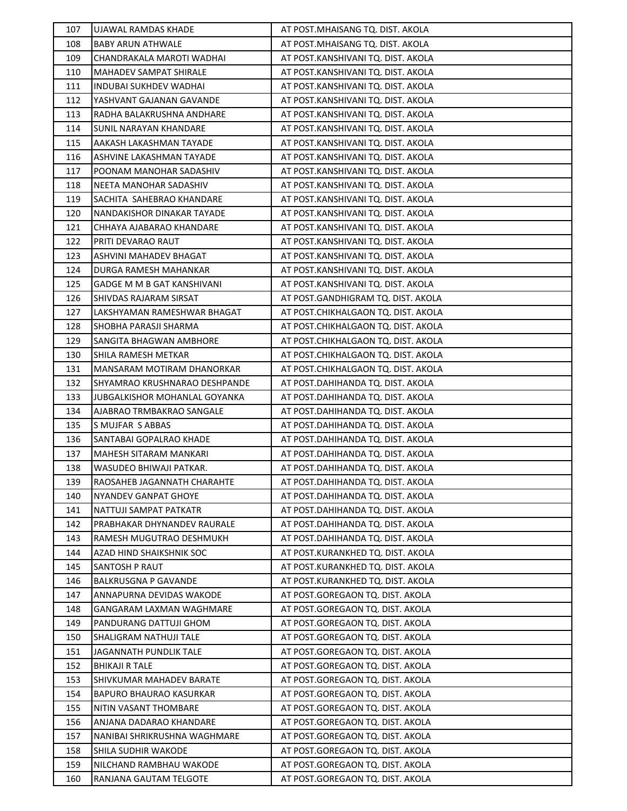| 107        | UJAWAL RAMDAS KHADE                               | AT POST.MHAISANG TQ. DIST. AKOLA                                     |
|------------|---------------------------------------------------|----------------------------------------------------------------------|
| 108        | <b>BABY ARUN ATHWALE</b>                          | AT POST.MHAISANG TQ. DIST. AKOLA                                     |
| 109        | CHANDRAKALA MAROTI WADHAI                         | AT POST.KANSHIVANI TQ. DIST. AKOLA                                   |
| 110        | MAHADEV SAMPAT SHIRALE                            | AT POST.KANSHIVANI TQ. DIST. AKOLA                                   |
| 111        | <b>INDUBAI SUKHDEV WADHAI</b>                     | AT POST.KANSHIVANI TQ. DIST. AKOLA                                   |
| 112        | YASHVANT GAJANAN GAVANDE                          | AT POST.KANSHIVANI TQ. DIST. AKOLA                                   |
| 113        | RADHA BALAKRUSHNA ANDHARE                         | AT POST.KANSHIVANI TQ. DIST. AKOLA                                   |
| 114        | <b>SUNIL NARAYAN KHANDARE</b>                     | AT POST.KANSHIVANI TQ. DIST. AKOLA                                   |
| 115        | AAKASH LAKASHMAN TAYADE                           | AT POST.KANSHIVANI TQ. DIST. AKOLA                                   |
| 116        | ASHVINE LAKASHMAN TAYADE                          | AT POST.KANSHIVANI TQ. DIST. AKOLA                                   |
| 117        | POONAM MANOHAR SADASHIV                           | AT POST.KANSHIVANI TQ. DIST. AKOLA                                   |
| 118        | NEETA MANOHAR SADASHIV                            | AT POST.KANSHIVANI TQ. DIST. AKOLA                                   |
| 119        | SACHITA SAHEBRAO KHANDARE                         | AT POST.KANSHIVANI TQ. DIST. AKOLA                                   |
| 120        | NANDAKISHOR DINAKAR TAYADE                        | AT POST.KANSHIVANI TQ. DIST. AKOLA                                   |
| 121        | CHHAYA AJABARAO KHANDARE                          | AT POST.KANSHIVANI TQ. DIST. AKOLA                                   |
| 122        | PRITI DEVARAO RAUT                                | AT POST.KANSHIVANI TQ. DIST. AKOLA                                   |
| 123        | ASHVINI MAHADEV BHAGAT                            | AT POST.KANSHIVANI TQ. DIST. AKOLA                                   |
| 124        | DURGA RAMESH MAHANKAR                             | AT POST.KANSHIVANI TQ. DIST. AKOLA                                   |
| 125        | <b>GADGE M M B GAT KANSHIVANI</b>                 | AT POST.KANSHIVANI TQ. DIST. AKOLA                                   |
| 126        | SHIVDAS RAJARAM SIRSAT                            | AT POST.GANDHIGRAM TQ. DIST. AKOLA                                   |
| 127        | LAKSHYAMAN RAMESHWAR BHAGAT                       | AT POST.CHIKHALGAON TQ. DIST. AKOLA                                  |
| 128        | SHOBHA PARASJI SHARMA                             | AT POST.CHIKHALGAON TQ. DIST. AKOLA                                  |
| 129        | SANGITA BHAGWAN AMBHORE                           | AT POST.CHIKHALGAON TQ. DIST. AKOLA                                  |
| 130        | SHILA RAMESH METKAR                               | AT POST.CHIKHALGAON TQ. DIST. AKOLA                                  |
| 131        | MANSARAM MOTIRAM DHANORKAR                        | AT POST.CHIKHALGAON TQ. DIST. AKOLA                                  |
| 132        | SHYAMRAO KRUSHNARAO DESHPANDE                     | AT POST.DAHIHANDA TQ. DIST. AKOLA                                    |
| 133        | JUBGALKISHOR MOHANLAL GOYANKA                     | AT POST.DAHIHANDA TQ. DIST. AKOLA                                    |
| 134        | AJABRAO TRMBAKRAO SANGALE                         | AT POST.DAHIHANDA TQ. DIST. AKOLA                                    |
| 135        | <b>S MUJFAR S ABBAS</b>                           | AT POST.DAHIHANDA TQ. DIST. AKOLA                                    |
| 136        | SANTABAI GOPALRAO KHADE                           | AT POST.DAHIHANDA TQ. DIST. AKOLA                                    |
| 137        | <b>MAHESH SITARAM MANKARI</b>                     | AT POST.DAHIHANDA TQ. DIST. AKOLA                                    |
| 138        | WASUDEO BHIWAJI PATKAR.                           | AT POST.DAHIHANDA TQ. DIST. AKOLA                                    |
| 139        | RAOSAHEB JAGANNATH CHARAHTE                       | AT POST.DAHIHANDA TQ. DIST. AKOLA                                    |
| 140        | NYANDEV GANPAT GHOYE                              | AT POST.DAHIHANDA TQ. DIST. AKOLA                                    |
| 141        | NATTUJI SAMPAT PATKATR                            | AT POST.DAHIHANDA TQ. DIST. AKOLA                                    |
| 142        | PRABHAKAR DHYNANDEV RAURALE                       | AT POST.DAHIHANDA TQ. DIST. AKOLA                                    |
| 143        | RAMESH MUGUTRAO DESHMUKH                          | AT POST.DAHIHANDA TQ. DIST. AKOLA                                    |
| 144        | AZAD HIND SHAIKSHNIK SOC                          | AT POST.KURANKHED TQ. DIST. AKOLA                                    |
| 145        | <b>SANTOSH P RAUT</b>                             | AT POST.KURANKHED TQ. DIST. AKOLA                                    |
| 146        | <b>BALKRUSGNA P GAVANDE</b>                       | AT POST.KURANKHED TQ. DIST. AKOLA                                    |
| 147        | ANNAPURNA DEVIDAS WAKODE                          | AT POST.GOREGAON TQ. DIST. AKOLA                                     |
| 148        | GANGARAM LAXMAN WAGHMARE                          | AT POST.GOREGAON TQ. DIST. AKOLA                                     |
| 149        | PANDURANG DATTUJI GHOM                            | AT POST.GOREGAON TQ. DIST. AKOLA                                     |
| 150        | SHALIGRAM NATHUJI TALE                            | AT POST.GOREGAON TQ. DIST. AKOLA                                     |
| 151        | JAGANNATH PUNDLIK TALE                            | AT POST.GOREGAON TQ. DIST. AKOLA                                     |
| 152        | <b>BHIKAJI R TALE</b>                             | AT POST.GOREGAON TQ. DIST. AKOLA                                     |
| 153        | SHIVKUMAR MAHADEV BARATE                          | AT POST.GOREGAON TQ. DIST. AKOLA                                     |
| 154        | BAPURO BHAURAO KASURKAR                           | AT POST.GOREGAON TQ. DIST. AKOLA                                     |
| 155        | NITIN VASANT THOMBARE                             | AT POST.GOREGAON TQ. DIST. AKOLA                                     |
| 156        | ANJANA DADARAO KHANDARE                           | AT POST.GOREGAON TQ. DIST. AKOLA                                     |
| 157        | NANIBAI SHRIKRUSHNA WAGHMARE                      | AT POST.GOREGAON TQ. DIST. AKOLA                                     |
| 158<br>159 | SHILA SUDHIR WAKODE                               | AT POST.GOREGAON TQ. DIST. AKOLA                                     |
| 160        | NILCHAND RAMBHAU WAKODE<br>RANJANA GAUTAM TELGOTE | AT POST.GOREGAON TQ. DIST. AKOLA<br>AT POST.GOREGAON TQ. DIST. AKOLA |
|            |                                                   |                                                                      |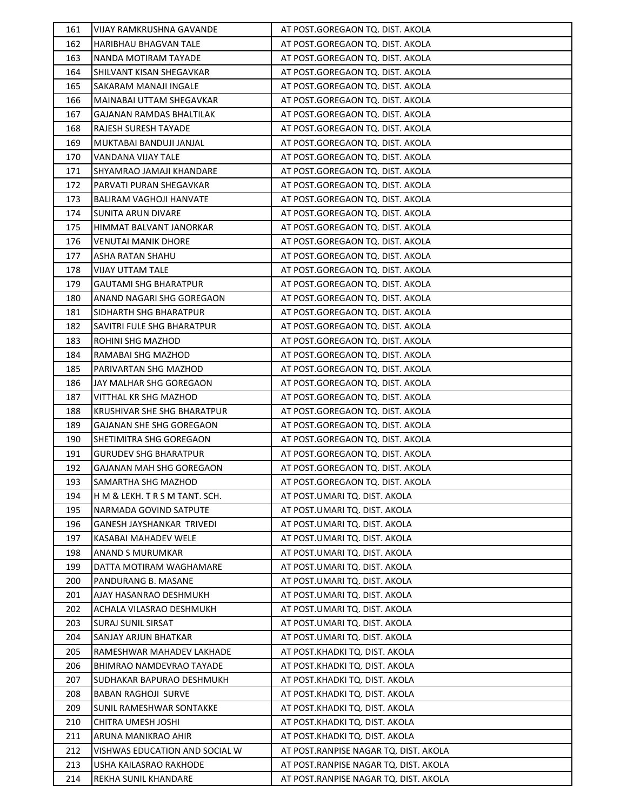| 161 | VIJAY RAMKRUSHNA GAVANDE       | AT POST.GOREGAON TQ. DIST. AKOLA      |
|-----|--------------------------------|---------------------------------------|
| 162 | HARIBHAU BHAGVAN TALE          | AT POST.GOREGAON TQ. DIST. AKOLA      |
| 163 | NANDA MOTIRAM TAYADE           | AT POST.GOREGAON TQ. DIST. AKOLA      |
| 164 | SHILVANT KISAN SHEGAVKAR       | AT POST.GOREGAON TQ. DIST. AKOLA      |
| 165 | SAKARAM MANAJI INGALE          | AT POST.GOREGAON TQ. DIST. AKOLA      |
| 166 | MAINABAI UTTAM SHEGAVKAR       | AT POST.GOREGAON TQ. DIST. AKOLA      |
| 167 | GAJANAN RAMDAS BHALTILAK       | AT POST.GOREGAON TQ. DIST. AKOLA      |
| 168 | RAJESH SURESH TAYADE           | AT POST.GOREGAON TQ. DIST. AKOLA      |
| 169 | MUKTABAI BANDUJI JANJAL        | AT POST.GOREGAON TQ. DIST. AKOLA      |
| 170 | VANDANA VIJAY TALE             | AT POST.GOREGAON TQ. DIST. AKOLA      |
| 171 | SHYAMRAO JAMAJI KHANDARE       | AT POST.GOREGAON TQ. DIST. AKOLA      |
| 172 | PARVATI PURAN SHEGAVKAR        | AT POST.GOREGAON TQ. DIST. AKOLA      |
| 173 | BALIRAM VAGHOJI HANVATE        | AT POST.GOREGAON TQ. DIST. AKOLA      |
| 174 | SUNITA ARUN DIVARE             | AT POST.GOREGAON TQ. DIST. AKOLA      |
| 175 | HIMMAT BALVANT JANORKAR        | AT POST.GOREGAON TQ. DIST. AKOLA      |
| 176 | VENUTAI MANIK DHORE            | AT POST.GOREGAON TQ. DIST. AKOLA      |
| 177 | ASHA RATAN SHAHU               | AT POST.GOREGAON TQ. DIST. AKOLA      |
| 178 | VIJAY UTTAM TALE               | AT POST.GOREGAON TQ. DIST. AKOLA      |
| 179 | <b>GAUTAMI SHG BHARATPUR</b>   | AT POST.GOREGAON TQ. DIST. AKOLA      |
| 180 | ANAND NAGARI SHG GOREGAON      | AT POST.GOREGAON TQ. DIST. AKOLA      |
| 181 | SIDHARTH SHG BHARATPUR         | AT POST.GOREGAON TQ. DIST. AKOLA      |
| 182 | SAVITRI FULE SHG BHARATPUR     | AT POST.GOREGAON TQ. DIST. AKOLA      |
| 183 | ROHINI SHG MAZHOD              | AT POST.GOREGAON TQ. DIST. AKOLA      |
| 184 | RAMABAI SHG MAZHOD             | AT POST.GOREGAON TQ. DIST. AKOLA      |
| 185 | PARIVARTAN SHG MAZHOD          | AT POST.GOREGAON TQ. DIST. AKOLA      |
| 186 | JAY MALHAR SHG GOREGAON        | AT POST.GOREGAON TQ. DIST. AKOLA      |
| 187 | VITTHAL KR SHG MAZHOD          | AT POST.GOREGAON TQ. DIST. AKOLA      |
| 188 | KRUSHIVAR SHE SHG BHARATPUR    | AT POST.GOREGAON TQ. DIST. AKOLA      |
| 189 | GAJANAN SHE SHG GOREGAON       | AT POST.GOREGAON TQ. DIST. AKOLA      |
| 190 | SHETIMITRA SHG GOREGAON        | AT POST.GOREGAON TQ. DIST. AKOLA      |
| 191 | <b>GURUDEV SHG BHARATPUR</b>   | AT POST.GOREGAON TQ. DIST. AKOLA      |
| 192 | GAJANAN MAH SHG GOREGAON       | AT POST.GOREGAON TQ. DIST. AKOLA      |
| 193 | SAMARTHA SHG MAZHOD            | AT POST.GOREGAON TQ. DIST. AKOLA      |
| 194 | H M & LEKH. T R S M TANT. SCH. | AT POST.UMARI TQ. DIST. AKOLA         |
| 195 | NARMADA GOVIND SATPUTE         | AT POST.UMARI TQ. DIST. AKOLA         |
| 196 | GANESH JAYSHANKAR TRIVEDI      | AT POST.UMARI TQ. DIST. AKOLA         |
| 197 | KASABAI MAHADEV WELE           | AT POST.UMARI TQ. DIST. AKOLA         |
| 198 | ANAND S MURUMKAR               | AT POST.UMARI TQ. DIST. AKOLA         |
| 199 | DATTA MOTIRAM WAGHAMARE        | AT POST.UMARI TQ. DIST. AKOLA         |
| 200 | PANDURANG B. MASANE            | AT POST.UMARI TQ. DIST. AKOLA         |
| 201 | AJAY HASANRAO DESHMUKH         | AT POST.UMARI TQ. DIST. AKOLA         |
| 202 | ACHALA VILASRAO DESHMUKH       | AT POST.UMARI TQ. DIST. AKOLA         |
| 203 | <b>SURAJ SUNIL SIRSAT</b>      | AT POST.UMARI TQ. DIST. AKOLA         |
| 204 | SANJAY ARJUN BHATKAR           | AT POST.UMARI TQ. DIST. AKOLA         |
| 205 | RAMESHWAR MAHADEV LAKHADE      | AT POST.KHADKI TQ. DIST. AKOLA        |
| 206 | BHIMRAO NAMDEVRAO TAYADE       | AT POST.KHADKI TQ. DIST. AKOLA        |
| 207 | SUDHAKAR BAPURAO DESHMUKH      | AT POST.KHADKI TQ. DIST. AKOLA        |
| 208 | <b>BABAN RAGHOJI SURVE</b>     | AT POST.KHADKI TQ. DIST. AKOLA        |
| 209 | SUNIL RAMESHWAR SONTAKKE       | AT POST.KHADKI TQ. DIST. AKOLA        |
| 210 | CHITRA UMESH JOSHI             | AT POST.KHADKI TQ. DIST. AKOLA        |
| 211 | ARUNA MANIKRAO AHIR            | AT POST.KHADKI TQ. DIST. AKOLA        |
| 212 | VISHWAS EDUCATION AND SOCIAL W | AT POST.RANPISE NAGAR TQ. DIST. AKOLA |
| 213 | USHA KAILASRAO RAKHODE         | AT POST.RANPISE NAGAR TQ. DIST. AKOLA |
| 214 | REKHA SUNIL KHANDARE           | AT POST.RANPISE NAGAR TQ. DIST. AKOLA |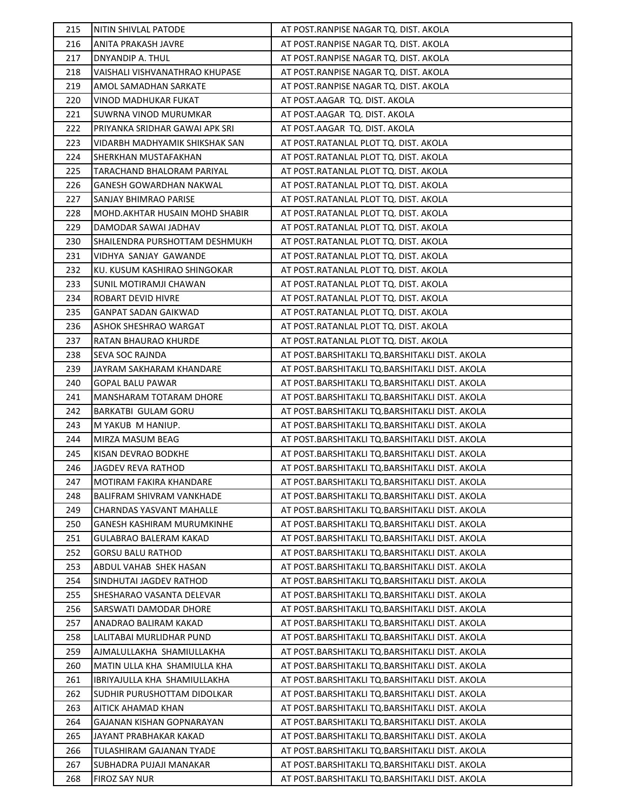| 215 | NITIN SHIVLAL PATODE            | AT POST.RANPISE NAGAR TQ. DIST. AKOLA          |
|-----|---------------------------------|------------------------------------------------|
| 216 | ANITA PRAKASH JAVRE             | AT POST.RANPISE NAGAR TQ. DIST. AKOLA          |
| 217 | DNYANDIP A. THUL                | AT POST.RANPISE NAGAR TQ. DIST. AKOLA          |
| 218 | VAISHALI VISHVANATHRAO KHUPASE  | AT POST.RANPISE NAGAR TQ. DIST. AKOLA          |
| 219 | AMOL SAMADHAN SARKATE           | AT POST.RANPISE NAGAR TQ. DIST. AKOLA          |
| 220 | VINOD MADHUKAR FUKAT            | AT POST.AAGAR TQ. DIST. AKOLA                  |
| 221 | SUWRNA VINOD MURUMKAR           | AT POST.AAGAR TQ. DIST. AKOLA                  |
| 222 | PRIYANKA SRIDHAR GAWAI APK SRI  | AT POST.AAGAR TQ. DIST. AKOLA                  |
| 223 | VIDARBH MADHYAMIK SHIKSHAK SAN  | AT POST.RATANLAL PLOT TQ. DIST. AKOLA          |
| 224 | SHERKHAN MUSTAFAKHAN            | AT POST.RATANLAL PLOT TQ. DIST. AKOLA          |
| 225 | TARACHAND BHALORAM PARIYAL      | AT POST.RATANLAL PLOT TQ. DIST. AKOLA          |
| 226 | GANESH GOWARDHAN NAKWAL         | AT POST.RATANLAL PLOT TQ. DIST. AKOLA          |
| 227 | SANJAY BHIMRAO PARISE           | AT POST.RATANLAL PLOT TQ. DIST. AKOLA          |
| 228 | MOHD. AKHTAR HUSAIN MOHD SHABIR | AT POST.RATANLAL PLOT TQ. DIST. AKOLA          |
| 229 | DAMODAR SAWAI JADHAV            | AT POST.RATANLAL PLOT TQ. DIST. AKOLA          |
| 230 | SHAILENDRA PURSHOTTAM DESHMUKH  | AT POST.RATANLAL PLOT TQ. DIST. AKOLA          |
| 231 | VIDHYA SANJAY GAWANDE           | AT POST.RATANLAL PLOT TQ. DIST. AKOLA          |
| 232 | KU. KUSUM KASHIRAO SHINGOKAR    | AT POST.RATANLAL PLOT TQ. DIST. AKOLA          |
| 233 | SUNIL MOTIRAMJI CHAWAN          | AT POST.RATANLAL PLOT TQ. DIST. AKOLA          |
| 234 | ROBART DEVID HIVRE              | AT POST.RATANLAL PLOT TQ. DIST. AKOLA          |
| 235 | <b>GANPAT SADAN GAIKWAD</b>     | AT POST.RATANLAL PLOT TQ. DIST. AKOLA          |
| 236 | ASHOK SHESHRAO WARGAT           | AT POST.RATANLAL PLOT TQ. DIST. AKOLA          |
| 237 | RATAN BHAURAO KHURDE            | AT POST.RATANLAL PLOT TQ. DIST. AKOLA          |
| 238 | SEVA SOC RAJNDA                 | AT POST.BARSHITAKLI TQ.BARSHITAKLI DIST. AKOLA |
| 239 | JAYRAM SAKHARAM KHANDARE        | AT POST.BARSHITAKLI TQ.BARSHITAKLI DIST. AKOLA |
| 240 | <b>GOPAL BALU PAWAR</b>         | AT POST.BARSHITAKLI TQ.BARSHITAKLI DIST. AKOLA |
| 241 | MANSHARAM TOTARAM DHORE         | AT POST.BARSHITAKLI TQ.BARSHITAKLI DIST. AKOLA |
| 242 | BARKATBI GULAM GORU             | AT POST.BARSHITAKLI TQ.BARSHITAKLI DIST. AKOLA |
| 243 | M YAKUB M HANIUP.               | AT POST.BARSHITAKLI TQ.BARSHITAKLI DIST. AKOLA |
| 244 | MIRZA MASUM BEAG                | AT POST.BARSHITAKLI TQ.BARSHITAKLI DIST. AKOLA |
| 245 | KISAN DEVRAO BODKHE             | AT POST.BARSHITAKLI TQ.BARSHITAKLI DIST. AKOLA |
| 246 | JAGDEV REVA RATHOD              | AT POST.BARSHITAKLI TQ.BARSHITAKLI DIST. AKOLA |
| 247 | MOTIRAM FAKIRA KHANDARE         | AT POST.BARSHITAKLI TQ.BARSHITAKLI DIST. AKOLA |
| 248 | BALIFRAM SHIVRAM VANKHADE       | AT POST.BARSHITAKLI TQ.BARSHITAKLI DIST. AKOLA |
| 249 | <b>CHARNDAS YASVANT MAHALLE</b> | AT POST.BARSHITAKLI TQ.BARSHITAKLI DIST. AKOLA |
| 250 | GANESH KASHIRAM MURUMKINHE      | AT POST.BARSHITAKLI TQ.BARSHITAKLI DIST. AKOLA |
| 251 | GULABRAO BALERAM KAKAD          | AT POST.BARSHITAKLI TQ.BARSHITAKLI DIST. AKOLA |
| 252 | <b>GORSU BALU RATHOD</b>        | AT POST.BARSHITAKLI TQ.BARSHITAKLI DIST. AKOLA |
| 253 | ABDUL VAHAB SHEK HASAN          | AT POST.BARSHITAKLI TQ.BARSHITAKLI DIST. AKOLA |
| 254 | SINDHUTAI JAGDEV RATHOD         | AT POST.BARSHITAKLI TQ.BARSHITAKLI DIST. AKOLA |
| 255 | SHESHARAO VASANTA DELEVAR       | AT POST.BARSHITAKLI TQ.BARSHITAKLI DIST. AKOLA |
| 256 | SARSWATI DAMODAR DHORE          | AT POST.BARSHITAKLI TO.BARSHITAKLI DIST. AKOLA |
| 257 | ANADRAO BALIRAM KAKAD           | AT POST.BARSHITAKLI TQ.BARSHITAKLI DIST. AKOLA |
| 258 | LALITABAI MURLIDHAR PUND        | AT POST.BARSHITAKLI TQ.BARSHITAKLI DIST. AKOLA |
| 259 | AJMALULLAKHA SHAMIULLAKHA       | AT POST.BARSHITAKLI TQ.BARSHITAKLI DIST. AKOLA |
| 260 | MATIN ULLA KHA SHAMIULLA KHA    | AT POST.BARSHITAKLI TQ.BARSHITAKLI DIST. AKOLA |
| 261 | IBRIYAJULLA KHA SHAMIULLAKHA    | AT POST.BARSHITAKLI TQ.BARSHITAKLI DIST. AKOLA |
| 262 | SUDHIR PURUSHOTTAM DIDOLKAR     | AT POST.BARSHITAKLI TQ.BARSHITAKLI DIST. AKOLA |
| 263 | AITICK AHAMAD KHAN              | AT POST.BARSHITAKLI TQ.BARSHITAKLI DIST. AKOLA |
| 264 | GAJANAN KISHAN GOPNARAYAN       | AT POST.BARSHITAKLI TQ.BARSHITAKLI DIST. AKOLA |
| 265 | JAYANT PRABHAKAR KAKAD          | AT POST.BARSHITAKLI TQ.BARSHITAKLI DIST. AKOLA |
| 266 | TULASHIRAM GAJANAN TYADE        | AT POST.BARSHITAKLI TQ.BARSHITAKLI DIST. AKOLA |
| 267 | SUBHADRA PUJAJI MANAKAR         | AT POST.BARSHITAKLI TQ.BARSHITAKLI DIST. AKOLA |
| 268 | <b>FIROZ SAY NUR</b>            | AT POST.BARSHITAKLI TQ.BARSHITAKLI DIST. AKOLA |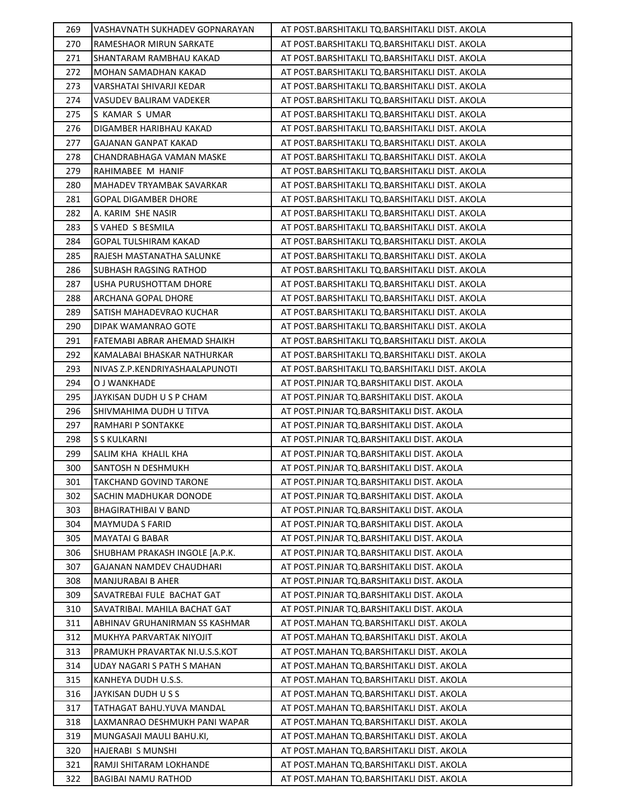| 269        | VASHAVNATH SUKHADEV GOPNARAYAN                        | AT POST.BARSHITAKLI TQ.BARSHITAKLI DIST. AKOLA                                       |
|------------|-------------------------------------------------------|--------------------------------------------------------------------------------------|
| 270        | RAMESHAOR MIRUN SARKATE                               | AT POST.BARSHITAKLI TQ.BARSHITAKLI DIST. AKOLA                                       |
| 271        | SHANTARAM RAMBHAU KAKAD                               | AT POST.BARSHITAKLI TQ.BARSHITAKLI DIST. AKOLA                                       |
| 272        | MOHAN SAMADHAN KAKAD                                  | AT POST.BARSHITAKLI TQ.BARSHITAKLI DIST. AKOLA                                       |
| 273        | VARSHATAI SHIVARJI KEDAR                              | AT POST.BARSHITAKLI TQ.BARSHITAKLI DIST. AKOLA                                       |
| 274        | VASUDEV BALIRAM VADEKER                               | AT POST.BARSHITAKLI TQ.BARSHITAKLI DIST. AKOLA                                       |
| 275        | S KAMAR S UMAR                                        | AT POST.BARSHITAKLI TQ.BARSHITAKLI DIST. AKOLA                                       |
| 276        | DIGAMBER HARIBHAU KAKAD                               | AT POST.BARSHITAKLI TQ.BARSHITAKLI DIST. AKOLA                                       |
| 277        | <b>GAJANAN GANPAT KAKAD</b>                           | AT POST.BARSHITAKLI TQ.BARSHITAKLI DIST. AKOLA                                       |
| 278        | CHANDRABHAGA VAMAN MASKE                              | AT POST.BARSHITAKLI TQ.BARSHITAKLI DIST. AKOLA                                       |
| 279        | RAHIMABEE M HANIF                                     | AT POST.BARSHITAKLI TQ.BARSHITAKLI DIST. AKOLA                                       |
| 280        | MAHADEV TRYAMBAK SAVARKAR                             | AT POST.BARSHITAKLI TQ.BARSHITAKLI DIST. AKOLA                                       |
| 281        | GOPAL DIGAMBER DHORE                                  | AT POST.BARSHITAKLI TQ.BARSHITAKLI DIST. AKOLA                                       |
| 282        | A. KARIM SHE NASIR                                    | AT POST.BARSHITAKLI TQ.BARSHITAKLI DIST. AKOLA                                       |
| 283        | S VAHED S BESMILA                                     | AT POST.BARSHITAKLI TQ.BARSHITAKLI DIST. AKOLA                                       |
| 284        | GOPAL TULSHIRAM KAKAD                                 | AT POST.BARSHITAKLI TQ.BARSHITAKLI DIST. AKOLA                                       |
| 285        | RAJESH MASTANATHA SALUNKE                             | AT POST.BARSHITAKLI TQ.BARSHITAKLI DIST. AKOLA                                       |
| 286        | SUBHASH RAGSING RATHOD                                | AT POST.BARSHITAKLI TQ.BARSHITAKLI DIST. AKOLA                                       |
| 287        | USHA PURUSHOTTAM DHORE                                | AT POST.BARSHITAKLI TQ.BARSHITAKLI DIST. AKOLA                                       |
| 288        | ARCHANA GOPAL DHORE                                   | AT POST.BARSHITAKLI TQ.BARSHITAKLI DIST. AKOLA                                       |
| 289        | SATISH MAHADEVRAO KUCHAR                              | AT POST.BARSHITAKLI TQ.BARSHITAKLI DIST. AKOLA                                       |
| 290        | DIPAK WAMANRAO GOTE                                   | AT POST.BARSHITAKLI TQ.BARSHITAKLI DIST. AKOLA                                       |
| 291        | FATEMABI ABRAR AHEMAD SHAIKH                          | AT POST.BARSHITAKLI TQ.BARSHITAKLI DIST. AKOLA                                       |
| 292        | KAMALABAI BHASKAR NATHURKAR                           | AT POST.BARSHITAKLI TQ.BARSHITAKLI DIST. AKOLA                                       |
| 293        | NIVAS Z.P.KENDRIYASHAALAPUNOTI                        | AT POST.BARSHITAKLI TQ.BARSHITAKLI DIST. AKOLA                                       |
| 294        | O J WANKHADE                                          | AT POST.PINJAR TQ.BARSHITAKLI DIST. AKOLA                                            |
| 295        | JAYKISAN DUDH U S P CHAM                              | AT POST.PINJAR TQ.BARSHITAKLI DIST. AKOLA                                            |
|            |                                                       |                                                                                      |
| 296        | SHIVMAHIMA DUDH U TITVA                               | AT POST.PINJAR TQ.BARSHITAKLI DIST. AKOLA                                            |
| 297        | RAMHARI P SONTAKKE                                    | AT POST.PINJAR TQ.BARSHITAKLI DIST. AKOLA                                            |
| 298        | S S KULKARNI                                          | AT POST.PINJAR TQ.BARSHITAKLI DIST. AKOLA                                            |
| 299        | SALIM KHA KHALIL KHA                                  | AT POST.PINJAR TQ.BARSHITAKLI DIST. AKOLA                                            |
| 300        | SANTOSH N DESHMUKH                                    | AT POST.PINJAR TQ.BARSHITAKLI DIST. AKOLA                                            |
| 301        | <b>TAKCHAND GOVIND TARONE</b>                         | AT POST.PINJAR TQ.BARSHITAKLI DIST. AKOLA                                            |
| 302        | SACHIN MADHUKAR DONODE                                | AT POST.PINJAR TQ.BARSHITAKLI DIST. AKOLA                                            |
| 303        | <b>BHAGIRATHIBAI V BAND</b>                           | AT POST.PINJAR TQ.BARSHITAKLI DIST. AKOLA                                            |
| 304        | MAYMUDA S FARID                                       | AT POST.PINJAR TQ.BARSHITAKLI DIST. AKOLA                                            |
| 305        | MAYATAI G BABAR                                       | AT POST.PINJAR TQ.BARSHITAKLI DIST. AKOLA                                            |
| 306        | SHUBHAM PRAKASH INGOLE [A.P.K.                        | AT POST.PINJAR TQ.BARSHITAKLI DIST. AKOLA                                            |
| 307        | GAJANAN NAMDEV CHAUDHARI                              | AT POST.PINJAR TQ.BARSHITAKLI DIST. AKOLA                                            |
| 308        | MANJURABAI B AHER                                     | AT POST.PINJAR TQ.BARSHITAKLI DIST. AKOLA                                            |
| 309        | SAVATREBAI FULE BACHAT GAT                            | AT POST.PINJAR TQ.BARSHITAKLI DIST. AKOLA                                            |
| 310        | SAVATRIBAI. MAHILA BACHAT GAT                         | AT POST.PINJAR TQ.BARSHITAKLI DIST. AKOLA                                            |
| 311        | ABHINAV GRUHANIRMAN SS KASHMAR                        | AT POST.MAHAN TQ.BARSHITAKLI DIST. AKOLA                                             |
| 312        | MUKHYA PARVARTAK NIYOJIT                              | AT POST.MAHAN TQ.BARSHITAKLI DIST. AKOLA                                             |
| 313        | PRAMUKH PRAVARTAK NI.U.S.S.KOT                        | AT POST.MAHAN TQ.BARSHITAKLI DIST. AKOLA                                             |
| 314        | UDAY NAGARI S PATH S MAHAN                            | AT POST.MAHAN TQ.BARSHITAKLI DIST. AKOLA                                             |
| 315        | KANHEYA DUDH U.S.S.                                   | AT POST.MAHAN TQ.BARSHITAKLI DIST. AKOLA                                             |
| 316        | JAYKISAN DUDH U S S                                   | AT POST.MAHAN TQ.BARSHITAKLI DIST. AKOLA                                             |
| 317        | TATHAGAT BAHU.YUVA MANDAL                             | AT POST.MAHAN TQ.BARSHITAKLI DIST. AKOLA                                             |
| 318        | LAXMANRAO DESHMUKH PANI WAPAR                         | AT POST.MAHAN TQ.BARSHITAKLI DIST. AKOLA                                             |
| 319        | MUNGASAJI MAULI BAHU.KI,                              | AT POST.MAHAN TQ.BARSHITAKLI DIST. AKOLA                                             |
| 320        | HAJERABI S MUNSHI                                     | AT POST.MAHAN TQ.BARSHITAKLI DIST. AKOLA                                             |
| 321<br>322 | RAMJI SHITARAM LOKHANDE<br><b>BAGIBAI NAMU RATHOD</b> | AT POST.MAHAN TQ.BARSHITAKLI DIST. AKOLA<br>AT POST.MAHAN TQ.BARSHITAKLI DIST. AKOLA |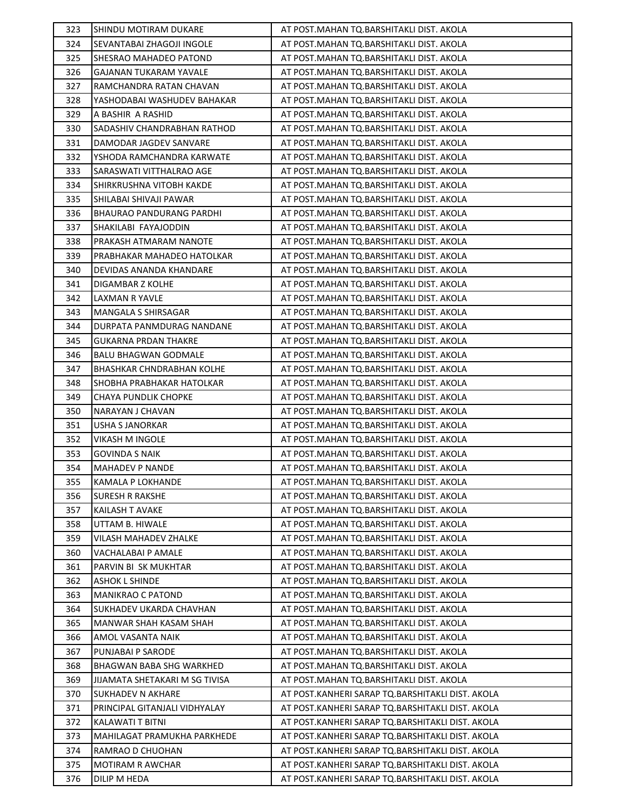| 323 | SHINDU MOTIRAM DUKARE           | AT POST.MAHAN TQ.BARSHITAKLI DIST. AKOLA         |
|-----|---------------------------------|--------------------------------------------------|
| 324 | SEVANTABAI ZHAGOJI INGOLE       | AT POST.MAHAN TQ.BARSHITAKLI DIST. AKOLA         |
| 325 | SHESRAO MAHADEO PATOND          | AT POST.MAHAN TQ.BARSHITAKLI DIST. AKOLA         |
| 326 | GAJANAN TUKARAM YAVALE          | AT POST.MAHAN TQ.BARSHITAKLI DIST. AKOLA         |
| 327 | RAMCHANDRA RATAN CHAVAN         | AT POST.MAHAN TQ.BARSHITAKLI DIST. AKOLA         |
| 328 | YASHODABAI WASHUDEV BAHAKAR     | AT POST.MAHAN TQ.BARSHITAKLI DIST. AKOLA         |
| 329 | A BASHIR A RASHID               | AT POST.MAHAN TQ.BARSHITAKLI DIST. AKOLA         |
| 330 | SADASHIV CHANDRABHAN RATHOD     | AT POST.MAHAN TQ.BARSHITAKLI DIST. AKOLA         |
| 331 | DAMODAR JAGDEV SANVARE          | AT POST.MAHAN TQ.BARSHITAKLI DIST. AKOLA         |
| 332 | YSHODA RAMCHANDRA KARWATE       | AT POST.MAHAN TQ.BARSHITAKLI DIST. AKOLA         |
| 333 | SARASWATI VITTHALRAO AGE        | AT POST.MAHAN TQ.BARSHITAKLI DIST. AKOLA         |
| 334 | SHIRKRUSHNA VITOBH KAKDE        | AT POST.MAHAN TQ.BARSHITAKLI DIST. AKOLA         |
| 335 | SHILABAI SHIVAJI PAWAR          | AT POST.MAHAN TQ.BARSHITAKLI DIST. AKOLA         |
| 336 | <b>BHAURAO PANDURANG PARDHI</b> | AT POST.MAHAN TQ.BARSHITAKLI DIST. AKOLA         |
| 337 | SHAKILABI FAYAJODDIN            | AT POST.MAHAN TQ.BARSHITAKLI DIST. AKOLA         |
| 338 | PRAKASH ATMARAM NANOTE          | AT POST.MAHAN TQ.BARSHITAKLI DIST. AKOLA         |
| 339 | PRABHAKAR MAHADEO HATOLKAR      | AT POST.MAHAN TQ.BARSHITAKLI DIST. AKOLA         |
| 340 | DEVIDAS ANANDA KHANDARE         | AT POST.MAHAN TQ.BARSHITAKLI DIST. AKOLA         |
| 341 | DIGAMBAR Z KOLHE                | AT POST.MAHAN TQ.BARSHITAKLI DIST. AKOLA         |
| 342 | <b>LAXMAN R YAVLE</b>           | AT POST.MAHAN TQ.BARSHITAKLI DIST. AKOLA         |
| 343 | MANGALA S SHIRSAGAR             | AT POST.MAHAN TQ.BARSHITAKLI DIST. AKOLA         |
| 344 | DURPATA PANMDURAG NANDANE       | AT POST.MAHAN TQ.BARSHITAKLI DIST. AKOLA         |
| 345 | <b>GUKARNA PRDAN THAKRE</b>     | AT POST.MAHAN TQ.BARSHITAKLI DIST. AKOLA         |
| 346 | <b>BALU BHAGWAN GODMALE</b>     | AT POST.MAHAN TQ.BARSHITAKLI DIST. AKOLA         |
| 347 | BHASHKAR CHNDRABHAN KOLHE       | AT POST.MAHAN TQ.BARSHITAKLI DIST. AKOLA         |
| 348 | SHOBHA PRABHAKAR HATOLKAR       | AT POST.MAHAN TQ.BARSHITAKLI DIST. AKOLA         |
| 349 | CHAYA PUNDLIK CHOPKE            | AT POST.MAHAN TQ.BARSHITAKLI DIST. AKOLA         |
| 350 | NARAYAN J CHAVAN                | AT POST.MAHAN TQ.BARSHITAKLI DIST. AKOLA         |
| 351 | <b>USHA S JANORKAR</b>          | AT POST.MAHAN TQ.BARSHITAKLI DIST. AKOLA         |
| 352 | VIKASH M INGOLE                 | AT POST.MAHAN TQ.BARSHITAKLI DIST. AKOLA         |
| 353 | GOVINDA S NAIK                  | AT POST.MAHAN TQ.BARSHITAKLI DIST. AKOLA         |
| 354 | <b>MAHADEV P NANDE</b>          | AT POST.MAHAN TQ.BARSHITAKLI DIST. AKOLA         |
| 355 | <b>KAMALA P LOKHANDE</b>        | AT POST.MAHAN TQ.BARSHITAKLI DIST. AKOLA         |
| 356 | <b>SURESH R RAKSHE</b>          | AT POST.MAHAN TQ.BARSHITAKLI DIST. AKOLA         |
| 357 | KAILASH T AVAKE                 | AT POST.MAHAN TQ.BARSHITAKLI DIST. AKOLA         |
| 358 | UTTAM B. HIWALE                 | AT POST.MAHAN TQ.BARSHITAKLI DIST. AKOLA         |
| 359 | VILASH MAHADEV ZHALKE           | AT POST.MAHAN TQ.BARSHITAKLI DIST. AKOLA         |
| 360 | VACHALABAI P AMALE              | AT POST.MAHAN TQ.BARSHITAKLI DIST. AKOLA         |
| 361 | PARVIN BI SK MUKHTAR            | AT POST.MAHAN TQ.BARSHITAKLI DIST. AKOLA         |
| 362 | <b>ASHOK L SHINDE</b>           | AT POST.MAHAN TQ.BARSHITAKLI DIST. AKOLA         |
| 363 | MANIKRAO C PATOND               | AT POST.MAHAN TQ.BARSHITAKLI DIST. AKOLA         |
| 364 | SUKHADEV UKARDA CHAVHAN         | AT POST.MAHAN TQ.BARSHITAKLI DIST. AKOLA         |
| 365 | MANWAR SHAH KASAM SHAH          | AT POST.MAHAN TQ.BARSHITAKLI DIST. AKOLA         |
| 366 | AMOL VASANTA NAIK               | AT POST.MAHAN TQ.BARSHITAKLI DIST. AKOLA         |
| 367 | PUNJABAI P SARODE               | AT POST.MAHAN TQ.BARSHITAKLI DIST. AKOLA         |
| 368 | BHAGWAN BABA SHG WARKHED        | AT POST.MAHAN TQ.BARSHITAKLI DIST. AKOLA         |
| 369 | JIJAMATA SHETAKARI M SG TIVISA  | AT POST.MAHAN TQ.BARSHITAKLI DIST. AKOLA         |
| 370 | SUKHADEV N AKHARE               | AT POST.KANHERI SARAP TQ.BARSHITAKLI DIST. AKOLA |
| 371 | PRINCIPAL GITANJALI VIDHYALAY   | AT POST.KANHERI SARAP TQ.BARSHITAKLI DIST. AKOLA |
| 372 | KALAWATI T BITNI                | AT POST.KANHERI SARAP TQ.BARSHITAKLI DIST. AKOLA |
| 373 | MAHILAGAT PRAMUKHA PARKHEDE     | AT POST.KANHERI SARAP TQ.BARSHITAKLI DIST. AKOLA |
| 374 | RAMRAO D CHUOHAN                | AT POST.KANHERI SARAP TQ.BARSHITAKLI DIST. AKOLA |
| 375 | <b>MOTIRAM R AWCHAR</b>         | AT POST.KANHERI SARAP TQ.BARSHITAKLI DIST. AKOLA |
| 376 | DILIP M HEDA                    | AT POST.KANHERI SARAP TQ.BARSHITAKLI DIST. AKOLA |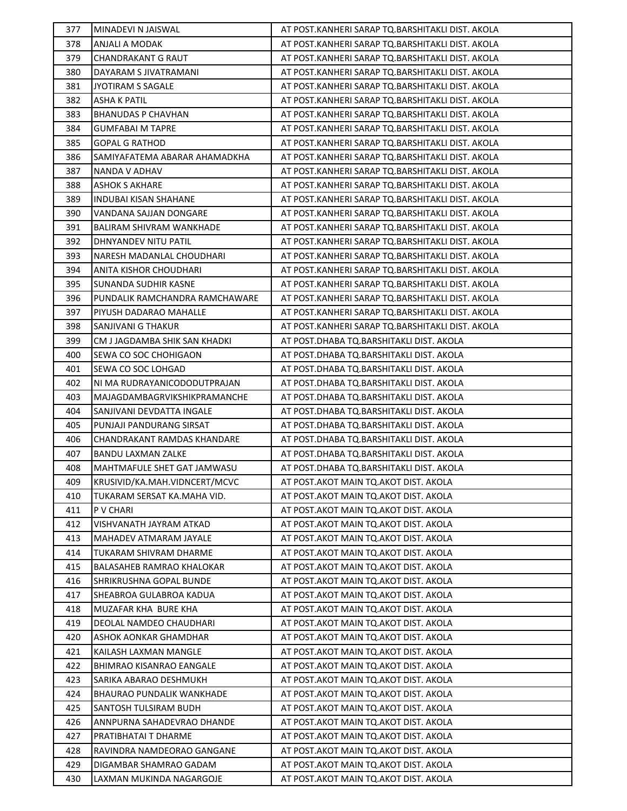| 377        | MINADEVI N JAISWAL                                 | AT POST.KANHERI SARAP TQ.BARSHITAKLI DIST. AKOLA                                   |
|------------|----------------------------------------------------|------------------------------------------------------------------------------------|
| 378        | ANJALI A MODAK                                     | AT POST.KANHERI SARAP TQ.BARSHITAKLI DIST. AKOLA                                   |
| 379        | <b>CHANDRAKANT G RAUT</b>                          | AT POST.KANHERI SARAP TQ.BARSHITAKLI DIST. AKOLA                                   |
| 380        | DAYARAM S JIVATRAMANI                              | AT POST.KANHERI SARAP TQ.BARSHITAKLI DIST. AKOLA                                   |
| 381        | JYOTIRAM S SAGALE                                  | AT POST.KANHERI SARAP TQ.BARSHITAKLI DIST. AKOLA                                   |
| 382        | <b>ASHA K PATIL</b>                                | AT POST.KANHERI SARAP TQ.BARSHITAKLI DIST. AKOLA                                   |
| 383        | <b>BHANUDAS P CHAVHAN</b>                          | AT POST.KANHERI SARAP TQ.BARSHITAKLI DIST. AKOLA                                   |
| 384        | GUMFABAI M TAPRE                                   | AT POST.KANHERI SARAP TQ.BARSHITAKLI DIST. AKOLA                                   |
| 385        | <b>GOPAL G RATHOD</b>                              | AT POST.KANHERI SARAP TQ.BARSHITAKLI DIST. AKOLA                                   |
| 386        | SAMIYAFATEMA ABARAR AHAMADKHA                      | AT POST.KANHERI SARAP TQ.BARSHITAKLI DIST. AKOLA                                   |
| 387        | NANDA V ADHAV                                      | AT POST.KANHERI SARAP TQ.BARSHITAKLI DIST. AKOLA                                   |
| 388        | <b>ASHOK S AKHARE</b>                              | AT POST.KANHERI SARAP TQ.BARSHITAKLI DIST. AKOLA                                   |
| 389        | INDUBAI KISAN SHAHANE                              | AT POST.KANHERI SARAP TQ.BARSHITAKLI DIST. AKOLA                                   |
| 390        | VANDANA SAJJAN DONGARE                             | AT POST.KANHERI SARAP TQ.BARSHITAKLI DIST. AKOLA                                   |
| 391        | BALIRAM SHIVRAM WANKHADE                           | AT POST.KANHERI SARAP TQ.BARSHITAKLI DIST. AKOLA                                   |
| 392        | DHNYANDEV NITU PATIL                               | AT POST.KANHERI SARAP TQ.BARSHITAKLI DIST. AKOLA                                   |
| 393        | NARESH MADANLAL CHOUDHARI                          | AT POST.KANHERI SARAP TQ.BARSHITAKLI DIST. AKOLA                                   |
| 394        | ANITA KISHOR CHOUDHARI                             | AT POST.KANHERI SARAP TQ.BARSHITAKLI DIST. AKOLA                                   |
| 395        | SUNANDA SUDHIR KASNE                               | AT POST.KANHERI SARAP TQ.BARSHITAKLI DIST. AKOLA                                   |
| 396        | PUNDALIK RAMCHANDRA RAMCHAWARE                     | AT POST.KANHERI SARAP TQ.BARSHITAKLI DIST. AKOLA                                   |
| 397        | PIYUSH DADARAO MAHALLE                             | AT POST.KANHERI SARAP TQ.BARSHITAKLI DIST. AKOLA                                   |
| 398        | SANJIVANI G THAKUR                                 | AT POST.KANHERI SARAP TQ.BARSHITAKLI DIST. AKOLA                                   |
| 399        | CM J JAGDAMBA SHIK SAN KHADKI                      | AT POST.DHABA TQ.BARSHITAKLI DIST. AKOLA                                           |
| 400        | SEWA CO SOC CHOHIGAON                              | AT POST.DHABA TQ.BARSHITAKLI DIST. AKOLA                                           |
| 401        | SEWA CO SOC LOHGAD                                 | AT POST.DHABA TQ.BARSHITAKLI DIST. AKOLA                                           |
| 402        | NI MA RUDRAYANICODODUTPRAJAN                       | AT POST.DHABA TQ.BARSHITAKLI DIST. AKOLA                                           |
| 403        | MAJAGDAMBAGRVIKSHIKPRAMANCHE                       | AT POST.DHABA TQ.BARSHITAKLI DIST. AKOLA                                           |
| 404        | SANJIVANI DEVDATTA INGALE                          | AT POST.DHABA TQ.BARSHITAKLI DIST. AKOLA                                           |
| 405        | PUNJAJI PANDURANG SIRSAT                           | AT POST.DHABA TQ.BARSHITAKLI DIST. AKOLA                                           |
| 406        | CHANDRAKANT RAMDAS KHANDARE                        | AT POST.DHABA TQ.BARSHITAKLI DIST. AKOLA                                           |
| 407        | BANDU LAXMAN ZALKE                                 | AT POST.DHABA TQ.BARSHITAKLI DIST. AKOLA                                           |
| 408        | MAHTMAFULE SHET GAT JAMWASU                        | AT POST.DHABA TQ.BARSHITAKLI DIST. AKOLA                                           |
| 409        | KRUSIVID/KA.MAH.VIDNCERT/MCVC                      | AT POST.AKOT MAIN TQ.AKOT DIST. AKOLA                                              |
| 410        | TUKARAM SERSAT KA.MAHA VID.                        | AT POST. AKOT MAIN TO. AKOT DIST. AKOLA                                            |
| 411        | P V CHARI                                          | AT POST.AKOT MAIN TQ.AKOT DIST. AKOLA                                              |
| 412        | VISHVANATH JAYRAM ATKAD                            | AT POST.AKOT MAIN TQ.AKOT DIST. AKOLA                                              |
| 413        | MAHADEV ATMARAM JAYALE                             | AT POST.AKOT MAIN TQ.AKOT DIST. AKOLA                                              |
| 414        | TUKARAM SHIVRAM DHARME                             | AT POST.AKOT MAIN TQ.AKOT DIST. AKOLA                                              |
| 415        | BALASAHEB RAMRAO KHALOKAR                          | AT POST. AKOT MAIN TO. AKOT DIST. AKOLA                                            |
| 416        | SHRIKRUSHNA GOPAL BUNDE                            | AT POST. AKOT MAIN TO. AKOT DIST. AKOLA                                            |
| 417        | SHEABROA GULABROA KADUA                            | AT POST. AKOT MAIN TO. AKOT DIST. AKOLA                                            |
| 418        | MUZAFAR KHA BURE KHA                               | AT POST.AKOT MAIN TO.AKOT DIST. AKOLA                                              |
| 419        | DEOLAL NAMDEO CHAUDHARI                            | AT POST.AKOT MAIN TQ.AKOT DIST. AKOLA                                              |
| 420        | ASHOK AONKAR GHAMDHAR                              | AT POST. AKOT MAIN TO. AKOT DIST. AKOLA                                            |
| 421        | KAILASH LAXMAN MANGLE                              | AT POST. AKOT MAIN TO. AKOT DIST. AKOLA                                            |
| 422        | BHIMRAO KISANRAO EANGALE                           | AT POST.AKOT MAIN TQ.AKOT DIST. AKOLA                                              |
| 423        | SARIKA ABARAO DESHMUKH                             | AT POST.AKOT MAIN TQ.AKOT DIST. AKOLA                                              |
| 424<br>425 | BHAURAO PUNDALIK WANKHADE<br>SANTOSH TULSIRAM BUDH | AT POST.AKOT MAIN TQ.AKOT DIST. AKOLA                                              |
|            |                                                    | AT POST. AKOT MAIN TO. AKOT DIST. AKOLA                                            |
| 426        | ANNPURNA SAHADEVRAO DHANDE                         | AT POST.AKOT MAIN TQ.AKOT DIST. AKOLA                                              |
| 427<br>428 | PRATIBHATAI T DHARME<br>RAVINDRA NAMDEORAO GANGANE | AT POST. AKOT MAIN TO. AKOT DIST. AKOLA<br>AT POST. AKOT MAIN TO. AKOT DIST. AKOLA |
| 429        |                                                    |                                                                                    |
| 430        | DIGAMBAR SHAMRAO GADAM<br>LAXMAN MUKINDA NAGARGOJE | AT POST.AKOT MAIN TQ.AKOT DIST. AKOLA<br>AT POST. AKOT MAIN TO. AKOT DIST. AKOLA   |
|            |                                                    |                                                                                    |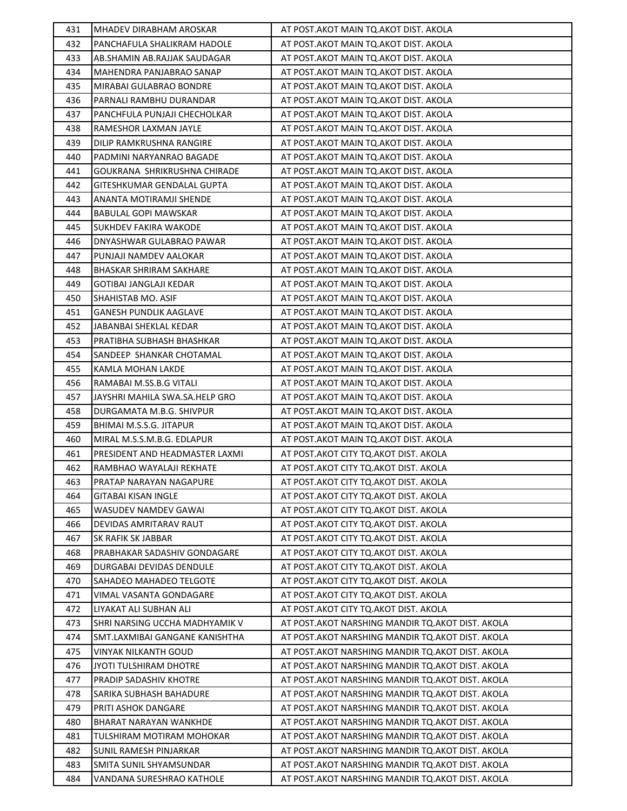| 431 | MHADEV DIRABHAM AROSKAR        | AT POST. AKOT MAIN TQ. AKOT DIST. AKOLA            |
|-----|--------------------------------|----------------------------------------------------|
| 432 | PANCHAFULA SHALIKRAM HADOLE    | AT POST. AKOT MAIN TO. AKOT DIST. AKOLA            |
| 433 | AB.SHAMIN AB.RAJJAK SAUDAGAR   | AT POST. AKOT MAIN TO. AKOT DIST. AKOLA            |
| 434 | MAHENDRA PANJABRAO SANAP       | AT POST. AKOT MAIN TO. AKOT DIST. AKOLA            |
| 435 | MIRABAI GULABRAO BONDRE        | AT POST. AKOT MAIN TO. AKOT DIST. AKOLA            |
| 436 | PARNALI RAMBHU DURANDAR        | AT POST. AKOT MAIN TO. AKOT DIST. AKOLA            |
| 437 | PANCHFULA PUNJAJI CHECHOLKAR   | AT POST. AKOT MAIN TQ. AKOT DIST. AKOLA            |
| 438 | RAMESHOR LAXMAN JAYLE          | AT POST. AKOT MAIN TO. AKOT DIST. AKOLA            |
| 439 | DILIP RAMKRUSHNA RANGIRE       | AT POST. AKOT MAIN TO. AKOT DIST. AKOLA            |
| 440 | PADMINI NARYANRAO BAGADE       | AT POST. AKOT MAIN TO. AKOT DIST. AKOLA            |
| 441 | GOUKRANA SHRIKRUSHNA CHIRADE   | AT POST. AKOT MAIN TO. AKOT DIST. AKOLA            |
| 442 | GITESHKUMAR GENDALAL GUPTA     | AT POST. AKOT MAIN TO. AKOT DIST. AKOLA            |
| 443 | ANANTA MOTIRAMJI SHENDE        | AT POST. AKOT MAIN TO. AKOT DIST. AKOLA            |
| 444 | BABULAL GOPI MAWSKAR           | AT POST.AKOT MAIN TQ.AKOT DIST. AKOLA              |
| 445 | SUKHDEV FAKIRA WAKODE          | AT POST. AKOT MAIN TO. AKOT DIST. AKOLA            |
| 446 | DNYASHWAR GULABRAO PAWAR       | AT POST. AKOT MAIN TO. AKOT DIST. AKOLA            |
| 447 | PUNJAJI NAMDEV AALOKAR         | AT POST. AKOT MAIN TO. AKOT DIST. AKOLA            |
| 448 | BHASKAR SHRIRAM SAKHARE        | AT POST. AKOT MAIN TO. AKOT DIST. AKOLA            |
| 449 | GOTIBAI JANGLAJI KEDAR         | AT POST. AKOT MAIN TO. AKOT DIST. AKOLA            |
| 450 | SHAHISTAB MO. ASIF             | AT POST. AKOT MAIN TQ. AKOT DIST. AKOLA            |
| 451 | GANESH PUNDLIK AAGLAVE         | AT POST.AKOT MAIN TQ.AKOT DIST. AKOLA              |
| 452 | JABANBAI SHEKLAL KEDAR         | AT POST. AKOT MAIN TO. AKOT DIST. AKOLA            |
| 453 | PRATIBHA SUBHASH BHASHKAR      | AT POST. AKOT MAIN TO. AKOT DIST. AKOLA            |
| 454 | SANDEEP SHANKAR CHOTAMAL       | AT POST.AKOT MAIN TQ.AKOT DIST. AKOLA              |
| 455 | KAMLA MOHAN LAKDE              | AT POST. AKOT MAIN TO. AKOT DIST. AKOLA            |
| 456 | RAMABAI M.SS.B.G VITALI        | AT POST. AKOT MAIN TQ. AKOT DIST. AKOLA            |
| 457 | JAYSHRI MAHILA SWA.SA.HELP GRO | AT POST. AKOT MAIN TQ. AKOT DIST. AKOLA            |
| 458 | DURGAMATA M.B.G. SHIVPUR       | AT POST. AKOT MAIN TO. AKOT DIST. AKOLA            |
| 459 | BHIMAI M.S.S.G. JITAPUR        | AT POST. AKOT MAIN TO. AKOT DIST. AKOLA            |
| 460 | MIRAL M.S.S.M.B.G. EDLAPUR     | AT POST. AKOT MAIN TO. AKOT DIST. AKOLA            |
| 461 | PRESIDENT AND HEADMASTER LAXMI | AT POST.AKOT CITY TQ.AKOT DIST. AKOLA              |
| 462 | RAMBHAO WAYALAJI REKHATE       | AT POST.AKOT CITY TQ.AKOT DIST. AKOLA              |
| 463 | PRATAP NARAYAN NAGAPURE        | AT POST.AKOT CITY TQ.AKOT DIST. AKOLA              |
| 464 | GITABAI KISAN INGLE            | AT POST.AKOT CITY TQ.AKOT DIST. AKOLA              |
| 465 | WASUDEV NAMDEV GAWAI           | AT POST.AKOT CITY TQ.AKOT DIST. AKOLA              |
| 466 | DEVIDAS AMRITARAV RAUT         | AT POST.AKOT CITY TQ.AKOT DIST. AKOLA              |
| 467 | SK RAFIK SK JABBAR             | AT POST.AKOT CITY TQ.AKOT DIST. AKOLA              |
| 468 | PRABHAKAR SADASHIV GONDAGARE   | AT POST.AKOT CITY TO.AKOT DIST. AKOLA              |
| 469 | DURGABAI DEVIDAS DENDULE       | AT POST.AKOT CITY TQ.AKOT DIST. AKOLA              |
| 470 | SAHADEO MAHADEO TELGOTE        | AT POST.AKOT CITY TQ.AKOT DIST. AKOLA              |
| 471 | VIMAL VASANTA GONDAGARE        | AT POST.AKOT CITY TQ.AKOT DIST. AKOLA              |
| 472 | LIYAKAT ALI SUBHAN ALI         | AT POST.AKOT CITY TQ.AKOT DIST. AKOLA              |
| 473 | SHRI NARSING UCCHA MADHYAMIK V | AT POST.AKOT NARSHING MANDIR TQ.AKOT DIST. AKOLA   |
| 474 | SMT.LAXMIBAI GANGANE KANISHTHA | AT POST. AKOT NARSHING MANDIR TQ. AKOT DIST. AKOLA |
| 475 | VINYAK NILKANTH GOUD           | AT POST.AKOT NARSHING MANDIR TQ.AKOT DIST. AKOLA   |
| 476 | JYOTI TULSHIRAM DHOTRE         | AT POST. AKOT NARSHING MANDIR TQ. AKOT DIST. AKOLA |
| 477 | PRADIP SADASHIV KHOTRE         | AT POST.AKOT NARSHING MANDIR TQ.AKOT DIST. AKOLA   |
| 478 | SARIKA SUBHASH BAHADURE        | AT POST.AKOT NARSHING MANDIR TQ.AKOT DIST. AKOLA   |
| 479 | PRITI ASHOK DANGARE            | AT POST.AKOT NARSHING MANDIR TQ.AKOT DIST. AKOLA   |
| 480 | BHARAT NARAYAN WANKHDE         | AT POST.AKOT NARSHING MANDIR TQ.AKOT DIST. AKOLA   |
| 481 | TULSHIRAM MOTIRAM MOHOKAR      | AT POST.AKOT NARSHING MANDIR TQ.AKOT DIST. AKOLA   |
| 482 | <b>SUNIL RAMESH PINJARKAR</b>  | AT POST.AKOT NARSHING MANDIR TQ.AKOT DIST. AKOLA   |
| 483 | SMITA SUNIL SHYAMSUNDAR        | AT POST.AKOT NARSHING MANDIR TQ.AKOT DIST. AKOLA   |
| 484 | VANDANA SURESHRAO KATHOLE      | AT POST.AKOT NARSHING MANDIR TQ.AKOT DIST. AKOLA   |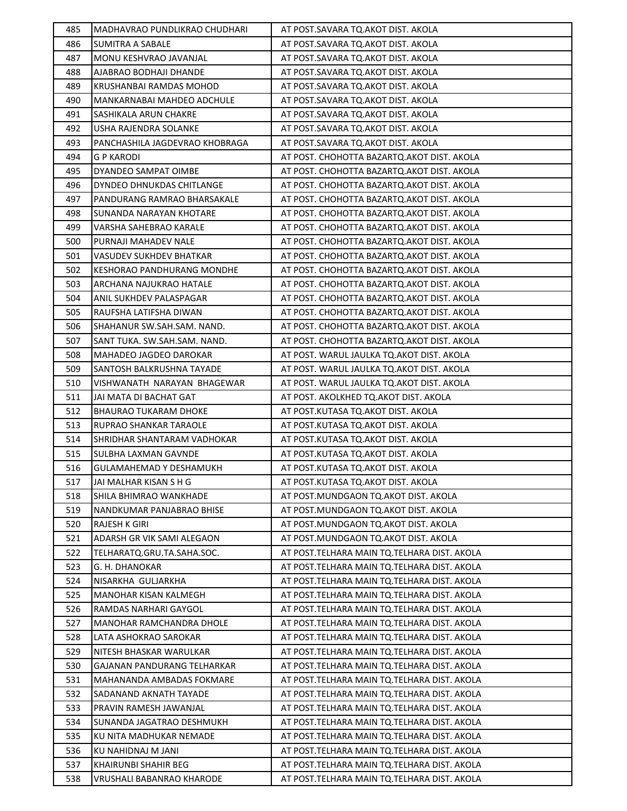| 485        | MADHAVRAO PUNDLIKRAO CHUDHARI                          | AT POST.SAVARA TQ.AKOT DIST. AKOLA                                                           |
|------------|--------------------------------------------------------|----------------------------------------------------------------------------------------------|
| 486        | SUMITRA A SABALE                                       | AT POST.SAVARA TQ.AKOT DIST. AKOLA                                                           |
| 487        | MONU KESHVRAO JAVANJAL                                 | AT POST.SAVARA TQ.AKOT DIST. AKOLA                                                           |
| 488        | AJABRAO BODHAJI DHANDE                                 | AT POST.SAVARA TQ.AKOT DIST. AKOLA                                                           |
| 489        | KRUSHANBAI RAMDAS MOHOD                                | AT POST.SAVARA TQ.AKOT DIST. AKOLA                                                           |
| 490        | MANKARNABAI MAHDEO ADCHULE                             | AT POST.SAVARA TQ.AKOT DIST. AKOLA                                                           |
| 491        | SASHIKALA ARUN CHAKRE                                  | AT POST.SAVARA TQ.AKOT DIST. AKOLA                                                           |
| 492        | USHA RAJENDRA SOLANKE                                  | AT POST.SAVARA TQ.AKOT DIST. AKOLA                                                           |
| 493        | PANCHASHILA JAGDEVRAO KHOBRAGA                         | AT POST.SAVARA TQ.AKOT DIST. AKOLA                                                           |
| 494        | G P KARODI                                             | AT POST. CHOHOTTA BAZARTQ. AKOT DIST. AKOLA                                                  |
| 495        | DYANDEO SAMPAT OIMBE                                   | AT POST. CHOHOTTA BAZARTQ.AKOT DIST. AKOLA                                                   |
| 496        | DYNDEO DHNUKDAS CHITLANGE                              | AT POST. CHOHOTTA BAZARTQ.AKOT DIST. AKOLA                                                   |
| 497        | PANDURANG RAMRAO BHARSAKALE                            | AT POST. CHOHOTTA BAZARTQ. AKOT DIST. AKOLA                                                  |
| 498        | SUNANDA NARAYAN KHOTARE                                | AT POST. CHOHOTTA BAZARTQ. AKOT DIST. AKOLA                                                  |
| 499        | VARSHA SAHEBRAO KARALE                                 | AT POST. CHOHOTTA BAZARTQ. AKOT DIST. AKOLA                                                  |
| 500        | PURNAJI MAHADEV NALE                                   | AT POST. CHOHOTTA BAZARTQ.AKOT DIST. AKOLA                                                   |
| 501        | VASUDEV SUKHDEV BHATKAR                                | AT POST. CHOHOTTA BAZARTQ. AKOT DIST. AKOLA                                                  |
| 502        | KESHORAO PANDHURANG MONDHE                             | AT POST. CHOHOTTA BAZARTQ.AKOT DIST. AKOLA                                                   |
| 503        | ARCHANA NAJUKRAO HATALE                                | AT POST. CHOHOTTA BAZARTQ. AKOT DIST. AKOLA                                                  |
| 504        | ANIL SUKHDEV PALASPAGAR                                | AT POST. CHOHOTTA BAZARTO.AKOT DIST. AKOLA                                                   |
| 505        | RAUFSHA LATIFSHA DIWAN                                 | AT POST. CHOHOTTA BAZARTQ.AKOT DIST. AKOLA                                                   |
| 506        | SHAHANUR SW.SAH.SAM. NAND.                             | AT POST. CHOHOTTA BAZARTQ.AKOT DIST. AKOLA                                                   |
| 507        | SANT TUKA. SW.SAH.SAM. NAND.                           | AT POST. CHOHOTTA BAZARTQ. AKOT DIST. AKOLA                                                  |
| 508        | MAHADEO JAGDEO DAROKAR                                 | AT POST. WARUL JAULKA TQ.AKOT DIST. AKOLA                                                    |
| 509        | SANTOSH BALKRUSHNA TAYADE                              | AT POST. WARUL JAULKA TQ.AKOT DIST. AKOLA                                                    |
| 510        | VISHWANATH NARAYAN BHAGEWAR                            | AT POST. WARUL JAULKA TQ.AKOT DIST. AKOLA                                                    |
| 511        | JAI MATA DI BACHAT GAT                                 | AT POST. AKOLKHED TQ.AKOT DIST. AKOLA                                                        |
|            |                                                        |                                                                                              |
| 512        | <b>BHAURAO TUKARAM DHOKE</b>                           | AT POST.KUTASA TQ.AKOT DIST. AKOLA                                                           |
| 513        | RUPRAO SHANKAR TARAOLE                                 | AT POST.KUTASA TQ.AKOT DIST. AKOLA                                                           |
| 514        | SHRIDHAR SHANTARAM VADHOKAR                            | AT POST.KUTASA TQ.AKOT DIST. AKOLA                                                           |
| 515        | SULBHA LAXMAN GAVNDE                                   | AT POST.KUTASA TO.AKOT DIST. AKOLA                                                           |
| 516        | GULAMAHEMAD Y DESHAMUKH                                | AT POST.KUTASA TQ.AKOT DIST. AKOLA                                                           |
| 517        | JAI MALHAR KISAN S H G                                 | AT POST.KUTASA TQ.AKOT DIST. AKOLA                                                           |
| 518        | SHILA BHIMRAO WANKHADE                                 | AT POST.MUNDGAON TQ.AKOT DIST. AKOLA                                                         |
| 519        | NANDKUMAR PANJABRAO BHISE                              | AT POST.MUNDGAON TQ.AKOT DIST. AKOLA                                                         |
| 520        | RAJESH K GIRI                                          | AT POST.MUNDGAON TO.AKOT DIST. AKOLA                                                         |
| 521        | ADARSH GR VIK SAMI ALEGAON                             | AT POST.MUNDGAON TQ.AKOT DIST. AKOLA                                                         |
| 522        | TELHARATQ.GRU.TA.SAHA.SOC.                             | AT POST. TELHARA MAIN TO. TELHARA DIST. AKOLA                                                |
| 523        | G. H. DHANOKAR                                         | AT POST. TELHARA MAIN TO. TELHARA DIST. AKOLA                                                |
| 524        | NISARKHA GULJARKHA                                     | AT POST. TELHARA MAIN TO. TELHARA DIST. AKOLA                                                |
| 525        | MANOHAR KISAN KALMEGH                                  | AT POST. TELHARA MAIN TO. TELHARA DIST. AKOLA                                                |
| 526        | RAMDAS NARHARI GAYGOL                                  | AT POST.TELHARA MAIN TQ.TELHARA DIST. AKOLA                                                  |
| 527        | MANOHAR RAMCHANDRA DHOLE                               | AT POST.TELHARA MAIN TQ.TELHARA DIST. AKOLA                                                  |
| 528        | LATA ASHOKRAO SAROKAR                                  | AT POST. TELHARA MAIN TO. TELHARA DIST. AKOLA                                                |
| 529<br>530 | NITESH BHASKAR WARULKAR<br>GAJANAN PANDURANG TELHARKAR | AT POST. TELHARA MAIN TO. TELHARA DIST. AKOLA<br>AT POST.TELHARA MAIN TQ.TELHARA DIST. AKOLA |
|            | MAHANANDA AMBADAS FOKMARE                              |                                                                                              |
| 531        | SADANAND AKNATH TAYADE                                 | AT POST. TELHARA MAIN TO. TELHARA DIST. AKOLA                                                |
| 532<br>533 | PRAVIN RAMESH JAWANJAL                                 | AT POST.TELHARA MAIN TQ.TELHARA DIST. AKOLA<br>AT POST. TELHARA MAIN TO. TELHARA DIST. AKOLA |
|            | SUNANDA JAGATRAO DESHMUKH                              | AT POST. TELHARA MAIN TO. TELHARA DIST. AKOLA                                                |
| 534<br>535 | KU NITA MADHUKAR NEMADE                                | AT POST. TELHARA MAIN TQ. TELHARA DIST. AKOLA                                                |
| 536        | KU NAHIDNAJ M JANI                                     | AT POST.TELHARA MAIN TQ.TELHARA DIST. AKOLA                                                  |
| 537        | KHAIRUNBI SHAHIR BEG                                   | AT POST. TELHARA MAIN TO. TELHARA DIST. AKOLA                                                |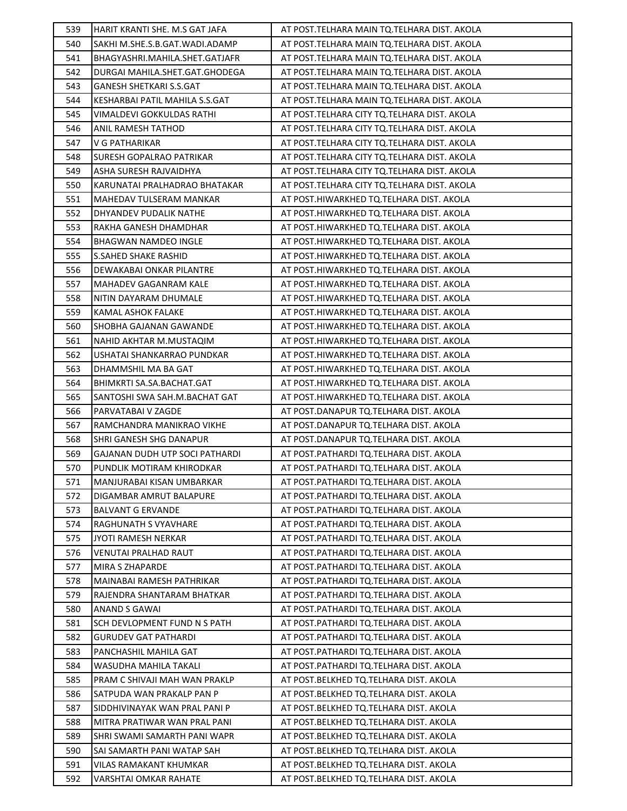| 539        | HARIT KRANTI SHE. M.S GAT JAFA          | AT POST. TELHARA MAIN TO. TELHARA DIST. AKOLA                                      |
|------------|-----------------------------------------|------------------------------------------------------------------------------------|
| 540        | SAKHI M.SHE.S.B.GAT.WADI.ADAMP          | AT POST.TELHARA MAIN TQ.TELHARA DIST. AKOLA                                        |
| 541        | BHAGYASHRI.MAHILA.SHET.GATJAFR          | AT POST. TELHARA MAIN TQ. TELHARA DIST. AKOLA                                      |
| 542        | DURGAI MAHILA.SHET.GAT.GHODEGA          | AT POST. TELHARA MAIN TQ. TELHARA DIST. AKOLA                                      |
| 543        | <b>GANESH SHETKARI S.S.GAT</b>          | AT POST. TELHARA MAIN TO. TELHARA DIST. AKOLA                                      |
| 544        | KESHARBAI PATIL MAHILA S.S.GAT          | AT POST. TELHARA MAIN TO. TELHARA DIST. AKOLA                                      |
| 545        | VIMALDEVI GOKKULDAS RATHI               | AT POST.TELHARA CITY TO.TELHARA DIST. AKOLA                                        |
| 546        | ANIL RAMESH TATHOD                      | AT POST.TELHARA CITY TQ.TELHARA DIST. AKOLA                                        |
| 547        | V G PATHARIKAR                          | AT POST.TELHARA CITY TQ.TELHARA DIST. AKOLA                                        |
| 548        | <b>SURESH GOPALRAO PATRIKAR</b>         | AT POST.TELHARA CITY TQ.TELHARA DIST. AKOLA                                        |
| 549        | ASHA SURESH RAJVAIDHYA                  | AT POST.TELHARA CITY TO.TELHARA DIST. AKOLA                                        |
| 550        | KARUNATAI PRALHADRAO BHATAKAR           | AT POST.TELHARA CITY TQ.TELHARA DIST. AKOLA                                        |
| 551        | MAHEDAV TULSERAM MANKAR                 | AT POST.HIWARKHED TQ.TELHARA DIST. AKOLA                                           |
| 552        | DHYANDEV PUDALIK NATHE                  | AT POST.HIWARKHED TQ.TELHARA DIST. AKOLA                                           |
| 553        | RAKHA GANESH DHAMDHAR                   | AT POST.HIWARKHED TQ.TELHARA DIST. AKOLA                                           |
| 554        | BHAGWAN NAMDEO INGLE                    | AT POST.HIWARKHED TQ.TELHARA DIST. AKOLA                                           |
| 555        | <b>S.SAHED SHAKE RASHID</b>             | AT POST.HIWARKHED TQ.TELHARA DIST. AKOLA                                           |
| 556        | DEWAKABAI ONKAR PILANTRE                | AT POST.HIWARKHED TQ.TELHARA DIST. AKOLA                                           |
| 557        | MAHADEV GAGANRAM KALE                   | AT POST.HIWARKHED TQ.TELHARA DIST. AKOLA                                           |
| 558        | NITIN DAYARAM DHUMALE                   | AT POST.HIWARKHED TQ.TELHARA DIST. AKOLA                                           |
| 559        | KAMAL ASHOK FALAKE                      | AT POST.HIWARKHED TQ.TELHARA DIST. AKOLA                                           |
| 560        | SHOBHA GAJANAN GAWANDE                  | AT POST.HIWARKHED TQ.TELHARA DIST. AKOLA                                           |
| 561        | NAHID AKHTAR M.MUSTAQIM                 | AT POST.HIWARKHED TQ.TELHARA DIST. AKOLA                                           |
| 562        | USHATAI SHANKARRAO PUNDKAR              | AT POST.HIWARKHED TQ.TELHARA DIST. AKOLA                                           |
| 563        | DHAMMSHIL MA BA GAT                     | AT POST.HIWARKHED TQ.TELHARA DIST. AKOLA                                           |
| 564        | BHIMKRTI SA.SA.BACHAT.GAT               | AT POST.HIWARKHED TQ.TELHARA DIST. AKOLA                                           |
| 565        | SANTOSHI SWA SAH.M.BACHAT GAT           | AT POST.HIWARKHED TQ.TELHARA DIST. AKOLA                                           |
| 566        | PARVATABAI V ZAGDE                      | AT POST.DANAPUR TQ.TELHARA DIST. AKOLA                                             |
| 567        | RAMCHANDRA MANIKRAO VIKHE               | AT POST.DANAPUR TQ.TELHARA DIST. AKOLA                                             |
| 568        | SHRI GANESH SHG DANAPUR                 | AT POST.DANAPUR TQ.TELHARA DIST. AKOLA                                             |
| 569        | GAJANAN DUDH UTP SOCI PATHARDI          | AT POST.PATHARDI TQ.TELHARA DIST. AKOLA                                            |
| 570        | PUNDLIK MOTIRAM KHIRODKAR               | AT POST.PATHARDI TQ.TELHARA DIST. AKOLA                                            |
| 571        | MANJURABAI KISAN UMBARKAR               | AT POST.PATHARDI TQ.TELHARA DIST. AKOLA                                            |
| 572        | DIGAMBAR AMRUT BALAPURE                 | AT POST. PATHARDI TQ. TELHARA DIST. AKOLA                                          |
| 573        | <b>BALVANT G ERVANDE</b>                | AT POST.PATHARDI TQ.TELHARA DIST. AKOLA                                            |
| 574        | RAGHUNATH S VYAVHARE                    | AT POST.PATHARDI TQ.TELHARA DIST. AKOLA                                            |
| 575        | JYOTI RAMESH NERKAR                     | AT POST.PATHARDI TQ.TELHARA DIST. AKOLA                                            |
| 576<br>577 | VENUTAI PRALHAD RAUT<br>MIRA S ZHAPARDE | AT POST.PATHARDI TQ.TELHARA DIST. AKOLA<br>AT POST.PATHARDI TQ.TELHARA DIST. AKOLA |
| 578        | MAINABAI RAMESH PATHRIKAR               | AT POST.PATHARDI TQ.TELHARA DIST. AKOLA                                            |
| 579        | RAJENDRA SHANTARAM BHATKAR              | AT POST.PATHARDI TQ.TELHARA DIST. AKOLA                                            |
| 580        | <b>ANAND S GAWAI</b>                    | AT POST. PATHARDI TQ. TELHARA DIST. AKOLA                                          |
| 581        | SCH DEVLOPMENT FUND N S PATH            | AT POST.PATHARDI TQ.TELHARA DIST. AKOLA                                            |
| 582        | <b>GURUDEV GAT PATHARDI</b>             | AT POST.PATHARDI TQ.TELHARA DIST. AKOLA                                            |
| 583        | PANCHASHIL MAHILA GAT                   | AT POST.PATHARDI TQ.TELHARA DIST. AKOLA                                            |
| 584        | WASUDHA MAHILA TAKALI                   | AT POST.PATHARDI TQ.TELHARA DIST. AKOLA                                            |
| 585        | PRAM C SHIVAJI MAH WAN PRAKLP           | AT POST. BELKHED TQ. TELHARA DIST. AKOLA                                           |
| 586        | SATPUDA WAN PRAKALP PAN P               | AT POST.BELKHED TQ.TELHARA DIST. AKOLA                                             |
| 587        | SIDDHIVINAYAK WAN PRAL PANI P           | AT POST.BELKHED TQ.TELHARA DIST. AKOLA                                             |
| 588        | MITRA PRATIWAR WAN PRAL PANI            | AT POST.BELKHED TQ.TELHARA DIST. AKOLA                                             |
| 589        | SHRI SWAMI SAMARTH PANI WAPR            | AT POST.BELKHED TQ.TELHARA DIST. AKOLA                                             |
| 590        | SAI SAMARTH PANI WATAP SAH              | AT POST.BELKHED TQ.TELHARA DIST. AKOLA                                             |
| 591        | VILAS RAMAKANT KHUMKAR                  | AT POST.BELKHED TQ.TELHARA DIST. AKOLA                                             |
|            |                                         | AT POST.BELKHED TQ.TELHARA DIST. AKOLA                                             |
| 592        | VARSHTAI OMKAR RAHATE                   |                                                                                    |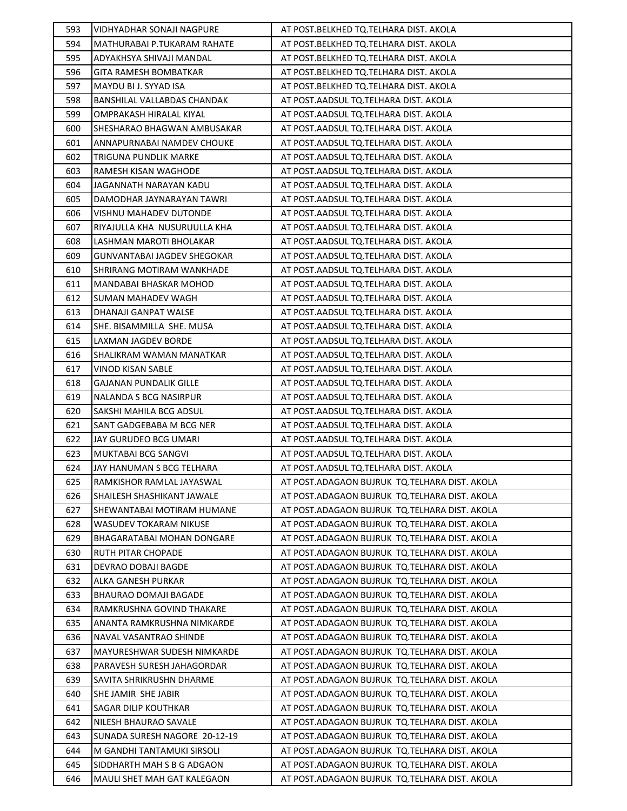| 593 | VIDHYADHAR SONAJI NAGPURE     | AT POST. BELKHED TQ. TELHARA DIST. AKOLA        |
|-----|-------------------------------|-------------------------------------------------|
| 594 | MATHURABAI P.TUKARAM RAHATE   | AT POST. BELKHED TQ. TELHARA DIST. AKOLA        |
| 595 | ADYAKHSYA SHIVAJI MANDAL      | AT POST. BELKHED TQ. TELHARA DIST. AKOLA        |
| 596 | GITA RAMESH BOMBATKAR         | AT POST.BELKHED TQ.TELHARA DIST. AKOLA          |
| 597 | MAYDU BI J. SYYAD ISA         | AT POST.BELKHED TQ.TELHARA DIST. AKOLA          |
| 598 | BANSHILAL VALLABDAS CHANDAK   | AT POST.AADSUL TQ.TELHARA DIST. AKOLA           |
| 599 | OMPRAKASH HIRALAL KIYAL       | AT POST.AADSUL TQ.TELHARA DIST. AKOLA           |
| 600 | SHESHARAO BHAGWAN AMBUSAKAR   | AT POST.AADSUL TQ.TELHARA DIST. AKOLA           |
| 601 | ANNAPURNABAI NAMDEV CHOUKE    | AT POST.AADSUL TQ.TELHARA DIST. AKOLA           |
| 602 | TRIGUNA PUNDLIK MARKE         | AT POST.AADSUL TQ.TELHARA DIST. AKOLA           |
| 603 | RAMESH KISAN WAGHODE          | AT POST.AADSUL TQ.TELHARA DIST. AKOLA           |
| 604 | JAGANNATH NARAYAN KADU        | AT POST.AADSUL TQ.TELHARA DIST. AKOLA           |
| 605 | DAMODHAR JAYNARAYAN TAWRI     | AT POST.AADSUL TQ.TELHARA DIST. AKOLA           |
| 606 | VISHNU MAHADEV DUTONDE        | AT POST.AADSUL TQ.TELHARA DIST. AKOLA           |
| 607 | RIYAJULLA KHA NUSURUULLA KHA  | AT POST.AADSUL TQ.TELHARA DIST. AKOLA           |
| 608 | LASHMAN MAROTI BHOLAKAR       | AT POST.AADSUL TQ.TELHARA DIST. AKOLA           |
| 609 | GUNVANTABAI JAGDEV SHEGOKAR   | AT POST.AADSUL TQ.TELHARA DIST. AKOLA           |
| 610 | SHRIRANG MOTIRAM WANKHADE     | AT POST.AADSUL TQ.TELHARA DIST. AKOLA           |
| 611 | MANDABAI BHASKAR MOHOD        | AT POST.AADSUL TQ.TELHARA DIST. AKOLA           |
| 612 | SUMAN MAHADEV WAGH            | AT POST.AADSUL TQ.TELHARA DIST. AKOLA           |
| 613 | DHANAJI GANPAT WALSE          | AT POST.AADSUL TQ.TELHARA DIST. AKOLA           |
| 614 | SHE. BISAMMILLA SHE. MUSA     | AT POST.AADSUL TQ.TELHARA DIST. AKOLA           |
| 615 | LAXMAN JAGDEV BORDE           | AT POST.AADSUL TQ.TELHARA DIST. AKOLA           |
| 616 | SHALIKRAM WAMAN MANATKAR      | AT POST.AADSUL TQ.TELHARA DIST. AKOLA           |
| 617 | VINOD KISAN SABLE             | AT POST.AADSUL TQ.TELHARA DIST. AKOLA           |
| 618 | GAJANAN PUNDALIK GILLE        | AT POST.AADSUL TQ.TELHARA DIST. AKOLA           |
| 619 | NALANDA S BCG NASIRPUR        | AT POST.AADSUL TQ.TELHARA DIST. AKOLA           |
| 620 | SAKSHI MAHILA BCG ADSUL       | AT POST.AADSUL TQ.TELHARA DIST. AKOLA           |
| 621 | SANT GADGEBABA M BCG NER      | AT POST.AADSUL TQ.TELHARA DIST. AKOLA           |
| 622 | JAY GURUDEO BCG UMARI         | AT POST.AADSUL TQ.TELHARA DIST. AKOLA           |
| 623 | MUKTABAI BCG SANGVI           | AT POST.AADSUL TQ.TELHARA DIST. AKOLA           |
| 624 | JAY HANUMAN S BCG TELHARA     | AT POST.AADSUL TQ.TELHARA DIST. AKOLA           |
| 625 | RAMKISHOR RAMLAL JAYASWAL     | AT POST.ADAGAON BUJRUK TQ.TELHARA DIST. AKOLA   |
| 626 | SHAILESH SHASHIKANT JAWALE    | AT POST.ADAGAON BUJRUK TQ.TELHARA DIST. AKOLA   |
| 627 | SHEWANTABAI MOTIRAM HUMANE    | AT POST.ADAGAON BUJRUK TQ.TELHARA DIST. AKOLA   |
| 628 | WASUDEV TOKARAM NIKUSE        | AT POST.ADAGAON BUJRUK TQ.TELHARA DIST. AKOLA   |
| 629 | BHAGARATABAI MOHAN DONGARE    | AT POST. ADAGAON BUJRUK TO. TELHARA DIST. AKOLA |
| 630 | RUTH PITAR CHOPADE            | AT POST.ADAGAON BUJRUK TQ.TELHARA DIST. AKOLA   |
| 631 | DEVRAO DOBAJI BAGDE           | AT POST. ADAGAON BUJRUK TO. TELHARA DIST. AKOLA |
| 632 | ALKA GANESH PURKAR            | AT POST. ADAGAON BUJRUK TO. TELHARA DIST. AKOLA |
| 633 | <b>BHAURAO DOMAJI BAGADE</b>  | AT POST. ADAGAON BUJRUK TO. TELHARA DIST. AKOLA |
| 634 | RAMKRUSHNA GOVIND THAKARE     | AT POST.ADAGAON BUJRUK TQ.TELHARA DIST. AKOLA   |
| 635 | ANANTA RAMKRUSHNA NIMKARDE    | AT POST.ADAGAON BUJRUK TQ.TELHARA DIST. AKOLA   |
| 636 | NAVAL VASANTRAO SHINDE        | AT POST. ADAGAON BUJRUK TO. TELHARA DIST. AKOLA |
| 637 | MAYURESHWAR SUDESH NIMKARDE   | AT POST. ADAGAON BUJRUK TQ. TELHARA DIST. AKOLA |
| 638 | PARAVESH SURESH JAHAGORDAR    | AT POST. ADAGAON BUJRUK TO. TELHARA DIST. AKOLA |
| 639 | SAVITA SHRIKRUSHN DHARME      | AT POST. ADAGAON BUJRUK TO. TELHARA DIST. AKOLA |
| 640 | SHE JAMIR SHE JABIR           | AT POST.ADAGAON BUJRUK TQ.TELHARA DIST. AKOLA   |
| 641 | SAGAR DILIP KOUTHKAR          | AT POST. ADAGAON BUJRUK TO. TELHARA DIST. AKOLA |
| 642 | NILESH BHAURAO SAVALE         | AT POST. ADAGAON BUJRUK TO. TELHARA DIST. AKOLA |
| 643 | SUNADA SURESH NAGORE 20-12-19 | AT POST.ADAGAON BUJRUK TQ.TELHARA DIST. AKOLA   |
| 644 | M GANDHI TANTAMUKI SIRSOLI    | AT POST.ADAGAON BUJRUK TQ.TELHARA DIST. AKOLA   |
| 645 | SIDDHARTH MAH S B G ADGAON    | AT POST. ADAGAON BUJRUK TO. TELHARA DIST. AKOLA |
| 646 | MAULI SHET MAH GAT KALEGAON   | AT POST. ADAGAON BUJRUK TO. TELHARA DIST. AKOLA |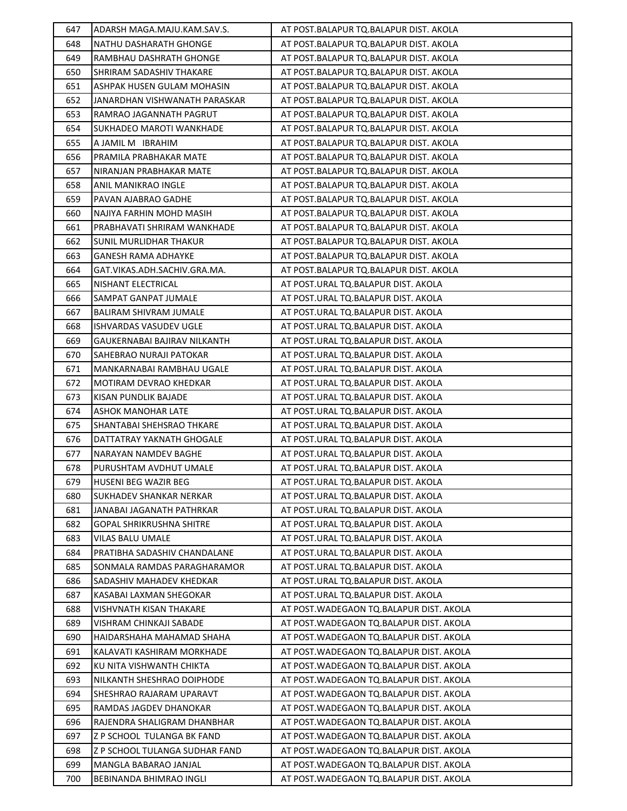| 647 | ADARSH MAGA.MAJU.KAM.SAV.S.    | AT POST.BALAPUR TQ.BALAPUR DIST. AKOLA    |
|-----|--------------------------------|-------------------------------------------|
| 648 | NATHU DASHARATH GHONGE         | AT POST.BALAPUR TQ.BALAPUR DIST. AKOLA    |
| 649 | RAMBHAU DASHRATH GHONGE        | AT POST.BALAPUR TQ.BALAPUR DIST. AKOLA    |
| 650 | SHRIRAM SADASHIV THAKARE       | AT POST.BALAPUR TQ.BALAPUR DIST. AKOLA    |
| 651 | ASHPAK HUSEN GULAM MOHASIN     | AT POST.BALAPUR TQ.BALAPUR DIST. AKOLA    |
| 652 | JANARDHAN VISHWANATH PARASKAR  | AT POST.BALAPUR TQ.BALAPUR DIST. AKOLA    |
| 653 | RAMRAO JAGANNATH PAGRUT        | AT POST.BALAPUR TQ.BALAPUR DIST. AKOLA    |
| 654 | SUKHADEO MAROTI WANKHADE       | AT POST.BALAPUR TQ.BALAPUR DIST. AKOLA    |
| 655 | A JAMIL M IBRAHIM              | AT POST.BALAPUR TQ.BALAPUR DIST. AKOLA    |
| 656 | PRAMILA PRABHAKAR MATE         | AT POST.BALAPUR TQ.BALAPUR DIST. AKOLA    |
| 657 | NIRANJAN PRABHAKAR MATE        | AT POST.BALAPUR TQ.BALAPUR DIST. AKOLA    |
| 658 | ANIL MANIKRAO INGLE            | AT POST.BALAPUR TQ.BALAPUR DIST. AKOLA    |
| 659 | PAVAN AJABRAO GADHE            | AT POST.BALAPUR TQ.BALAPUR DIST. AKOLA    |
| 660 | NAJIYA FARHIN MOHD MASIH       | AT POST.BALAPUR TQ.BALAPUR DIST. AKOLA    |
| 661 | PRABHAVATI SHRIRAM WANKHADE    | AT POST.BALAPUR TQ.BALAPUR DIST. AKOLA    |
| 662 | <b>SUNIL MURLIDHAR THAKUR</b>  | AT POST.BALAPUR TQ.BALAPUR DIST. AKOLA    |
| 663 | GANESH RAMA ADHAYKE            | AT POST.BALAPUR TQ.BALAPUR DIST. AKOLA    |
| 664 | GAT.VIKAS.ADH.SACHIV.GRA.MA.   | AT POST.BALAPUR TQ.BALAPUR DIST. AKOLA    |
| 665 | NISHANT ELECTRICAL             | AT POST.URAL TQ.BALAPUR DIST. AKOLA       |
| 666 | SAMPAT GANPAT JUMALE           | AT POST.URAL TQ.BALAPUR DIST. AKOLA       |
| 667 | BALIRAM SHIVRAM JUMALE         | AT POST.URAL TQ.BALAPUR DIST. AKOLA       |
| 668 | ISHVARDAS VASUDEV UGLE         | AT POST.URAL TQ.BALAPUR DIST. AKOLA       |
| 669 | GAUKERNABAI BAJIRAV NILKANTH   | AT POST.URAL TQ.BALAPUR DIST. AKOLA       |
| 670 | SAHEBRAO NURAJI PATOKAR        | AT POST.URAL TQ.BALAPUR DIST. AKOLA       |
| 671 | MANKARNABAI RAMBHAU UGALE      | AT POST.URAL TQ.BALAPUR DIST. AKOLA       |
| 672 | MOTIRAM DEVRAO KHEDKAR         | AT POST.URAL TQ.BALAPUR DIST. AKOLA       |
| 673 | KISAN PUNDLIK BAJADE           | AT POST.URAL TQ.BALAPUR DIST. AKOLA       |
| 674 | <b>ASHOK MANOHAR LATE</b>      | AT POST.URAL TQ.BALAPUR DIST. AKOLA       |
| 675 | SHANTABAI SHEHSRAO THKARE      | AT POST.URAL TQ.BALAPUR DIST. AKOLA       |
| 676 | DATTATRAY YAKNATH GHOGALE      | AT POST.URAL TQ.BALAPUR DIST. AKOLA       |
| 677 | NARAYAN NAMDEV BAGHE           | AT POST.URAL TQ.BALAPUR DIST. AKOLA       |
| 678 | PURUSHTAM AVDHUT UMALE         | AT POST.URAL TQ.BALAPUR DIST. AKOLA       |
| 679 | HUSENI BEG WAZIR BEG           | AT POST.URAL TQ.BALAPUR DIST. AKOLA       |
| 680 | SUKHADEV SHANKAR NERKAR        | AT POST.URAL TQ.BALAPUR DIST. AKOLA       |
| 681 | JANABAI JAGANATH PATHRKAR      | AT POST.URAL TQ.BALAPUR DIST. AKOLA       |
| 682 | GOPAL SHRIKRUSHNA SHITRE       | AT POST.URAL TQ.BALAPUR DIST. AKOLA       |
| 683 | VILAS BALU UMALE               | AT POST.URAL TQ.BALAPUR DIST. AKOLA       |
| 684 | PRATIBHA SADASHIV CHANDALANE   | AT POST.URAL TQ.BALAPUR DIST. AKOLA       |
| 685 | SONMALA RAMDAS PARAGHARAMOR    | AT POST.URAL TQ.BALAPUR DIST. AKOLA       |
| 686 | SADASHIV MAHADEV KHEDKAR       | AT POST.URAL TQ.BALAPUR DIST. AKOLA       |
| 687 | KASABAI LAXMAN SHEGOKAR        | AT POST.URAL TQ.BALAPUR DIST. AKOLA       |
| 688 | VISHVNATH KISAN THAKARE        | AT POST. WADEGAON TO. BALAPUR DIST. AKOLA |
| 689 | VISHRAM CHINKAJI SABADE        | AT POST.WADEGAON TQ.BALAPUR DIST. AKOLA   |
| 690 | HAIDARSHAHA MAHAMAD SHAHA      | AT POST. WADEGAON TO. BALAPUR DIST. AKOLA |
| 691 | KALAVATI KASHIRAM MORKHADE     | AT POST. WADEGAON TO. BALAPUR DIST. AKOLA |
| 692 | KU NITA VISHWANTH CHIKTA       | AT POST.WADEGAON TQ.BALAPUR DIST. AKOLA   |
| 693 | NILKANTH SHESHRAO DOIPHODE     | AT POST.WADEGAON TQ.BALAPUR DIST. AKOLA   |
| 694 | SHESHRAO RAJARAM UPARAVT       | AT POST.WADEGAON TQ.BALAPUR DIST. AKOLA   |
| 695 | RAMDAS JAGDEV DHANOKAR         | AT POST. WADEGAON TO. BALAPUR DIST. AKOLA |
| 696 | RAJENDRA SHALIGRAM DHANBHAR    | AT POST. WADEGAON TO. BALAPUR DIST. AKOLA |
| 697 | Z P SCHOOL TULANGA BK FAND     | AT POST.WADEGAON TQ.BALAPUR DIST. AKOLA   |
| 698 | Z P SCHOOL TULANGA SUDHAR FAND | AT POST. WADEGAON TO. BALAPUR DIST. AKOLA |
| 699 | MANGLA BABARAO JANJAL          | AT POST.WADEGAON TQ.BALAPUR DIST. AKOLA   |
| 700 | BEBINANDA BHIMRAO INGLI        | AT POST. WADEGAON TO. BALAPUR DIST. AKOLA |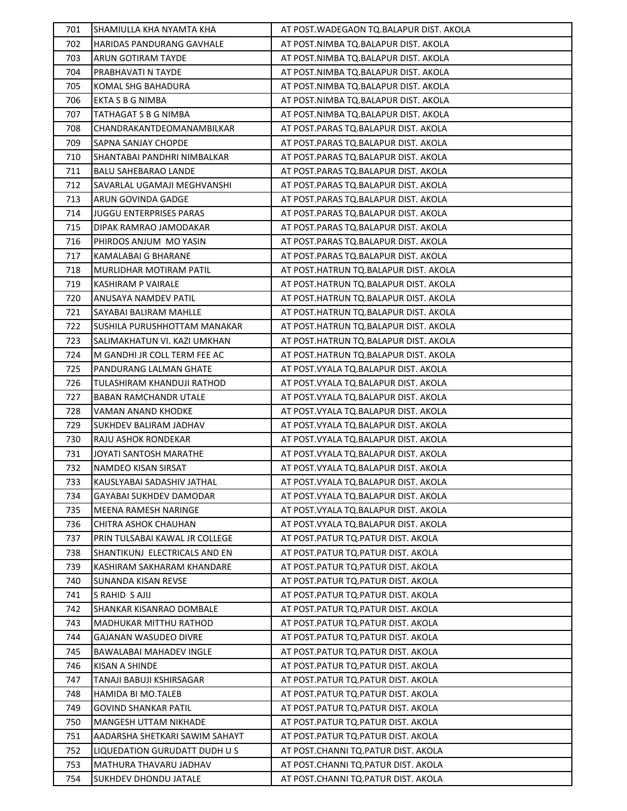| 701 | SHAMIULLA KHA NYAMTA KHA       | AT POST. WADEGAON TO. BALAPUR DIST. AKOLA |
|-----|--------------------------------|-------------------------------------------|
| 702 | HARIDAS PANDURANG GAVHALE      | AT POST.NIMBA TQ.BALAPUR DIST. AKOLA      |
| 703 | ARUN GOTIRAM TAYDE             | AT POST.NIMBA TQ.BALAPUR DIST. AKOLA      |
| 704 | PRABHAVATI N TAYDE             | AT POST.NIMBA TQ.BALAPUR DIST. AKOLA      |
| 705 | KOMAL SHG BAHADURA             | AT POST.NIMBA TQ.BALAPUR DIST. AKOLA      |
| 706 | EKTA S B G NIMBA               | AT POST.NIMBA TQ.BALAPUR DIST. AKOLA      |
| 707 | TATHAGAT S B G NIMBA           | AT POST.NIMBA TQ.BALAPUR DIST. AKOLA      |
| 708 | CHANDRAKANTDEOMANAMBILKAR      | AT POST.PARAS TQ.BALAPUR DIST. AKOLA      |
| 709 | SAPNA SANJAY CHOPDE            | AT POST.PARAS TQ.BALAPUR DIST. AKOLA      |
| 710 | SHANTABAI PANDHRI NIMBALKAR    | AT POST.PARAS TQ.BALAPUR DIST. AKOLA      |
| 711 | <b>BALU SAHEBARAO LANDE</b>    | AT POST.PARAS TQ.BALAPUR DIST. AKOLA      |
| 712 | SAVARLAL UGAMAJI MEGHVANSHI    | AT POST.PARAS TQ.BALAPUR DIST. AKOLA      |
| 713 | ARUN GOVINDA GADGE             | AT POST.PARAS TQ.BALAPUR DIST. AKOLA      |
| 714 | JUGGU ENTERPRISES PARAS        | AT POST.PARAS TQ.BALAPUR DIST. AKOLA      |
| 715 | DIPAK RAMRAO JAMODAKAR         | AT POST.PARAS TQ.BALAPUR DIST. AKOLA      |
| 716 | PHIRDOS ANJUM MO YASIN         | AT POST.PARAS TQ.BALAPUR DIST. AKOLA      |
| 717 | KAMALABAI G BHARANE            | AT POST.PARAS TQ.BALAPUR DIST. AKOLA      |
| 718 | MURLIDHAR MOTIRAM PATIL        | AT POST.HATRUN TQ.BALAPUR DIST. AKOLA     |
| 719 | KASHIRAM P VAIRALE             | AT POST.HATRUN TQ.BALAPUR DIST. AKOLA     |
| 720 | ANUSAYA NAMDEV PATIL           | AT POST.HATRUN TQ.BALAPUR DIST. AKOLA     |
| 721 | SAYABAI BALIRAM MAHLLE         | AT POST.HATRUN TQ.BALAPUR DIST. AKOLA     |
| 722 | SUSHILA PURUSHHOTTAM MANAKAR   | AT POST.HATRUN TQ.BALAPUR DIST. AKOLA     |
| 723 | SALIMAKHATUN VI. KAZI UMKHAN   | AT POST.HATRUN TQ.BALAPUR DIST. AKOLA     |
| 724 | M GANDHI JR COLL TERM FEE AC   | AT POST.HATRUN TQ.BALAPUR DIST. AKOLA     |
| 725 | PANDURANG LALMAN GHATE         | AT POST. VYALA TQ. BALAPUR DIST. AKOLA    |
| 726 | TULASHIRAM KHANDUJI RATHOD     | AT POST. VYALA TQ. BALAPUR DIST. AKOLA    |
| 727 | <b>BABAN RAMCHANDR UTALE</b>   | AT POST. VYALA TQ. BALAPUR DIST. AKOLA    |
| 728 | VAMAN ANAND KHODKE             | AT POST. VYALA TQ. BALAPUR DIST. AKOLA    |
| 729 | SUKHDEV BALIRAM JADHAV         | AT POST. VYALA TQ. BALAPUR DIST. AKOLA    |
| 730 | RAJU ASHOK RONDEKAR            | AT POST. VYALA TQ. BALAPUR DIST. AKOLA    |
| 731 | JOYATI SANTOSH MARATHE         | AT POST. VYALA TQ. BALAPUR DIST. AKOLA    |
| 732 | NAMDEO KISAN SIRSAT            | AT POST. VYALA TQ. BALAPUR DIST. AKOLA    |
| 733 | KAUSLYABAI SADASHIV JATHAL     | AT POST. VYALA TQ. BALAPUR DIST. AKOLA    |
| 734 | GAYABAI SUKHDEV DAMODAR        | AT POST.VYALA TQ.BALAPUR DIST. AKOLA      |
| 735 | MEENA RAMESH NARINGE           | AT POST. VYALA TQ. BALAPUR DIST. AKOLA    |
| 736 | CHITRA ASHOK CHAUHAN           | AT POST.VYALA TQ.BALAPUR DIST. AKOLA      |
| 737 | PRIN TULSABAI KAWAL JR COLLEGE | AT POST.PATUR TQ.PATUR DIST. AKOLA        |
| 738 | SHANTIKUNJ ELECTRICALS AND EN  | AT POST. PATUR TO. PATUR DIST. AKOLA      |
| 739 | KASHIRAM SAKHARAM KHANDARE     | AT POST.PATUR TQ.PATUR DIST. AKOLA        |
| 740 | SUNANDA KISAN REVSE            | AT POST. PATUR TQ. PATUR DIST. AKOLA      |
| 741 | S RAHID S AJIJ                 | AT POST. PATUR TO. PATUR DIST. AKOLA      |
| 742 | SHANKAR KISANRAO DOMBALE       | AT POST. PATUR TO. PATUR DIST. AKOLA      |
| 743 | MADHUKAR MITTHU RATHOD         | AT POST.PATUR TQ.PATUR DIST. AKOLA        |
| 744 | GAJANAN WASUDEO DIVRE          | AT POST. PATUR TQ. PATUR DIST. AKOLA      |
| 745 | BAWALABAI MAHADEV INGLE        | AT POST. PATUR TQ. PATUR DIST. AKOLA      |
| 746 | KISAN A SHINDE                 | AT POST. PATUR TQ. PATUR DIST. AKOLA      |
| 747 | TANAJI BABUJI KSHIRSAGAR       | AT POST.PATUR TQ.PATUR DIST. AKOLA        |
| 748 | HAMIDA BI MO.TALEB             | AT POST. PATUR TO. PATUR DIST. AKOLA      |
| 749 | GOVIND SHANKAR PATIL           | AT POST. PATUR TQ. PATUR DIST. AKOLA      |
| 750 | MANGESH UTTAM NIKHADE          | AT POST. PATUR TQ. PATUR DIST. AKOLA      |
| 751 | AADARSHA SHETKARI SAWIM SAHAYT | AT POST.PATUR TQ.PATUR DIST. AKOLA        |
| 752 | LIQUEDATION GURUDATT DUDH U S  | AT POST.CHANNI TQ.PATUR DIST. AKOLA       |
| 753 | MATHURA THAVARU JADHAV         | AT POST.CHANNI TQ.PATUR DIST. AKOLA       |
| 754 | <b>SUKHDEV DHONDU JATALE</b>   | AT POST.CHANNI TQ.PATUR DIST. AKOLA       |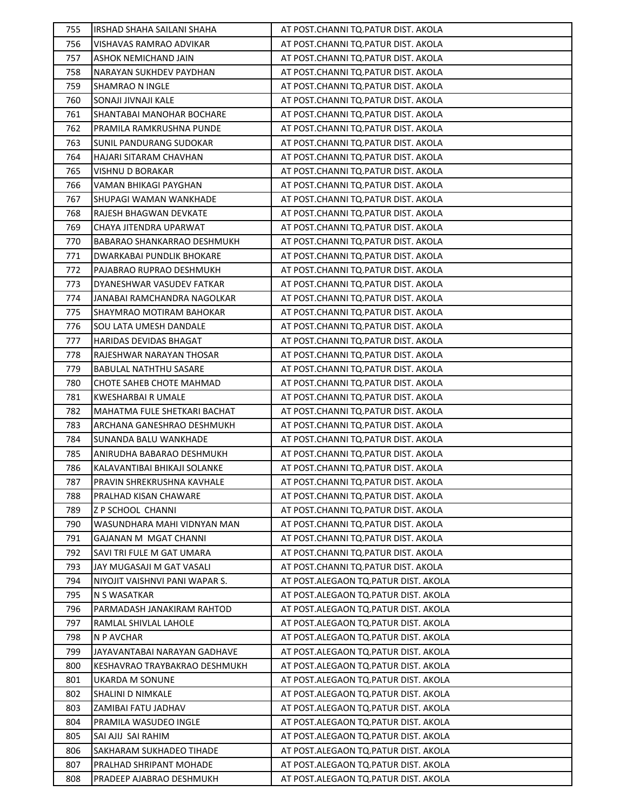| 755 | IRSHAD SHAHA SAILANI SHAHA     | AT POST.CHANNI TQ.PATUR DIST. AKOLA  |
|-----|--------------------------------|--------------------------------------|
| 756 | VISHAVAS RAMRAO ADVIKAR        | AT POST.CHANNI TQ.PATUR DIST. AKOLA  |
| 757 | ASHOK NEMICHAND JAIN           | AT POST.CHANNI TQ.PATUR DIST. AKOLA  |
| 758 | NARAYAN SUKHDEV PAYDHAN        | AT POST.CHANNI TQ.PATUR DIST. AKOLA  |
| 759 | SHAMRAO N INGLE                | AT POST.CHANNI TQ.PATUR DIST. AKOLA  |
| 760 | SONAJI JIVNAJI KALE            | AT POST.CHANNI TQ.PATUR DIST. AKOLA  |
| 761 | SHANTABAI MANOHAR BOCHARE      | AT POST.CHANNI TQ.PATUR DIST. AKOLA  |
| 762 | PRAMILA RAMKRUSHNA PUNDE       | AT POST.CHANNI TQ.PATUR DIST. AKOLA  |
| 763 | SUNIL PANDURANG SUDOKAR        | AT POST.CHANNI TQ.PATUR DIST. AKOLA  |
| 764 | HAJARI SITARAM CHAVHAN         | AT POST.CHANNI TQ.PATUR DIST. AKOLA  |
| 765 | VISHNU D BORAKAR               | AT POST.CHANNI TQ.PATUR DIST. AKOLA  |
| 766 | VAMAN BHIKAGI PAYGHAN          | AT POST.CHANNI TQ.PATUR DIST. AKOLA  |
| 767 | SHUPAGI WAMAN WANKHADE         | AT POST.CHANNI TQ.PATUR DIST. AKOLA  |
| 768 | RAJESH BHAGWAN DEVKATE         | AT POST.CHANNI TQ.PATUR DIST. AKOLA  |
| 769 | CHAYA JITENDRA UPARWAT         | AT POST.CHANNI TQ.PATUR DIST. AKOLA  |
| 770 | BABARAO SHANKARRAO DESHMUKH    | AT POST.CHANNI TQ.PATUR DIST. AKOLA  |
| 771 | DWARKABAI PUNDLIK BHOKARE      | AT POST.CHANNI TQ.PATUR DIST. AKOLA  |
| 772 | PAJABRAO RUPRAO DESHMUKH       | AT POST.CHANNI TQ.PATUR DIST. AKOLA  |
| 773 | DYANESHWAR VASUDEV FATKAR      | AT POST.CHANNI TQ.PATUR DIST. AKOLA  |
| 774 | JANABAI RAMCHANDRA NAGOLKAR    | AT POST.CHANNI TQ.PATUR DIST. AKOLA  |
| 775 | SHAYMRAO MOTIRAM BAHOKAR       | AT POST.CHANNI TQ.PATUR DIST. AKOLA  |
| 776 | SOU LATA UMESH DANDALE         | AT POST.CHANNI TQ.PATUR DIST. AKOLA  |
| 777 | HARIDAS DEVIDAS BHAGAT         | AT POST.CHANNI TQ.PATUR DIST. AKOLA  |
| 778 | RAJESHWAR NARAYAN THOSAR       | AT POST.CHANNI TQ.PATUR DIST. AKOLA  |
| 779 | BABULAL NATHTHU SASARE         | AT POST.CHANNI TQ.PATUR DIST. AKOLA  |
| 780 | CHOTE SAHEB CHOTE MAHMAD       | AT POST.CHANNI TQ.PATUR DIST. AKOLA  |
| 781 | KWESHARBAI R UMALE             | AT POST.CHANNI TQ.PATUR DIST. AKOLA  |
| 782 | MAHATMA FULE SHETKARI BACHAT   | AT POST.CHANNI TQ.PATUR DIST. AKOLA  |
| 783 | ARCHANA GANESHRAO DESHMUKH     | AT POST.CHANNI TQ.PATUR DIST. AKOLA  |
| 784 | SUNANDA BALU WANKHADE          | AT POST.CHANNI TQ.PATUR DIST. AKOLA  |
| 785 | ANIRUDHA BABARAO DESHMUKH      | AT POST.CHANNI TQ.PATUR DIST. AKOLA  |
| 786 | KALAVANTIBAI BHIKAJI SOLANKE   | AT POST.CHANNI TQ.PATUR DIST. AKOLA  |
| 787 | PRAVIN SHREKRUSHNA KAVHALE     | AT POST.CHANNI TQ.PATUR DIST. AKOLA  |
| 788 | PRALHAD KISAN CHAWARE          | AT POST.CHANNI TQ.PATUR DIST. AKOLA  |
| 789 | Z P SCHOOL CHANNI              | AT POST.CHANNI TQ.PATUR DIST. AKOLA  |
| 790 | WASUNDHARA MAHI VIDNYAN MAN    | AT POST.CHANNI TO.PATUR DIST. AKOLA  |
| 791 | GAJANAN M MGAT CHANNI          | AT POST.CHANNI TQ.PATUR DIST. AKOLA  |
| 792 | SAVI TRI FULE M GAT UMARA      | AT POST.CHANNI TO.PATUR DIST. AKOLA  |
| 793 | JAY MUGASAJI M GAT VASALI      | AT POST.CHANNI TQ.PATUR DIST. AKOLA  |
| 794 | NIYOJIT VAISHNVI PANI WAPAR S. | AT POST.ALEGAON TO.PATUR DIST. AKOLA |
| 795 | N S WASATKAR                   | AT POST.ALEGAON TO.PATUR DIST. AKOLA |
| 796 | PARMADASH JANAKIRAM RAHTOD     | AT POST.ALEGAON TO.PATUR DIST. AKOLA |
| 797 | RAMLAL SHIVLAL LAHOLE          | AT POST.ALEGAON TQ.PATUR DIST. AKOLA |
| 798 | N P AVCHAR                     | AT POST.ALEGAON TO.PATUR DIST. AKOLA |
| 799 | JAYAVANTABAI NARAYAN GADHAVE   | AT POST.ALEGAON TO.PATUR DIST. AKOLA |
| 800 | KESHAVRAO TRAYBAKRAO DESHMUKH  | AT POST.ALEGAON TO.PATUR DIST. AKOLA |
| 801 | UKARDA M SONUNE                | AT POST.ALEGAON TQ.PATUR DIST. AKOLA |
| 802 | SHALINI D NIMKALE              | AT POST.ALEGAON TO.PATUR DIST. AKOLA |
| 803 | ZAMIBAI FATU JADHAV            | AT POST.ALEGAON TQ.PATUR DIST. AKOLA |
| 804 | PRAMILA WASUDEO INGLE          | AT POST.ALEGAON TO.PATUR DIST. AKOLA |
| 805 | SAI AJIJ SAI RAHIM             | AT POST.ALEGAON TO.PATUR DIST. AKOLA |
| 806 | SAKHARAM SUKHADEO TIHADE       | AT POST.ALEGAON TQ.PATUR DIST. AKOLA |
| 807 | PRALHAD SHRIPANT MOHADE        | AT POST.ALEGAON TO.PATUR DIST. AKOLA |
| 808 | PRADEEP AJABRAO DESHMUKH       | AT POST.ALEGAON TQ.PATUR DIST. AKOLA |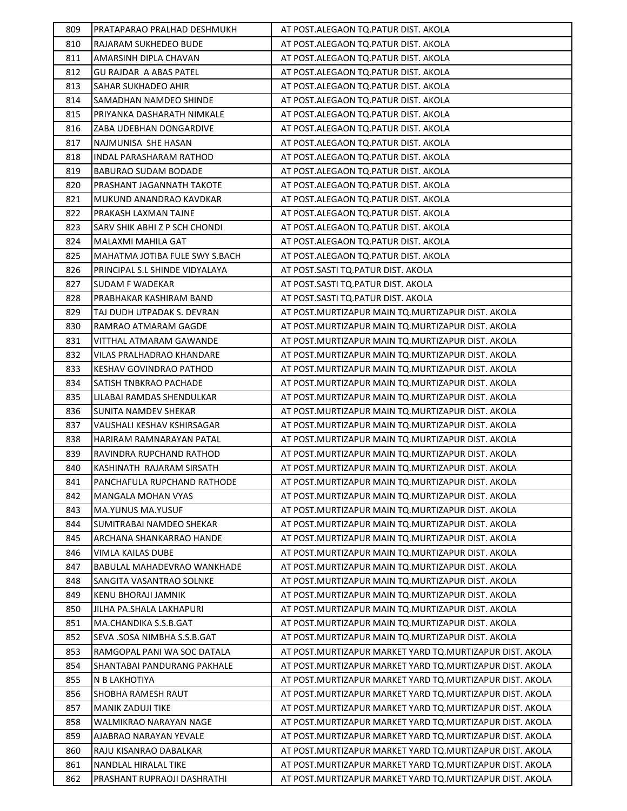| 809 | PRATAPARAO PRALHAD DESHMUKH    | AT POST.ALEGAON TQ.PATUR DIST. AKOLA                       |
|-----|--------------------------------|------------------------------------------------------------|
| 810 | RAJARAM SUKHEDEO BUDE          | AT POST.ALEGAON TQ.PATUR DIST. AKOLA                       |
| 811 | AMARSINH DIPLA CHAVAN          | AT POST.ALEGAON TO.PATUR DIST. AKOLA                       |
| 812 | <b>GU RAJDAR A ABAS PATEL</b>  | AT POST.ALEGAON TQ.PATUR DIST. AKOLA                       |
| 813 | SAHAR SUKHADEO AHIR            | AT POST.ALEGAON TO.PATUR DIST. AKOLA                       |
| 814 | SAMADHAN NAMDEO SHINDE         | AT POST.ALEGAON TQ.PATUR DIST. AKOLA                       |
| 815 | PRIYANKA DASHARATH NIMKALE     | AT POST.ALEGAON TQ.PATUR DIST. AKOLA                       |
| 816 | ZABA UDEBHAN DONGARDIVE        | AT POST.ALEGAON TO.PATUR DIST. AKOLA                       |
| 817 | NAJMUNISA SHE HASAN            | AT POST.ALEGAON TQ.PATUR DIST. AKOLA                       |
| 818 | INDAL PARASHARAM RATHOD        | AT POST.ALEGAON TO.PATUR DIST. AKOLA                       |
| 819 | BABURAO SUDAM BODADE           | AT POST.ALEGAON TQ.PATUR DIST. AKOLA                       |
| 820 | PRASHANT JAGANNATH TAKOTE      | AT POST.ALEGAON TQ.PATUR DIST. AKOLA                       |
| 821 | MUKUND ANANDRAO KAVDKAR        | AT POST.ALEGAON TQ.PATUR DIST. AKOLA                       |
| 822 | PRAKASH LAXMAN TAJNE           | AT POST.ALEGAON TQ.PATUR DIST. AKOLA                       |
| 823 | SARV SHIK ABHI Z P SCH CHONDI  | AT POST.ALEGAON TQ.PATUR DIST. AKOLA                       |
| 824 | MALAXMI MAHILA GAT             | AT POST.ALEGAON TQ.PATUR DIST. AKOLA                       |
| 825 | MAHATMA JOTIBA FULE SWY S.BACH | AT POST.ALEGAON TQ.PATUR DIST. AKOLA                       |
| 826 | PRINCIPAL S.L SHINDE VIDYALAYA | AT POST.SASTI TQ.PATUR DIST. AKOLA                         |
| 827 | <b>SUDAM F WADEKAR</b>         | AT POST.SASTI TQ.PATUR DIST. AKOLA                         |
| 828 | PRABHAKAR KASHIRAM BAND        | AT POST.SASTI TQ.PATUR DIST. AKOLA                         |
| 829 | TAJ DUDH UTPADAK S. DEVRAN     | AT POST. MURTIZAPUR MAIN TQ. MURTIZAPUR DIST. AKOLA        |
| 830 | RAMRAO ATMARAM GAGDE           | AT POST. MURTIZAPUR MAIN TQ. MURTIZAPUR DIST. AKOLA        |
| 831 | VITTHAL ATMARAM GAWANDE        | AT POST. MURTIZAPUR MAIN TQ. MURTIZAPUR DIST. AKOLA        |
| 832 | VILAS PRALHADRAO KHANDARE      | AT POST. MURTIZAPUR MAIN TQ. MURTIZAPUR DIST. AKOLA        |
| 833 | <b>KESHAV GOVINDRAO PATHOD</b> | AT POST. MURTIZAPUR MAIN TQ. MURTIZAPUR DIST. AKOLA        |
| 834 | SATISH TNBKRAO PACHADE         | AT POST. MURTIZAPUR MAIN TQ. MURTIZAPUR DIST. AKOLA        |
| 835 | LILABAI RAMDAS SHENDULKAR      | AT POST. MURTIZAPUR MAIN TQ. MURTIZAPUR DIST. AKOLA        |
| 836 | SUNITA NAMDEV SHEKAR           | AT POST. MURTIZAPUR MAIN TO. MURTIZAPUR DIST. AKOLA        |
| 837 | VAUSHALI KESHAV KSHIRSAGAR     | AT POST. MURTIZAPUR MAIN TQ. MURTIZAPUR DIST. AKOLA        |
| 838 | HARIRAM RAMNARAYAN PATAL       | AT POST. MURTIZAPUR MAIN TQ. MURTIZAPUR DIST. AKOLA        |
| 839 | RAVINDRA RUPCHAND RATHOD       | AT POST. MURTIZAPUR MAIN TQ. MURTIZAPUR DIST. AKOLA        |
| 840 | KASHINATH RAJARAM SIRSATH      | AT POST. MURTIZAPUR MAIN TQ. MURTIZAPUR DIST. AKOLA        |
| 841 | PANCHAFULA RUPCHAND RATHODE    | AT POST. MURTIZAPUR MAIN TQ. MURTIZAPUR DIST. AKOLA        |
| 842 | MANGALA MOHAN VYAS             | AT POST.MURTIZAPUR MAIN TQ.MURTIZAPUR DIST. AKOLA          |
| 843 | <b>MA.YUNUS MA.YUSUF</b>       | AT POST. MURTIZAPUR MAIN TQ. MURTIZAPUR DIST. AKOLA        |
| 844 | SUMITRABAI NAMDEO SHEKAR       | AT POST.MURTIZAPUR MAIN TQ.MURTIZAPUR DIST. AKOLA          |
| 845 | ARCHANA SHANKARRAO HANDE       | AT POST. MURTIZAPUR MAIN TQ. MURTIZAPUR DIST. AKOLA        |
| 846 | VIMLA KAILAS DUBE              | AT POST.MURTIZAPUR MAIN TQ.MURTIZAPUR DIST. AKOLA          |
| 847 | BABULAL MAHADEVRAO WANKHADE    | AT POST.MURTIZAPUR MAIN TQ.MURTIZAPUR DIST. AKOLA          |
| 848 | SANGITA VASANTRAO SOLNKE       | AT POST. MURTIZAPUR MAIN TO. MURTIZAPUR DIST. AKOLA        |
| 849 | <b>KENU BHORAJI JAMNIK</b>     | AT POST. MURTIZAPUR MAIN TO. MURTIZAPUR DIST. AKOLA        |
| 850 | JILHA PA.SHALA LAKHAPURI       | AT POST. MURTIZAPUR MAIN TO. MURTIZAPUR DIST. AKOLA        |
| 851 | MA.CHANDIKA S.S.B.GAT          | AT POST.MURTIZAPUR MAIN TQ.MURTIZAPUR DIST. AKOLA          |
| 852 | SEVA .SOSA NIMBHA S.S.B.GAT    | AT POST. MURTIZAPUR MAIN TQ. MURTIZAPUR DIST. AKOLA        |
| 853 | RAMGOPAL PANI WA SOC DATALA    | AT POST.MURTIZAPUR MARKET YARD TQ.MURTIZAPUR DIST. AKOLA   |
| 854 | SHANTABAI PANDURANG PAKHALE    | AT POST.MURTIZAPUR MARKET YARD TQ.MURTIZAPUR DIST. AKOLA   |
| 855 | N B LAKHOTIYA                  | AT POST.MURTIZAPUR MARKET YARD TQ.MURTIZAPUR DIST. AKOLA   |
| 856 | <b>SHOBHA RAMESH RAUT</b>      | AT POST. MURTIZAPUR MARKET YARD TO. MURTIZAPUR DIST. AKOLA |
| 857 | MANIK ZADUJI TIKE              | AT POST.MURTIZAPUR MARKET YARD TQ.MURTIZAPUR DIST. AKOLA   |
| 858 | WALMIKRAO NARAYAN NAGE         | AT POST.MURTIZAPUR MARKET YARD TQ.MURTIZAPUR DIST. AKOLA   |
| 859 | AJABRAO NARAYAN YEVALE         | AT POST. MURTIZAPUR MARKET YARD TO. MURTIZAPUR DIST. AKOLA |
| 860 | RAJU KISANRAO DABALKAR         | AT POST. MURTIZAPUR MARKET YARD TO. MURTIZAPUR DIST. AKOLA |
| 861 | NANDLAL HIRALAL TIKE           | AT POST. MURTIZAPUR MARKET YARD TO. MURTIZAPUR DIST. AKOLA |
| 862 | PRASHANT RUPRAOJI DASHRATHI    | AT POST.MURTIZAPUR MARKET YARD TQ.MURTIZAPUR DIST. AKOLA   |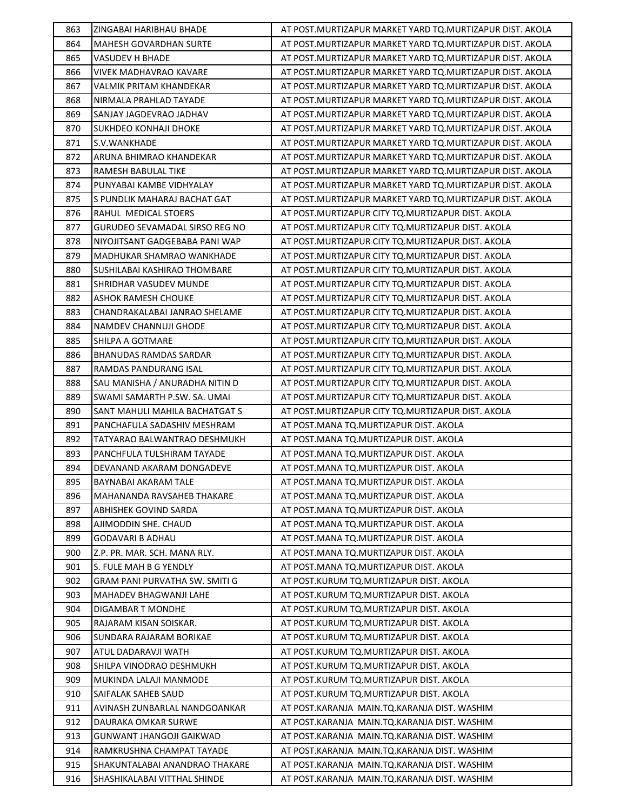| 863 | ZINGABAI HARIBHAU BHADE        | AT POST.MURTIZAPUR MARKET YARD TQ.MURTIZAPUR DIST. AKOLA   |
|-----|--------------------------------|------------------------------------------------------------|
| 864 | MAHESH GOVARDHAN SURTE         | AT POST. MURTIZAPUR MARKET YARD TO. MURTIZAPUR DIST. AKOLA |
| 865 | VASUDEV H BHADE                | AT POST. MURTIZAPUR MARKET YARD TO. MURTIZAPUR DIST. AKOLA |
| 866 | <b>VIVEK MADHAVRAO KAVARE</b>  | AT POST.MURTIZAPUR MARKET YARD TQ.MURTIZAPUR DIST. AKOLA   |
| 867 | VALMIK PRITAM KHANDEKAR        | AT POST. MURTIZAPUR MARKET YARD TO. MURTIZAPUR DIST. AKOLA |
| 868 | NIRMALA PRAHLAD TAYADE         | AT POST.MURTIZAPUR MARKET YARD TQ.MURTIZAPUR DIST. AKOLA   |
| 869 | SANJAY JAGDEVRAO JADHAV        | AT POST.MURTIZAPUR MARKET YARD TQ.MURTIZAPUR DIST. AKOLA   |
| 870 | SUKHDEO KONHAJI DHOKE          | AT POST.MURTIZAPUR MARKET YARD TQ.MURTIZAPUR DIST. AKOLA   |
| 871 | S.V.WANKHADE                   | AT POST. MURTIZAPUR MARKET YARD TQ. MURTIZAPUR DIST. AKOLA |
| 872 | ARUNA BHIMRAO KHANDEKAR        | AT POST.MURTIZAPUR MARKET YARD TQ.MURTIZAPUR DIST. AKOLA   |
| 873 | RAMESH BABULAL TIKE            | AT POST.MURTIZAPUR MARKET YARD TQ.MURTIZAPUR DIST. AKOLA   |
| 874 | PUNYABAI KAMBE VIDHYALAY       | AT POST. MURTIZAPUR MARKET YARD TQ. MURTIZAPUR DIST. AKOLA |
| 875 | S PUNDLIK MAHARAJ BACHAT GAT   | AT POST.MURTIZAPUR MARKET YARD TQ.MURTIZAPUR DIST. AKOLA   |
| 876 | RAHUL MEDICAL STOERS           | AT POST. MURTIZAPUR CITY TQ. MURTIZAPUR DIST. AKOLA        |
| 877 | GURUDEO SEVAMADAL SIRSO REG NO | AT POST. MURTIZAPUR CITY TQ. MURTIZAPUR DIST. AKOLA        |
| 878 | NIYOJITSANT GADGEBABA PANI WAP | AT POST. MURTIZAPUR CITY TO. MURTIZAPUR DIST. AKOLA        |
| 879 | MADHUKAR SHAMRAO WANKHADE      | AT POST. MURTIZAPUR CITY TQ. MURTIZAPUR DIST. AKOLA        |
| 880 | SUSHILABAI KASHIRAO THOMBARE   | AT POST. MURTIZAPUR CITY TO. MURTIZAPUR DIST. AKOLA        |
| 881 | SHRIDHAR VASUDEV MUNDE         | AT POST. MURTIZAPUR CITY TQ. MURTIZAPUR DIST. AKOLA        |
| 882 | ASHOK RAMESH CHOUKE            | AT POST. MURTIZAPUR CITY TO. MURTIZAPUR DIST. AKOLA        |
| 883 | CHANDRAKALABAI JANRAO SHELAME  | AT POST.MURTIZAPUR CITY TQ.MURTIZAPUR DIST. AKOLA          |
| 884 | NAMDEV CHANNUJI GHODE          | AT POST.MURTIZAPUR CITY TQ.MURTIZAPUR DIST. AKOLA          |
| 885 | SHILPA A GOTMARE               | AT POST. MURTIZAPUR CITY TQ. MURTIZAPUR DIST. AKOLA        |
| 886 | BHANUDAS RAMDAS SARDAR         | AT POST. MURTIZAPUR CITY TQ. MURTIZAPUR DIST. AKOLA        |
| 887 | RAMDAS PANDURANG ISAL          | AT POST.MURTIZAPUR CITY TQ.MURTIZAPUR DIST. AKOLA          |
| 888 | SAU MANISHA / ANURADHA NITIN D | AT POST. MURTIZAPUR CITY TO. MURTIZAPUR DIST. AKOLA        |
| 889 | SWAMI SAMARTH P.SW. SA. UMAI   | AT POST. MURTIZAPUR CITY TQ. MURTIZAPUR DIST. AKOLA        |
| 890 | SANT MAHULI MAHILA BACHATGAT S | AT POST. MURTIZAPUR CITY TQ. MURTIZAPUR DIST. AKOLA        |
| 891 | PANCHAFULA SADASHIV MESHRAM    | AT POST.MANA TQ.MURTIZAPUR DIST. AKOLA                     |
| 892 | TATYARAO BALWANTRAO DESHMUKH   | AT POST.MANA TQ.MURTIZAPUR DIST. AKOLA                     |
| 893 | PANCHFULA TULSHIRAM TAYADE     | AT POST.MANA TQ.MURTIZAPUR DIST. AKOLA                     |
| 894 | DEVANAND AKARAM DONGADEVE      | AT POST.MANA TQ.MURTIZAPUR DIST. AKOLA                     |
| 895 | BAYNABAI AKARAM TALE           | AT POST.MANA TQ.MURTIZAPUR DIST. AKOLA                     |
| 896 | MAHANANDA RAVSAHEB THAKARE     | AT POST.MANA TQ.MURTIZAPUR DIST. AKOLA                     |
| 897 | ABHISHEK GOVIND SARDA          | AT POST.MANA TQ.MURTIZAPUR DIST. AKOLA                     |
| 898 | AJIMODDIN SHE. CHAUD           | AT POST.MANA TO.MURTIZAPUR DIST. AKOLA                     |
| 899 | GODAVARI B ADHAU               | AT POST.MANA TQ.MURTIZAPUR DIST. AKOLA                     |
| 900 | Z.P. PR. MAR. SCH. MANA RLY.   | AT POST.MANA TQ.MURTIZAPUR DIST. AKOLA                     |
| 901 | S. FULE MAH B G YENDLY         | AT POST.MANA TQ.MURTIZAPUR DIST. AKOLA                     |
| 902 | GRAM PANI PURVATHA SW. SMITI G | AT POST.KURUM TQ.MURTIZAPUR DIST. AKOLA                    |
| 903 | MAHADEV BHAGWANJI LAHE         | AT POST.KURUM TQ.MURTIZAPUR DIST. AKOLA                    |
| 904 | DIGAMBAR T MONDHE              | AT POST.KURUM TQ.MURTIZAPUR DIST. AKOLA                    |
| 905 | RAJARAM KISAN SOISKAR.         | AT POST.KURUM TQ.MURTIZAPUR DIST. AKOLA                    |
| 906 | SUNDARA RAJARAM BORIKAE        | AT POST.KURUM TQ.MURTIZAPUR DIST. AKOLA                    |
| 907 | ATUL DADARAVJI WATH            | AT POST.KURUM TQ.MURTIZAPUR DIST. AKOLA                    |
| 908 | SHILPA VINODRAO DESHMUKH       | AT POST.KURUM TQ.MURTIZAPUR DIST. AKOLA                    |
| 909 | MUKINDA LALAJI MANMODE         | AT POST.KURUM TQ.MURTIZAPUR DIST. AKOLA                    |
| 910 | SAIFALAK SAHEB SAUD            | AT POST.KURUM TQ.MURTIZAPUR DIST. AKOLA                    |
| 911 | AVINASH ZUNBARLAL NANDGOANKAR  | AT POST.KARANJA MAIN.TQ.KARANJA DIST. WASHIM               |
| 912 | DAURAKA OMKAR SURWE            | AT POST.KARANJA MAIN.TQ.KARANJA DIST. WASHIM               |
| 913 | GUNWANT JHANGOJI GAIKWAD       | AT POST.KARANJA MAIN.TQ.KARANJA DIST. WASHIM               |
| 914 | RAMKRUSHNA CHAMPAT TAYADE      | AT POST.KARANJA MAIN.TQ.KARANJA DIST. WASHIM               |
| 915 | SHAKUNTALABAI ANANDRAO THAKARE | AT POST.KARANJA MAIN.TQ.KARANJA DIST. WASHIM               |
| 916 | SHASHIKALABAI VITTHAL SHINDE   | AT POST.KARANJA MAIN.TQ.KARANJA DIST. WASHIM               |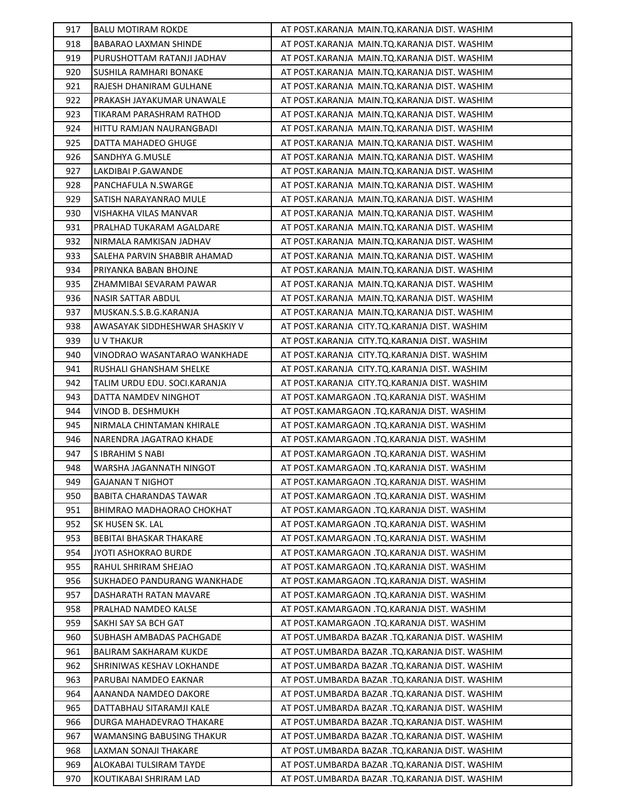| 917 | <b>BALU MOTIRAM ROKDE</b>      | AT POST.KARANJA MAIN.TQ.KARANJA DIST. WASHIM   |
|-----|--------------------------------|------------------------------------------------|
| 918 | BABARAO LAXMAN SHINDE          | AT POST.KARANJA MAIN.TQ.KARANJA DIST. WASHIM   |
| 919 | PURUSHOTTAM RATANJI JADHAV     | AT POST.KARANJA MAIN.TQ.KARANJA DIST. WASHIM   |
| 920 | SUSHILA RAMHARI BONAKE         | AT POST.KARANJA MAIN.TQ.KARANJA DIST. WASHIM   |
| 921 | RAJESH DHANIRAM GULHANE        | AT POST.KARANJA MAIN.TQ.KARANJA DIST. WASHIM   |
| 922 | PRAKASH JAYAKUMAR UNAWALE      | AT POST.KARANJA MAIN.TQ.KARANJA DIST. WASHIM   |
| 923 | TIKARAM PARASHRAM RATHOD       | AT POST.KARANJA MAIN.TQ.KARANJA DIST. WASHIM   |
| 924 | HITTU RAMJAN NAURANGBADI       | AT POST.KARANJA MAIN.TQ.KARANJA DIST. WASHIM   |
| 925 | DATTA MAHADEO GHUGE            | AT POST.KARANJA MAIN.TQ.KARANJA DIST. WASHIM   |
| 926 | SANDHYA G.MUSLE                | AT POST.KARANJA MAIN.TQ.KARANJA DIST. WASHIM   |
| 927 | LAKDIBAI P.GAWANDE             | AT POST.KARANJA MAIN.TQ.KARANJA DIST. WASHIM   |
| 928 | PANCHAFULA N.SWARGE            | AT POST.KARANJA MAIN.TQ.KARANJA DIST. WASHIM   |
| 929 | SATISH NARAYANRAO MULE         | AT POST.KARANJA MAIN.TQ.KARANJA DIST. WASHIM   |
| 930 | VISHAKHA VILAS MANVAR          | AT POST.KARANJA MAIN.TQ.KARANJA DIST. WASHIM   |
| 931 | PRALHAD TUKARAM AGALDARE       | AT POST.KARANJA MAIN.TQ.KARANJA DIST. WASHIM   |
| 932 | NIRMALA RAMKISAN JADHAV        | AT POST.KARANJA MAIN.TQ.KARANJA DIST. WASHIM   |
| 933 | SALEHA PARVIN SHABBIR AHAMAD   | AT POST.KARANJA MAIN.TQ.KARANJA DIST. WASHIM   |
| 934 | PRIYANKA BABAN BHOJNE          | AT POST.KARANJA MAIN.TQ.KARANJA DIST. WASHIM   |
| 935 | ZHAMMIBAI SEVARAM PAWAR        | AT POST.KARANJA MAIN.TQ.KARANJA DIST. WASHIM   |
| 936 | NASIR SATTAR ABDUL             | AT POST.KARANJA MAIN.TQ.KARANJA DIST. WASHIM   |
| 937 | MUSKAN.S.S.B.G.KARANJA         | AT POST.KARANJA MAIN.TQ.KARANJA DIST. WASHIM   |
| 938 | AWASAYAK SIDDHESHWAR SHASKIY V | AT POST.KARANJA CITY.TQ.KARANJA DIST. WASHIM   |
| 939 | U V THAKUR                     | AT POST.KARANJA CITY.TQ.KARANJA DIST. WASHIM   |
| 940 | VINODRAO WASANTARAO WANKHADE   | AT POST.KARANJA CITY.TQ.KARANJA DIST. WASHIM   |
| 941 | RUSHALI GHANSHAM SHELKE        | AT POST.KARANJA CITY.TQ.KARANJA DIST. WASHIM   |
| 942 | TALIM URDU EDU. SOCI.KARANJA   | AT POST.KARANJA CITY.TQ.KARANJA DIST. WASHIM   |
| 943 | DATTA NAMDEV NINGHOT           | AT POST.KAMARGAON .TQ.KARANJA DIST. WASHIM     |
| 944 | VINOD B. DESHMUKH              | AT POST.KAMARGAON .TQ.KARANJA DIST. WASHIM     |
| 945 | NIRMALA CHINTAMAN KHIRALE      | AT POST.KAMARGAON .TQ.KARANJA DIST. WASHIM     |
| 946 | NARENDRA JAGATRAO KHADE        | AT POST.KAMARGAON .TQ.KARANJA DIST. WASHIM     |
| 947 | S IBRAHIM S NABI               | AT POST.KAMARGAON .TQ.KARANJA DIST. WASHIM     |
| 948 | WARSHA JAGANNATH NINGOT        | AT POST.KAMARGAON .TQ.KARANJA DIST. WASHIM     |
| 949 | <b>GAJANAN T NIGHOT</b>        | AT POST.KAMARGAON .TQ.KARANJA DIST. WASHIM     |
| 950 | BABITA CHARANDAS TAWAR         | AT POST.KAMARGAON .TQ.KARANJA DIST. WASHIM     |
| 951 | BHIMRAO MADHAORAO CHOKHAT      | AT POST.KAMARGAON .TQ.KARANJA DIST. WASHIM     |
| 952 | SK HUSEN SK. LAL               | AT POST.KAMARGAON .TQ.KARANJA DIST. WASHIM     |
| 953 | BEBITAI BHASKAR THAKARE        | AT POST.KAMARGAON .TQ.KARANJA DIST. WASHIM     |
| 954 | <b>JYOTI ASHOKRAO BURDE</b>    | AT POST.KAMARGAON .TQ.KARANJA DIST. WASHIM     |
| 955 | RAHUL SHRIRAM SHEJAO           | AT POST.KAMARGAON .TQ.KARANJA DIST. WASHIM     |
| 956 | SUKHADEO PANDURANG WANKHADE    | AT POST.KAMARGAON .TO.KARANJA DIST. WASHIM     |
| 957 | DASHARATH RATAN MAVARE         | AT POST.KAMARGAON .TQ.KARANJA DIST. WASHIM     |
| 958 | PRALHAD NAMDEO KALSE           | AT POST.KAMARGAON .TQ.KARANJA DIST. WASHIM     |
| 959 | SAKHI SAY SA BCH GAT           | AT POST.KAMARGAON .TQ.KARANJA DIST. WASHIM     |
| 960 | SUBHASH AMBADAS PACHGADE       | AT POST.UMBARDA BAZAR .TQ.KARANJA DIST. WASHIM |
| 961 | <b>BALIRAM SAKHARAM KUKDE</b>  | AT POST.UMBARDA BAZAR .TQ.KARANJA DIST. WASHIM |
| 962 | SHRINIWAS KESHAV LOKHANDE      | AT POST.UMBARDA BAZAR .TQ.KARANJA DIST. WASHIM |
| 963 | PARUBAI NAMDEO EAKNAR          | AT POST.UMBARDA BAZAR .TQ.KARANJA DIST. WASHIM |
| 964 | AANANDA NAMDEO DAKORE          | AT POST.UMBARDA BAZAR .TQ.KARANJA DIST. WASHIM |
| 965 | DATTABHAU SITARAMJI KALE       | AT POST.UMBARDA BAZAR .TQ.KARANJA DIST. WASHIM |
| 966 | DURGA MAHADEVRAO THAKARE       | AT POST.UMBARDA BAZAR .TQ.KARANJA DIST. WASHIM |
| 967 | WAMANSING BABUSING THAKUR      | AT POST.UMBARDA BAZAR .TQ.KARANJA DIST. WASHIM |
| 968 | LAXMAN SONAJI THAKARE          | AT POST.UMBARDA BAZAR .TQ.KARANJA DIST. WASHIM |
| 969 | ALOKABAI TULSIRAM TAYDE        | AT POST.UMBARDA BAZAR .TQ.KARANJA DIST. WASHIM |
| 970 | KOUTIKABAI SHRIRAM LAD         | AT POST.UMBARDA BAZAR .TQ.KARANJA DIST. WASHIM |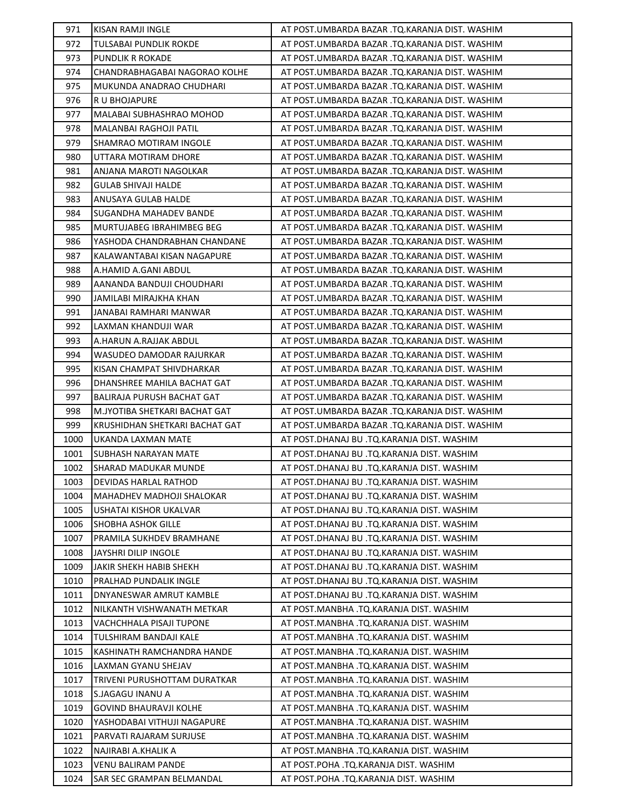| 971          | KISAN RAMJI INGLE                               | AT POST.UMBARDA BAZAR .TQ.KARANJA DIST. WASHIM                                 |
|--------------|-------------------------------------------------|--------------------------------------------------------------------------------|
| 972          | TULSABAI PUNDLIK ROKDE                          | AT POST.UMBARDA BAZAR .TQ.KARANJA DIST. WASHIM                                 |
| 973          | <b>PUNDLIK R ROKADE</b>                         | AT POST.UMBARDA BAZAR .TQ.KARANJA DIST. WASHIM                                 |
| 974          | CHANDRABHAGABAI NAGORAO KOLHE                   | AT POST.UMBARDA BAZAR .TQ.KARANJA DIST. WASHIM                                 |
| 975          | MUKUNDA ANADRAO CHUDHARI                        | AT POST.UMBARDA BAZAR .TQ.KARANJA DIST. WASHIM                                 |
| 976          | R U BHOJAPURE                                   | AT POST.UMBARDA BAZAR .TQ.KARANJA DIST. WASHIM                                 |
| 977          | MALABAI SUBHASHRAO MOHOD                        | AT POST.UMBARDA BAZAR .TQ.KARANJA DIST. WASHIM                                 |
| 978          | MALANBAI RAGHOJI PATIL                          | AT POST.UMBARDA BAZAR .TQ.KARANJA DIST. WASHIM                                 |
| 979          | SHAMRAO MOTIRAM INGOLE                          | AT POST.UMBARDA BAZAR .TQ.KARANJA DIST. WASHIM                                 |
| 980          | UTTARA MOTIRAM DHORE                            | AT POST.UMBARDA BAZAR .TQ.KARANJA DIST. WASHIM                                 |
| 981          | ANJANA MAROTI NAGOLKAR                          | AT POST.UMBARDA BAZAR .TQ.KARANJA DIST. WASHIM                                 |
| 982          | GULAB SHIVAJI HALDE                             | AT POST.UMBARDA BAZAR .TQ.KARANJA DIST. WASHIM                                 |
| 983          | ANUSAYA GULAB HALDE                             | AT POST.UMBARDA BAZAR .TQ.KARANJA DIST. WASHIM                                 |
| 984          | SUGANDHA MAHADEV BANDE                          | AT POST.UMBARDA BAZAR .TQ.KARANJA DIST. WASHIM                                 |
| 985          | MURTUJABEG IBRAHIMBEG BEG                       | AT POST.UMBARDA BAZAR .TQ.KARANJA DIST. WASHIM                                 |
| 986          | YASHODA CHANDRABHAN CHANDANE                    | AT POST.UMBARDA BAZAR .TQ.KARANJA DIST. WASHIM                                 |
| 987          | KALAWANTABAI KISAN NAGAPURE                     | AT POST.UMBARDA BAZAR .TQ.KARANJA DIST. WASHIM                                 |
| 988          | A.HAMID A.GANI ABDUL                            | AT POST.UMBARDA BAZAR .TQ.KARANJA DIST. WASHIM                                 |
| 989          | AANANDA BANDUJI CHOUDHARI                       | AT POST.UMBARDA BAZAR .TQ.KARANJA DIST. WASHIM                                 |
| 990          | JAMILABI MIRAJKHA KHAN                          | AT POST.UMBARDA BAZAR .TQ.KARANJA DIST. WASHIM                                 |
| 991          | JANABAI RAMHARI MANWAR                          | AT POST.UMBARDA BAZAR .TQ.KARANJA DIST. WASHIM                                 |
| 992          | LAXMAN KHANDUJI WAR                             | AT POST.UMBARDA BAZAR .TQ.KARANJA DIST. WASHIM                                 |
| 993          | A.HARUN A.RAJJAK ABDUL                          | AT POST.UMBARDA BAZAR .TQ.KARANJA DIST. WASHIM                                 |
| 994          | WASUDEO DAMODAR RAJURKAR                        | AT POST.UMBARDA BAZAR .TQ.KARANJA DIST. WASHIM                                 |
| 995          | KISAN CHAMPAT SHIVDHARKAR                       | AT POST.UMBARDA BAZAR .TQ.KARANJA DIST. WASHIM                                 |
| 996          | DHANSHREE MAHILA BACHAT GAT                     | AT POST.UMBARDA BAZAR .TQ.KARANJA DIST. WASHIM                                 |
| 997          | BALIRAJA PURUSH BACHAT GAT                      | AT POST.UMBARDA BAZAR .TQ.KARANJA DIST. WASHIM                                 |
| 998          | M.JYOTIBA SHETKARI BACHAT GAT                   | AT POST.UMBARDA BAZAR .TQ.KARANJA DIST. WASHIM                                 |
| 999          | KRUSHIDHAN SHETKARI BACHAT GAT                  | AT POST.UMBARDA BAZAR .TQ.KARANJA DIST. WASHIM                                 |
| 1000         | UKANDA LAXMAN MATE                              | AT POST.DHANAJ BU .TQ.KARANJA DIST. WASHIM                                     |
| 1001         | SUBHASH NARAYAN MATE                            | AT POST.DHANAJ BU .TQ.KARANJA DIST. WASHIM                                     |
| 1002         | <b>SHARAD MADUKAR MUNDE</b>                     | AT POST.DHANAJ BU .TQ.KARANJA DIST. WASHIM                                     |
| 1003         |                                                 |                                                                                |
|              | <b>DEVIDAS HARLAL RATHOD</b>                    | AT POST.DHANAJ BU .TQ.KARANJA DIST. WASHIM                                     |
| 1004         | MAHADHEV MADHOJI SHALOKAR                       | AT POST.DHANAJ BU .TQ.KARANJA DIST. WASHIM                                     |
| 1005         | USHATAI KISHOR UKALVAR                          | AT POST.DHANAJ BU .TQ.KARANJA DIST. WASHIM                                     |
| 1006         | SHOBHA ASHOK GILLE                              | AT POST.DHANAJ BU .TQ.KARANJA DIST. WASHIM                                     |
| 1007         | PRAMILA SUKHDEV BRAMHANE                        | AT POST.DHANAJ BU .TQ.KARANJA DIST. WASHIM                                     |
| 1008         | <b>JAYSHRI DILIP INGOLE</b>                     | AT POST.DHANAJ BU .TQ.KARANJA DIST. WASHIM                                     |
| 1009         | JAKIR SHEKH HABIB SHEKH                         | AT POST.DHANAJ BU .TQ.KARANJA DIST. WASHIM                                     |
| 1010         | PRALHAD PUNDALIK INGLE                          | AT POST.DHANAJ BU .TQ.KARANJA DIST. WASHIM                                     |
| 1011         | DNYANESWAR AMRUT KAMBLE                         | AT POST.DHANAJ BU .TQ.KARANJA DIST. WASHIM                                     |
| 1012         | NILKANTH VISHWANATH METKAR                      | AT POST.MANBHA .TQ.KARANJA DIST. WASHIM                                        |
| 1013         | VACHCHHALA PISAJI TUPONE                        | AT POST.MANBHA .TQ.KARANJA DIST. WASHIM                                        |
| 1014         | TULSHIRAM BANDAJI KALE                          | AT POST.MANBHA .TQ.KARANJA DIST. WASHIM                                        |
| 1015         | KASHINATH RAMCHANDRA HANDE                      | AT POST.MANBHA .TQ.KARANJA DIST. WASHIM                                        |
| 1016         | LAXMAN GYANU SHEJAV                             | AT POST.MANBHA .TQ.KARANJA DIST. WASHIM                                        |
| 1017         | TRIVENI PURUSHOTTAM DURATKAR                    | AT POST.MANBHA .TQ.KARANJA DIST. WASHIM                                        |
| 1018         | S.JAGAGU INANU A                                | AT POST.MANBHA .TQ.KARANJA DIST. WASHIM                                        |
| 1019         | GOVIND BHAURAVJI KOLHE                          | AT POST.MANBHA .TQ.KARANJA DIST. WASHIM                                        |
| 1020         | YASHODABAI VITHUJI NAGAPURE                     | AT POST.MANBHA .TQ.KARANJA DIST. WASHIM                                        |
| 1021         | PARVATI RAJARAM SURJUSE                         | AT POST.MANBHA .TQ.KARANJA DIST. WASHIM                                        |
| 1022         | NAJIRABI A.KHALIK A                             | AT POST.MANBHA .TQ.KARANJA DIST. WASHIM                                        |
| 1023<br>1024 | VENU BALIRAM PANDE<br>SAR SEC GRAMPAN BELMANDAL | AT POST.POHA .TQ.KARANJA DIST. WASHIM<br>AT POST.POHA .TQ.KARANJA DIST. WASHIM |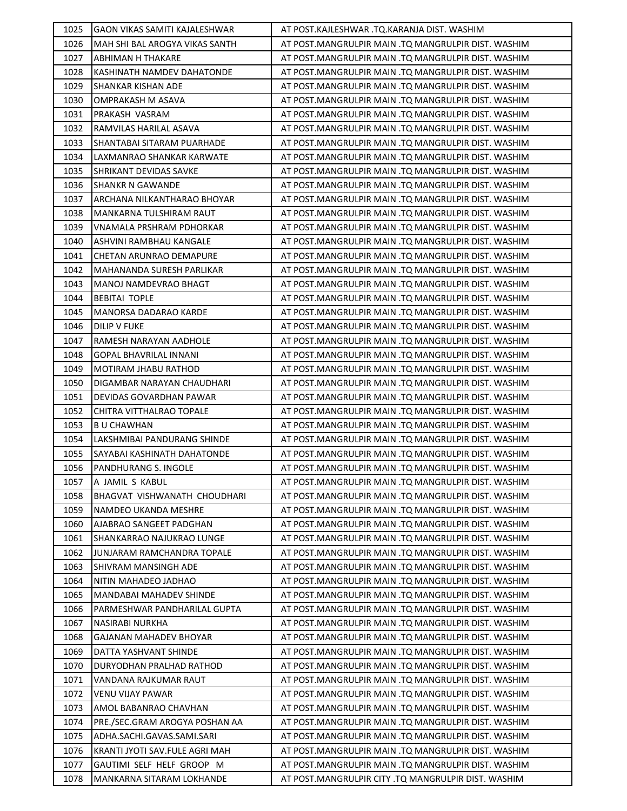| 1025 | GAON VIKAS SAMITI KAJALESHWAR  | AT POST.KAJLESHWAR .TO.KARANJA DIST. WASHIM         |
|------|--------------------------------|-----------------------------------------------------|
| 1026 | MAH SHI BAL AROGYA VIKAS SANTH | AT POST.MANGRULPIR MAIN .TQ MANGRULPIR DIST. WASHIM |
| 1027 | ABHIMAN H THAKARE              | AT POST.MANGRULPIR MAIN .TQ MANGRULPIR DIST. WASHIM |
| 1028 | KASHINATH NAMDEV DAHATONDE     | AT POST.MANGRULPIR MAIN .TQ MANGRULPIR DIST. WASHIM |
| 1029 | SHANKAR KISHAN ADE             | AT POST.MANGRULPIR MAIN .TQ MANGRULPIR DIST. WASHIM |
| 1030 | OMPRAKASH M ASAVA              | AT POST.MANGRULPIR MAIN .TQ MANGRULPIR DIST. WASHIM |
| 1031 | PRAKASH VASRAM                 | AT POST.MANGRULPIR MAIN .TQ MANGRULPIR DIST. WASHIM |
| 1032 | RAMVILAS HARILAL ASAVA         | AT POST.MANGRULPIR MAIN .TQ MANGRULPIR DIST. WASHIM |
| 1033 | SHANTABAI SITARAM PUARHADE     | AT POST.MANGRULPIR MAIN .TQ MANGRULPIR DIST. WASHIM |
| 1034 | LAXMANRAO SHANKAR KARWATE      | AT POST.MANGRULPIR MAIN .TQ MANGRULPIR DIST. WASHIM |
| 1035 | SHRIKANT DEVIDAS SAVKE         | AT POST.MANGRULPIR MAIN .TQ MANGRULPIR DIST. WASHIM |
| 1036 | <b>SHANKR N GAWANDE</b>        | AT POST.MANGRULPIR MAIN .TQ MANGRULPIR DIST. WASHIM |
| 1037 | ARCHANA NILKANTHARAO BHOYAR    | AT POST.MANGRULPIR MAIN .TQ MANGRULPIR DIST. WASHIM |
| 1038 | MANKARNA TULSHIRAM RAUT        | AT POST.MANGRULPIR MAIN .TQ MANGRULPIR DIST. WASHIM |
| 1039 | VNAMALA PRSHRAM PDHORKAR       | AT POST.MANGRULPIR MAIN .TQ MANGRULPIR DIST. WASHIM |
| 1040 | ASHVINI RAMBHAU KANGALE        | AT POST.MANGRULPIR MAIN .TQ MANGRULPIR DIST. WASHIM |
| 1041 | <b>CHETAN ARUNRAO DEMAPURE</b> | AT POST.MANGRULPIR MAIN .TQ MANGRULPIR DIST. WASHIM |
| 1042 | MAHANANDA SURESH PARLIKAR      | AT POST.MANGRULPIR MAIN .TQ MANGRULPIR DIST. WASHIM |
| 1043 | MANOJ NAMDEVRAO BHAGT          | AT POST.MANGRULPIR MAIN .TQ MANGRULPIR DIST. WASHIM |
| 1044 | <b>BEBITAI TOPLE</b>           | AT POST.MANGRULPIR MAIN .TQ MANGRULPIR DIST. WASHIM |
| 1045 | <b>MANORSA DADARAO KARDE</b>   | AT POST.MANGRULPIR MAIN .TQ MANGRULPIR DIST. WASHIM |
| 1046 | <b>DILIP V FUKE</b>            | AT POST.MANGRULPIR MAIN .TQ MANGRULPIR DIST. WASHIM |
| 1047 | RAMESH NARAYAN AADHOLE         | AT POST.MANGRULPIR MAIN .TQ MANGRULPIR DIST. WASHIM |
| 1048 | GOPAL BHAVRILAL INNANI         | AT POST.MANGRULPIR MAIN .TQ MANGRULPIR DIST. WASHIM |
| 1049 | MOTIRAM JHABU RATHOD           | AT POST.MANGRULPIR MAIN .TQ MANGRULPIR DIST. WASHIM |
| 1050 | DIGAMBAR NARAYAN CHAUDHARI     | AT POST.MANGRULPIR MAIN .TQ MANGRULPIR DIST. WASHIM |
| 1051 | DEVIDAS GOVARDHAN PAWAR        | AT POST.MANGRULPIR MAIN .TQ MANGRULPIR DIST. WASHIM |
| 1052 | CHITRA VITTHALRAO TOPALE       | AT POST.MANGRULPIR MAIN .TQ MANGRULPIR DIST. WASHIM |
| 1053 | <b>BU CHAWHAN</b>              | AT POST.MANGRULPIR MAIN .TQ MANGRULPIR DIST. WASHIM |
| 1054 | LAKSHMIBAI PANDURANG SHINDE    | AT POST.MANGRULPIR MAIN .TQ MANGRULPIR DIST. WASHIM |
| 1055 | SAYABAI KASHINATH DAHATONDE    | AT POST.MANGRULPIR MAIN .TQ MANGRULPIR DIST. WASHIM |
| 1056 | PANDHURANG S. INGOLE           | AT POST.MANGRULPIR MAIN .TQ MANGRULPIR DIST. WASHIM |
| 1057 | A JAMIL S KABUL                | AT POST.MANGRULPIR MAIN .TQ MANGRULPIR DIST. WASHIM |
| 1058 | BHAGVAT VISHWANATH CHOUDHARI   | AT POST.MANGRULPIR MAIN .TQ MANGRULPIR DIST. WASHIM |
| 1059 | NAMDEO UKANDA MESHRE           | AT POST.MANGRULPIR MAIN .TQ MANGRULPIR DIST. WASHIM |
| 1060 | AJABRAO SANGEET PADGHAN        | AT POST.MANGRULPIR MAIN .TQ MANGRULPIR DIST. WASHIM |
| 1061 | SHANKARRAO NAJUKRAO LUNGE      | AT POST.MANGRULPIR MAIN .TQ MANGRULPIR DIST. WASHIM |
| 1062 | JUNJARAM RAMCHANDRA TOPALE     | AT POST.MANGRULPIR MAIN .TQ MANGRULPIR DIST. WASHIM |
| 1063 | <b>SHIVRAM MANSINGH ADE</b>    | AT POST.MANGRULPIR MAIN .TQ MANGRULPIR DIST. WASHIM |
| 1064 | NITIN MAHADEO JADHAO           | AT POST.MANGRULPIR MAIN .TQ MANGRULPIR DIST. WASHIM |
| 1065 | MANDABAI MAHADEV SHINDE        | AT POST.MANGRULPIR MAIN .TQ MANGRULPIR DIST. WASHIM |
| 1066 | PARMESHWAR PANDHARILAL GUPTA   | AT POST.MANGRULPIR MAIN .TQ MANGRULPIR DIST. WASHIM |
| 1067 | NASIRABI NURKHA                | AT POST.MANGRULPIR MAIN .TQ MANGRULPIR DIST. WASHIM |
| 1068 | GAJANAN MAHADEV BHOYAR         | AT POST.MANGRULPIR MAIN .TQ MANGRULPIR DIST. WASHIM |
| 1069 | DATTA YASHVANT SHINDE          | AT POST.MANGRULPIR MAIN .TQ MANGRULPIR DIST. WASHIM |
| 1070 | DURYODHAN PRALHAD RATHOD       | AT POST.MANGRULPIR MAIN .TQ MANGRULPIR DIST. WASHIM |
| 1071 | VANDANA RAJKUMAR RAUT          | AT POST.MANGRULPIR MAIN .TQ MANGRULPIR DIST. WASHIM |
| 1072 | VENU VIJAY PAWAR               | AT POST.MANGRULPIR MAIN .TQ MANGRULPIR DIST. WASHIM |
| 1073 | AMOL BABANRAO CHAVHAN          | AT POST.MANGRULPIR MAIN .TQ MANGRULPIR DIST. WASHIM |
| 1074 | PRE./SEC.GRAM AROGYA POSHAN AA | AT POST.MANGRULPIR MAIN .TQ MANGRULPIR DIST. WASHIM |
| 1075 | ADHA.SACHI.GAVAS.SAMI.SARI     | AT POST.MANGRULPIR MAIN .TQ MANGRULPIR DIST. WASHIM |
| 1076 | KRANTI JYOTI SAV.FULE AGRI MAH | AT POST.MANGRULPIR MAIN .TQ MANGRULPIR DIST. WASHIM |
| 1077 |                                |                                                     |
|      | GAUTIMI SELF HELF GROOP M      | AT POST.MANGRULPIR MAIN .TQ MANGRULPIR DIST. WASHIM |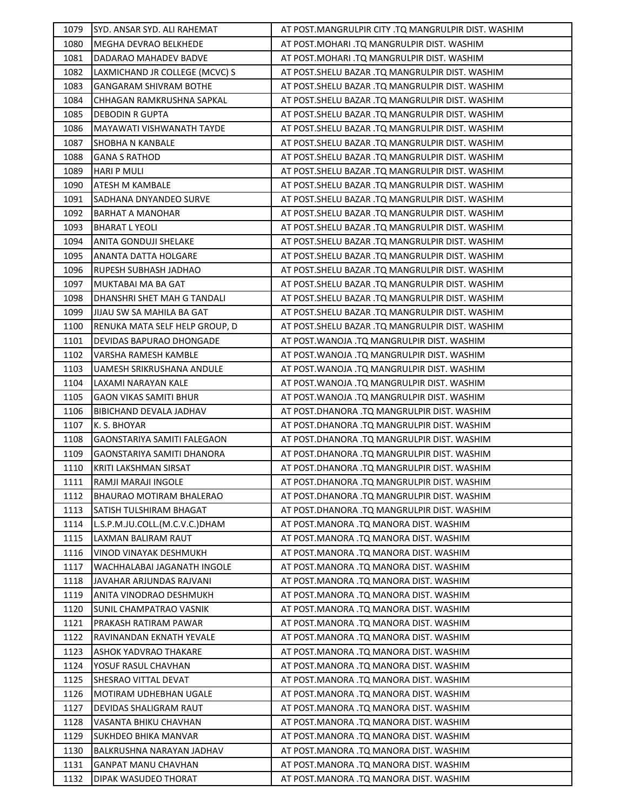| 1079 | SYD. ANSAR SYD. ALI RAHEMAT     | AT POST.MANGRULPIR CITY .TQ MANGRULPIR DIST. WASHIM |
|------|---------------------------------|-----------------------------------------------------|
| 1080 | MEGHA DEVRAO BELKHEDE           | AT POST.MOHARI .TQ MANGRULPIR DIST. WASHIM          |
| 1081 | DADARAO MAHADEV BADVE           | AT POST.MOHARI .TQ MANGRULPIR DIST. WASHIM          |
| 1082 | LAXMICHAND JR COLLEGE (MCVC) S  | AT POST.SHELU BAZAR .TQ MANGRULPIR DIST. WASHIM     |
| 1083 | <b>GANGARAM SHIVRAM BOTHE</b>   | AT POST.SHELU BAZAR .TQ MANGRULPIR DIST. WASHIM     |
| 1084 | CHHAGAN RAMKRUSHNA SAPKAL       | AT POST. SHELU BAZAR .TQ MANGRULPIR DIST. WASHIM    |
| 1085 | <b>DEBODIN R GUPTA</b>          | AT POST.SHELU BAZAR .TQ MANGRULPIR DIST. WASHIM     |
| 1086 | MAYAWATI VISHWANATH TAYDE       | AT POST.SHELU BAZAR .TQ MANGRULPIR DIST. WASHIM     |
| 1087 | <b>SHOBHA N KANBALE</b>         | AT POST.SHELU BAZAR .TQ MANGRULPIR DIST. WASHIM     |
| 1088 | <b>GANA S RATHOD</b>            | AT POST.SHELU BAZAR .TQ MANGRULPIR DIST. WASHIM     |
| 1089 | <b>HARI P MULI</b>              | AT POST. SHELU BAZAR .TQ MANGRULPIR DIST. WASHIM    |
| 1090 | <b>ATESH M KAMBALE</b>          | AT POST. SHELU BAZAR .TQ MANGRULPIR DIST. WASHIM    |
| 1091 | SADHANA DNYANDEO SURVE          | AT POST. SHELU BAZAR .TQ MANGRULPIR DIST. WASHIM    |
| 1092 | <b>BARHAT A MANOHAR</b>         | AT POST. SHELU BAZAR .TQ MANGRULPIR DIST. WASHIM    |
| 1093 | <b>BHARAT L YEOLI</b>           | AT POST. SHELU BAZAR .TQ MANGRULPIR DIST. WASHIM    |
| 1094 | ANITA GONDUJI SHELAKE           | AT POST. SHELU BAZAR .TQ MANGRULPIR DIST. WASHIM    |
| 1095 | ANANTA DATTA HOLGARE            | AT POST. SHELU BAZAR .TQ MANGRULPIR DIST. WASHIM    |
| 1096 | RUPESH SUBHASH JADHAO           | AT POST.SHELU BAZAR .TQ MANGRULPIR DIST. WASHIM     |
| 1097 | MUKTABAI MA BA GAT              | AT POST. SHELU BAZAR .TQ MANGRULPIR DIST. WASHIM    |
| 1098 | DHANSHRI SHET MAH G TANDALI     | AT POST.SHELU BAZAR .TQ MANGRULPIR DIST. WASHIM     |
| 1099 | JIJAU SW SA MAHILA BA GAT       | AT POST. SHELU BAZAR .TQ MANGRULPIR DIST. WASHIM    |
| 1100 | RENUKA MATA SELF HELP GROUP, D  | AT POST. SHELU BAZAR .TQ MANGRULPIR DIST. WASHIM    |
| 1101 | DEVIDAS BAPURAO DHONGADE        | AT POST. WANOJA .TQ MANGRULPIR DIST. WASHIM         |
| 1102 | VARSHA RAMESH KAMBLE            | AT POST. WANOJA .TQ MANGRULPIR DIST. WASHIM         |
| 1103 | UAMESH SRIKRUSHANA ANDULE       | AT POST. WANOJA .TQ MANGRULPIR DIST. WASHIM         |
| 1104 | LAXAMI NARAYAN KALE             | AT POST. WANOJA .TQ MANGRULPIR DIST. WASHIM         |
| 1105 | <b>GAON VIKAS SAMITI BHUR</b>   | AT POST. WANOJA .TQ MANGRULPIR DIST. WASHIM         |
| 1106 | BIBICHAND DEVALA JADHAV         | AT POST.DHANORA .TQ MANGRULPIR DIST. WASHIM         |
| 1107 | K. S. BHOYAR                    | AT POST.DHANORA .TQ MANGRULPIR DIST. WASHIM         |
| 1108 | GAONSTARIYA SAMITI FALEGAON     | AT POST.DHANORA .TQ MANGRULPIR DIST. WASHIM         |
| 1109 | GAONSTARIYA SAMITI DHANORA      | AT POST.DHANORA .TQ MANGRULPIR DIST. WASHIM         |
| 1110 | KRITI LAKSHMAN SIRSAT           | AT POST.DHANORA .TQ MANGRULPIR DIST. WASHIM         |
| 1111 | RAMJI MARAJI INGOLE             | AT POST.DHANORA .TQ MANGRULPIR DIST. WASHIM         |
| 1112 | <b>BHAURAO MOTIRAM BHALERAO</b> | AT POST.DHANORA .TQ MANGRULPIR DIST. WASHIM         |
| 1113 | SATISH TULSHIRAM BHAGAT         | AT POST.DHANORA .TQ MANGRULPIR DIST. WASHIM         |
| 1114 | L.S.P.M.JU.COLL.(M.C.V.C.)DHAM  | AT POST.MANORA .TQ MANORA DIST. WASHIM              |
| 1115 | LAXMAN BALIRAM RAUT             | AT POST.MANORA .TQ MANORA DIST. WASHIM              |
| 1116 | VINOD VINAYAK DESHMUKH          | AT POST.MANORA .TQ MANORA DIST. WASHIM              |
| 1117 | WACHHALABAI JAGANATH INGOLE     | AT POST.MANORA .TQ MANORA DIST. WASHIM              |
| 1118 | JAVAHAR ARJUNDAS RAJVANI        | AT POST.MANORA .TQ MANORA DIST. WASHIM              |
| 1119 | ANITA VINODRAO DESHMUKH         | AT POST.MANORA .TQ MANORA DIST. WASHIM              |
| 1120 | SUNIL CHAMPATRAO VASNIK         | AT POST.MANORA .TQ MANORA DIST. WASHIM              |
| 1121 | PRAKASH RATIRAM PAWAR           | AT POST.MANORA .TQ MANORA DIST. WASHIM              |
| 1122 | RAVINANDAN EKNATH YEVALE        | AT POST.MANORA .TQ MANORA DIST. WASHIM              |
| 1123 | <b>ASHOK YADVRAO THAKARE</b>    | AT POST.MANORA .TQ MANORA DIST. WASHIM              |
| 1124 | YOSUF RASUL CHAVHAN             | AT POST.MANORA .TQ MANORA DIST. WASHIM              |
| 1125 | SHESRAO VITTAL DEVAT            | AT POST.MANORA .TQ MANORA DIST. WASHIM              |
| 1126 | <b>MOTIRAM UDHEBHAN UGALE</b>   | AT POST.MANORA .TQ MANORA DIST. WASHIM              |
| 1127 | DEVIDAS SHALIGRAM RAUT          | AT POST.MANORA .TQ MANORA DIST. WASHIM              |
| 1128 | VASANTA BHIKU CHAVHAN           | AT POST.MANORA .TQ MANORA DIST. WASHIM              |
| 1129 | <b>SUKHDEO BHIKA MANVAR</b>     | AT POST.MANORA .TQ MANORA DIST. WASHIM              |
| 1130 | BALKRUSHNA NARAYAN JADHAV       | AT POST.MANORA .TQ MANORA DIST. WASHIM              |
| 1131 | GANPAT MANU CHAVHAN             | AT POST.MANORA .TQ MANORA DIST. WASHIM              |
| 1132 | DIPAK WASUDEO THORAT            | AT POST.MANORA .TQ MANORA DIST. WASHIM              |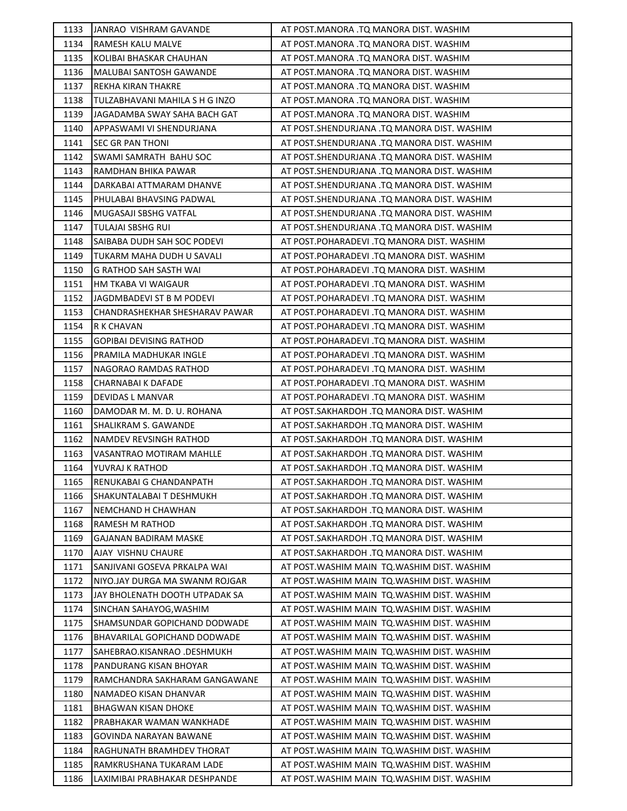| 1133 | JANRAO VISHRAM GAVANDE         | AT POST.MANORA .TQ MANORA DIST. WASHIM       |
|------|--------------------------------|----------------------------------------------|
| 1134 | <b>RAMESH KALU MALVE</b>       | AT POST.MANORA .TQ MANORA DIST. WASHIM       |
| 1135 | KOLIBAI BHASKAR CHAUHAN        | AT POST.MANORA .TQ MANORA DIST. WASHIM       |
| 1136 | MALUBAI SANTOSH GAWANDE        | AT POST.MANORA .TQ MANORA DIST. WASHIM       |
| 1137 | REKHA KIRAN THAKRE             | AT POST.MANORA .TQ MANORA DIST. WASHIM       |
| 1138 | TULZABHAVANI MAHILA S H G INZO | AT POST.MANORA .TQ MANORA DIST. WASHIM       |
| 1139 | JAGADAMBA SWAY SAHA BACH GAT   | AT POST.MANORA .TQ MANORA DIST. WASHIM       |
| 1140 | APPASWAMI VI SHENDURJANA       | AT POST.SHENDURJANA .TQ MANORA DIST. WASHIM  |
| 1141 | <b>SEC GR PAN THONI</b>        | AT POST.SHENDURJANA .TQ MANORA DIST. WASHIM  |
| 1142 | SWAMI SAMRATH BAHU SOC         | AT POST.SHENDURJANA .TQ MANORA DIST. WASHIM  |
| 1143 | RAMDHAN BHIKA PAWAR            | AT POST.SHENDURJANA .TQ MANORA DIST. WASHIM  |
| 1144 | DARKABAI ATTMARAM DHANVE       | AT POST.SHENDURJANA .TQ MANORA DIST. WASHIM  |
| 1145 | PHULABAI BHAVSING PADWAL       | AT POST.SHENDURJANA .TQ MANORA DIST. WASHIM  |
| 1146 | MUGASAJI SBSHG VATFAL          | AT POST.SHENDURJANA .TQ MANORA DIST. WASHIM  |
| 1147 | <b>TULAJAI SBSHG RUI</b>       | AT POST.SHENDURJANA .TQ MANORA DIST. WASHIM  |
| 1148 | SAIBABA DUDH SAH SOC PODEVI    | AT POST.POHARADEVI .TQ MANORA DIST. WASHIM   |
| 1149 | TUKARM MAHA DUDH U SAVALI      | AT POST.POHARADEVI .TQ MANORA DIST. WASHIM   |
| 1150 | <b>G RATHOD SAH SASTH WAI</b>  | AT POST.POHARADEVI .TQ MANORA DIST. WASHIM   |
| 1151 | HM TKABA VI WAIGAUR            | AT POST.POHARADEVI .TQ MANORA DIST. WASHIM   |
| 1152 | JAGDMBADEVI ST B M PODEVI      | AT POST.POHARADEVI .TQ MANORA DIST. WASHIM   |
| 1153 | CHANDRASHEKHAR SHESHARAV PAWAR | AT POST.POHARADEVI .TQ MANORA DIST. WASHIM   |
| 1154 | R K CHAVAN                     | AT POST.POHARADEVI .TQ MANORA DIST. WASHIM   |
| 1155 | <b>GOPIBAI DEVISING RATHOD</b> | AT POST.POHARADEVI .TQ MANORA DIST. WASHIM   |
| 1156 | PRAMILA MADHUKAR INGLE         | AT POST.POHARADEVI .TQ MANORA DIST. WASHIM   |
| 1157 | NAGORAO RAMDAS RATHOD          | AT POST.POHARADEVI .TQ MANORA DIST. WASHIM   |
| 1158 | <b>CHARNABAI K DAFADE</b>      | AT POST.POHARADEVI .TQ MANORA DIST. WASHIM   |
| 1159 | DEVIDAS L MANVAR               | AT POST.POHARADEVI .TQ MANORA DIST. WASHIM   |
| 1160 | DAMODAR M. M. D. U. ROHANA     | AT POST.SAKHARDOH .TQ MANORA DIST. WASHIM    |
| 1161 | SHALIKRAM S. GAWANDE           | AT POST.SAKHARDOH .TQ MANORA DIST. WASHIM    |
| 1162 | <b>NAMDEV REVSINGH RATHOD</b>  | AT POST.SAKHARDOH .TQ MANORA DIST. WASHIM    |
| 1163 | VASANTRAO MOTIRAM MAHLLE       | AT POST.SAKHARDOH .TQ MANORA DIST. WASHIM    |
| 1164 | YUVRAJ K RATHOD                | AT POST.SAKHARDOH .TQ MANORA DIST. WASHIM    |
| 1165 | RENUKABAI G CHANDANPATH        | AT POST.SAKHARDOH .TQ MANORA DIST. WASHIM    |
| 1166 | SHAKUNTALABAI T DESHMUKH       | AT POST.SAKHARDOH .TQ MANORA DIST. WASHIM    |
| 1167 | NEMCHAND H CHAWHAN             | AT POST.SAKHARDOH .TQ MANORA DIST. WASHIM    |
| 1168 | <b>RAMESH M RATHOD</b>         | AT POST.SAKHARDOH .TQ MANORA DIST. WASHIM    |
| 1169 | <b>GAJANAN BADIRAM MASKE</b>   | AT POST.SAKHARDOH .TQ MANORA DIST. WASHIM    |
| 1170 | AJAY VISHNU CHAURE             | AT POST.SAKHARDOH .TQ MANORA DIST. WASHIM    |
| 1171 | SANJIVANI GOSEVA PRKALPA WAI   | AT POST.WASHIM MAIN TQ.WASHIM DIST. WASHIM   |
| 1172 | NIYO.JAY DURGA MA SWANM ROJGAR | AT POST. WASHIM MAIN TO. WASHIM DIST. WASHIM |
| 1173 | JAY BHOLENATH DOOTH UTPADAK SA | AT POST. WASHIM MAIN TO. WASHIM DIST. WASHIM |
| 1174 | SINCHAN SAHAYOG, WASHIM        | AT POST. WASHIM MAIN TO. WASHIM DIST. WASHIM |
| 1175 | SHAMSUNDAR GOPICHAND DODWADE   | AT POST. WASHIM MAIN TO. WASHIM DIST. WASHIM |
| 1176 | BHAVARILAL GOPICHAND DODWADE   | AT POST.WASHIM MAIN  TQ.WASHIM DIST. WASHIM  |
| 1177 | SAHEBRAO.KISANRAO .DESHMUKH    | AT POST. WASHIM MAIN TO. WASHIM DIST. WASHIM |
| 1178 | PANDURANG KISAN BHOYAR         | AT POST.WASHIM MAIN TQ.WASHIM DIST. WASHIM   |
| 1179 | RAMCHANDRA SAKHARAM GANGAWANE  | AT POST. WASHIM MAIN TO. WASHIM DIST. WASHIM |
| 1180 | NAMADEO KISAN DHANVAR          | AT POST. WASHIM MAIN TO. WASHIM DIST. WASHIM |
| 1181 | <b>BHAGWAN KISAN DHOKE</b>     | AT POST.WASHIM MAIN TQ.WASHIM DIST. WASHIM   |
| 1182 | PRABHAKAR WAMAN WANKHADE       | AT POST.WASHIM MAIN TQ.WASHIM DIST. WASHIM   |
| 1183 | GOVINDA NARAYAN BAWANE         | AT POST. WASHIM MAIN TO. WASHIM DIST. WASHIM |
| 1184 | RAGHUNATH BRAMHDEV THORAT      | AT POST. WASHIM MAIN TO. WASHIM DIST. WASHIM |
| 1185 | RAMKRUSHANA TUKARAM LADE       | AT POST. WASHIM MAIN TO. WASHIM DIST. WASHIM |
| 1186 | LAXIMIBAI PRABHAKAR DESHPANDE  | AT POST.WASHIM MAIN TQ.WASHIM DIST. WASHIM   |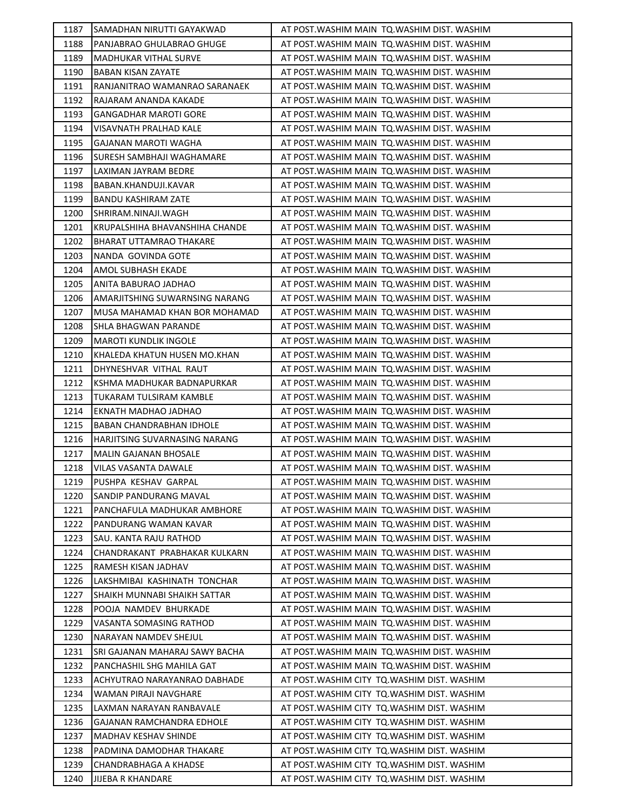| 1187 | SAMADHAN NIRUTTI GAYAKWAD       | AT POST. WASHIM MAIN TO. WASHIM DIST. WASHIM |
|------|---------------------------------|----------------------------------------------|
| 1188 | PANJABRAO GHULABRAO GHUGE       | AT POST. WASHIM MAIN TO. WASHIM DIST. WASHIM |
| 1189 | <b>MADHUKAR VITHAL SURVE</b>    | AT POST. WASHIM MAIN TO. WASHIM DIST. WASHIM |
| 1190 | BABAN KISAN ZAYATE              | AT POST. WASHIM MAIN TO. WASHIM DIST. WASHIM |
| 1191 | RANJANITRAO WAMANRAO SARANAEK   | AT POST. WASHIM MAIN TO. WASHIM DIST. WASHIM |
| 1192 | RAJARAM ANANDA KAKADE           | AT POST. WASHIM MAIN TO. WASHIM DIST. WASHIM |
| 1193 | <b>GANGADHAR MAROTI GORE</b>    | AT POST. WASHIM MAIN TO. WASHIM DIST. WASHIM |
| 1194 | VISAVNATH PRALHAD KALE          | AT POST. WASHIM MAIN TO. WASHIM DIST. WASHIM |
| 1195 | <b>GAJANAN MAROTI WAGHA</b>     | AT POST. WASHIM MAIN TQ. WASHIM DIST. WASHIM |
| 1196 | SURESH SAMBHAJI WAGHAMARE       | AT POST. WASHIM MAIN TQ. WASHIM DIST. WASHIM |
| 1197 | LAXIMAN JAYRAM BEDRE            | AT POST. WASHIM MAIN TO. WASHIM DIST. WASHIM |
| 1198 | BABAN.KHANDUJI.KAVAR            | AT POST. WASHIM MAIN TQ. WASHIM DIST. WASHIM |
| 1199 | <b>BANDU KASHIRAM ZATE</b>      | AT POST. WASHIM MAIN TO. WASHIM DIST. WASHIM |
| 1200 | SHRIRAM.NINAJI.WAGH             | AT POST. WASHIM MAIN TQ. WASHIM DIST. WASHIM |
| 1201 | KRUPALSHIHA BHAVANSHIHA CHANDE  | AT POST. WASHIM MAIN TO. WASHIM DIST. WASHIM |
| 1202 | <b>BHARAT UTTAMRAO THAKARE</b>  | AT POST. WASHIM MAIN TO. WASHIM DIST. WASHIM |
| 1203 | NANDA GOVINDA GOTE              | AT POST. WASHIM MAIN TO. WASHIM DIST. WASHIM |
| 1204 | <b>AMOL SUBHASH EKADE</b>       | AT POST.WASHIM MAIN  TQ.WASHIM DIST. WASHIM  |
| 1205 | ANITA BABURAO JADHAO            | AT POST. WASHIM MAIN TQ. WASHIM DIST. WASHIM |
| 1206 | AMARJITSHING SUWARNSING NARANG  | AT POST. WASHIM MAIN TO. WASHIM DIST. WASHIM |
| 1207 | MUSA MAHAMAD KHAN BOR MOHAMAD   | AT POST. WASHIM MAIN TO. WASHIM DIST. WASHIM |
| 1208 | SHLA BHAGWAN PARANDE            | AT POST. WASHIM MAIN TO. WASHIM DIST. WASHIM |
| 1209 | <b>MAROTI KUNDLIK INGOLE</b>    | AT POST. WASHIM MAIN TQ. WASHIM DIST. WASHIM |
| 1210 | KHALEDA KHATUN HUSEN MO.KHAN    | AT POST. WASHIM MAIN TO. WASHIM DIST. WASHIM |
| 1211 | DHYNESHVAR VITHAL RAUT          | AT POST. WASHIM MAIN TO. WASHIM DIST. WASHIM |
| 1212 | KSHMA MADHUKAR BADNAPURKAR      | AT POST. WASHIM MAIN TO. WASHIM DIST. WASHIM |
| 1213 | <b>TUKARAM TULSIRAM KAMBLE</b>  | AT POST. WASHIM MAIN TO. WASHIM DIST. WASHIM |
| 1214 | EKNATH MADHAO JADHAO            | AT POST. WASHIM MAIN TQ. WASHIM DIST. WASHIM |
| 1215 | <b>BABAN CHANDRABHAN IDHOLE</b> | AT POST. WASHIM MAIN TQ. WASHIM DIST. WASHIM |
| 1216 | HARJITSING SUVARNASING NARANG   | AT POST. WASHIM MAIN TO. WASHIM DIST. WASHIM |
| 1217 | <b>MALIN GAJANAN BHOSALE</b>    | AT POST. WASHIM MAIN TO. WASHIM DIST. WASHIM |
| 1218 | VILAS VASANTA DAWALE            | AT POST. WASHIM MAIN TQ. WASHIM DIST. WASHIM |
| 1219 | PUSHPA KESHAV GARPAL            | AT POST. WASHIM MAIN TQ. WASHIM DIST. WASHIM |
| 1220 | SANDIP PANDURANG MAVAL          | AT POST.WASHIM MAIN  TQ.WASHIM DIST. WASHIM  |
| 1221 | PANCHAFULA MADHUKAR AMBHORE     | AT POST. WASHIM MAIN TO. WASHIM DIST. WASHIM |
| 1222 | PANDURANG WAMAN KAVAR           | AT POST.WASHIM MAIN TQ.WASHIM DIST. WASHIM   |
| 1223 | SAU. KANTA RAJU RATHOD          | AT POST.WASHIM MAIN TQ.WASHIM DIST. WASHIM   |
| 1224 | CHANDRAKANT PRABHAKAR KULKARN   | AT POST.WASHIM MAIN TO.WASHIM DIST. WASHIM   |
| 1225 | RAMESH KISAN JADHAV             | AT POST. WASHIM MAIN TO. WASHIM DIST. WASHIM |
| 1226 | LAKSHMIBAI KASHINATH TONCHAR    | AT POST.WASHIM MAIN TQ.WASHIM DIST. WASHIM   |
| 1227 | SHAIKH MUNNABI SHAIKH SATTAR    | AT POST. WASHIM MAIN TO. WASHIM DIST. WASHIM |
| 1228 | POOJA NAMDEV BHURKADE           | AT POST. WASHIM MAIN TO. WASHIM DIST. WASHIM |
| 1229 | VASANTA SOMASING RATHOD         | AT POST.WASHIM MAIN TQ.WASHIM DIST. WASHIM   |
| 1230 | NARAYAN NAMDEV SHEJUL           | AT POST.WASHIM MAIN  TQ.WASHIM DIST. WASHIM  |
| 1231 | SRI GAJANAN MAHARAJ SAWY BACHA  | AT POST.WASHIM MAIN  TQ.WASHIM DIST. WASHIM  |
| 1232 | PANCHASHIL SHG MAHILA GAT       | AT POST. WASHIM MAIN TO. WASHIM DIST. WASHIM |
| 1233 | ACHYUTRAO NARAYANRAO DABHADE    | AT POST. WASHIM CITY TO. WASHIM DIST. WASHIM |
| 1234 | WAMAN PIRAJI NAVGHARE           | AT POST. WASHIM CITY TO. WASHIM DIST. WASHIM |
| 1235 | LAXMAN NARAYAN RANBAVALE        | AT POST. WASHIM CITY TO. WASHIM DIST. WASHIM |
| 1236 | GAJANAN RAMCHANDRA EDHOLE       | AT POST. WASHIM CITY TO. WASHIM DIST. WASHIM |
| 1237 | MADHAV KESHAV SHINDE            | AT POST. WASHIM CITY TO. WASHIM DIST. WASHIM |
| 1238 | PADMINA DAMODHAR THAKARE        | AT POST. WASHIM CITY TO. WASHIM DIST. WASHIM |
| 1239 | CHANDRABHAGA A KHADSE           | AT POST. WASHIM CITY TO. WASHIM DIST. WASHIM |
| 1240 | <b>JIJEBA R KHANDARE</b>        | AT POST. WASHIM CITY TQ. WASHIM DIST. WASHIM |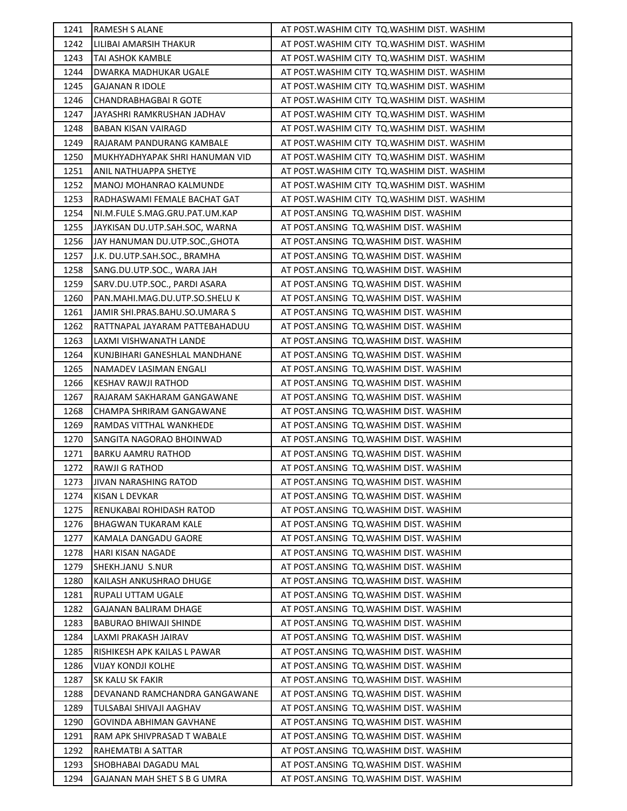| 1241 | <b>RAMESH S ALANE</b>          | AT POST. WASHIM CITY TO. WASHIM DIST. WASHIM |
|------|--------------------------------|----------------------------------------------|
| 1242 | LILIBAI AMARSIH THAKUR         | AT POST. WASHIM CITY TQ. WASHIM DIST. WASHIM |
| 1243 | <b>TAI ASHOK KAMBLE</b>        | AT POST. WASHIM CITY TQ. WASHIM DIST. WASHIM |
| 1244 | DWARKA MADHUKAR UGALE          | AT POST. WASHIM CITY TO. WASHIM DIST. WASHIM |
| 1245 | <b>GAJANAN R IDOLE</b>         | AT POST. WASHIM CITY TO. WASHIM DIST. WASHIM |
| 1246 | CHANDRABHAGBAI R GOTE          | AT POST. WASHIM CITY TO. WASHIM DIST. WASHIM |
| 1247 | JAYASHRI RAMKRUSHAN JADHAV     | AT POST. WASHIM CITY TO. WASHIM DIST. WASHIM |
| 1248 | <b>BABAN KISAN VAIRAGD</b>     | AT POST. WASHIM CITY TQ. WASHIM DIST. WASHIM |
| 1249 | RAJARAM PANDURANG KAMBALE      | AT POST. WASHIM CITY TQ. WASHIM DIST. WASHIM |
| 1250 | MUKHYADHYAPAK SHRI HANUMAN VID | AT POST. WASHIM CITY TQ. WASHIM DIST. WASHIM |
| 1251 | <b>ANIL NATHUAPPA SHETYE</b>   | AT POST. WASHIM CITY TO. WASHIM DIST. WASHIM |
| 1252 | MANOJ MOHANRAO KALMUNDE        | AT POST. WASHIM CITY TQ. WASHIM DIST. WASHIM |
| 1253 | RADHASWAMI FEMALE BACHAT GAT   | AT POST. WASHIM CITY TO. WASHIM DIST. WASHIM |
| 1254 | NI.M.FULE S.MAG.GRU.PAT.UM.KAP | AT POST.ANSING TQ.WASHIM DIST. WASHIM        |
| 1255 | JAYKISAN DU.UTP.SAH.SOC, WARNA | AT POST.ANSING TQ.WASHIM DIST. WASHIM        |
| 1256 | JAY HANUMAN DU.UTP.SOC., GHOTA | AT POST.ANSING TQ.WASHIM DIST. WASHIM        |
| 1257 | J.K. DU.UTP.SAH.SOC., BRAMHA   | AT POST.ANSING TQ.WASHIM DIST. WASHIM        |
| 1258 | SANG.DU.UTP.SOC., WARA JAH     | AT POST.ANSING TQ.WASHIM DIST. WASHIM        |
| 1259 | SARV.DU.UTP.SOC., PARDI ASARA  | AT POST.ANSING TQ.WASHIM DIST. WASHIM        |
| 1260 | PAN.MAHI.MAG.DU.UTP.SO.SHELU K | AT POST.ANSING TQ.WASHIM DIST. WASHIM        |
| 1261 | JAMIR SHI.PRAS.BAHU.SO.UMARA S | AT POST.ANSING TQ.WASHIM DIST. WASHIM        |
| 1262 | RATTNAPAL JAYARAM PATTEBAHADUU | AT POST.ANSING TQ.WASHIM DIST. WASHIM        |
| 1263 | LAXMI VISHWANATH LANDE         | AT POST.ANSING TQ.WASHIM DIST. WASHIM        |
| 1264 | KUNJBIHARI GANESHLAL MANDHANE  | AT POST.ANSING TQ.WASHIM DIST. WASHIM        |
| 1265 | NAMADEV LASIMAN ENGALI         | AT POST.ANSING TQ.WASHIM DIST. WASHIM        |
| 1266 | KESHAV RAWJI RATHOD            | AT POST.ANSING TQ.WASHIM DIST. WASHIM        |
| 1267 | RAJARAM SAKHARAM GANGAWANE     | AT POST.ANSING TQ.WASHIM DIST. WASHIM        |
| 1268 | CHAMPA SHRIRAM GANGAWANE       | AT POST.ANSING TQ.WASHIM DIST. WASHIM        |
| 1269 | RAMDAS VITTHAL WANKHEDE        | AT POST.ANSING TQ.WASHIM DIST. WASHIM        |
| 1270 | SANGITA NAGORAO BHOINWAD       | AT POST.ANSING TQ.WASHIM DIST. WASHIM        |
| 1271 | BARKU AAMRU RATHOD             | AT POST.ANSING TQ.WASHIM DIST. WASHIM        |
| 1272 | RAWJI G RATHOD                 | AT POST.ANSING TQ.WASHIM DIST. WASHIM        |
| 1273 | JIVAN NARASHING RATOD          | AT POST.ANSING TQ.WASHIM DIST. WASHIM        |
| 1274 | KISAN L DEVKAR                 | AT POST.ANSING TQ.WASHIM DIST. WASHIM        |
| 1275 | RENUKABAI ROHIDASH RATOD       | AT POST.ANSING TQ.WASHIM DIST. WASHIM        |
| 1276 | <b>BHAGWAN TUKARAM KALE</b>    | AT POST.ANSING TQ.WASHIM DIST. WASHIM        |
| 1277 | KAMALA DANGADU GAORE           | AT POST.ANSING TQ.WASHIM DIST. WASHIM        |
| 1278 | <b>HARI KISAN NAGADE</b>       | AT POST.ANSING TQ.WASHIM DIST. WASHIM        |
| 1279 | SHEKH.JANU S.NUR               | AT POST.ANSING TQ.WASHIM DIST. WASHIM        |
| 1280 | KAILASH ANKUSHRAO DHUGE        | AT POST.ANSING TQ.WASHIM DIST. WASHIM        |
| 1281 | RUPALI UTTAM UGALE             | AT POST.ANSING TQ.WASHIM DIST. WASHIM        |
| 1282 | <b>GAJANAN BALIRAM DHAGE</b>   | AT POST.ANSING TQ.WASHIM DIST. WASHIM        |
| 1283 | <b>BABURAO BHIWAJI SHINDE</b>  | AT POST.ANSING TQ.WASHIM DIST. WASHIM        |
| 1284 | LAXMI PRAKASH JAIRAV           | AT POST.ANSING TQ.WASHIM DIST. WASHIM        |
| 1285 | RISHIKESH APK KAILAS L PAWAR   | AT POST.ANSING TQ.WASHIM DIST. WASHIM        |
| 1286 | <b>VIJAY KONDJI KOLHE</b>      | AT POST.ANSING TQ.WASHIM DIST. WASHIM        |
| 1287 | SK KALU SK FAKIR               | AT POST.ANSING TQ.WASHIM DIST. WASHIM        |
| 1288 | DEVANAND RAMCHANDRA GANGAWANE  | AT POST.ANSING TQ.WASHIM DIST. WASHIM        |
| 1289 | TULSABAI SHIVAJI AAGHAV        | AT POST.ANSING TQ.WASHIM DIST. WASHIM        |
| 1290 | GOVINDA ABHIMAN GAVHANE        | AT POST.ANSING TQ.WASHIM DIST. WASHIM        |
| 1291 | RAM APK SHIVPRASAD T WABALE    | AT POST.ANSING TQ.WASHIM DIST. WASHIM        |
| 1292 | RAHEMATBI A SATTAR             | AT POST.ANSING TQ.WASHIM DIST. WASHIM        |
| 1293 | SHOBHABAI DAGADU MAL           | AT POST.ANSING TQ.WASHIM DIST. WASHIM        |
| 1294 | GAJANAN MAH SHET S B G UMRA    | AT POST.ANSING TQ.WASHIM DIST. WASHIM        |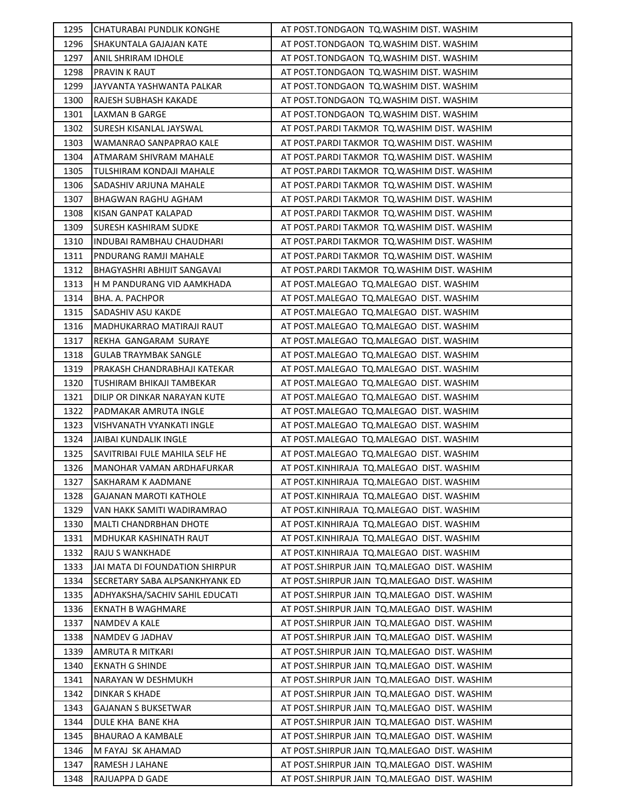| 1295 | CHATURABAI PUNDLIK KONGHE        | AT POST.TONDGAON TO.WASHIM DIST. WASHIM        |
|------|----------------------------------|------------------------------------------------|
| 1296 | <b>SHAKUNTALA GAJAJAN KATE</b>   | AT POST.TONDGAON TQ.WASHIM DIST. WASHIM        |
| 1297 | ANIL SHRIRAM IDHOLE              | AT POST.TONDGAON TQ.WASHIM DIST. WASHIM        |
| 1298 | PRAVIN K RAUT                    | AT POST.TONDGAON TQ.WASHIM DIST. WASHIM        |
| 1299 | JAYVANTA YASHWANTA PALKAR        | AT POST.TONDGAON TQ.WASHIM DIST. WASHIM        |
| 1300 | RAJESH SUBHASH KAKADE            | AT POST.TONDGAON TQ.WASHIM DIST. WASHIM        |
| 1301 | LAXMAN B GARGE                   | AT POST.TONDGAON TQ.WASHIM DIST. WASHIM        |
| 1302 | SURESH KISANLAL JAYSWAL          | AT POST.PARDI TAKMOR TQ.WASHIM DIST. WASHIM    |
| 1303 | WAMANRAO SANPAPRAO KALE          | AT POST.PARDI TAKMOR TQ.WASHIM DIST. WASHIM    |
| 1304 | ATMARAM SHIVRAM MAHALE           | AT POST. PARDI TAKMOR TO. WASHIM DIST. WASHIM  |
| 1305 | TULSHIRAM KONDAJI MAHALE         | AT POST. PARDI TAKMOR TQ. WASHIM DIST. WASHIM  |
| 1306 | SADASHIV ARJUNA MAHALE           | AT POST. PARDI TAKMOR TQ. WASHIM DIST. WASHIM  |
| 1307 | BHAGWAN RAGHU AGHAM              | AT POST.PARDI TAKMOR TQ.WASHIM DIST. WASHIM    |
| 1308 | KISAN GANPAT KALAPAD             | AT POST.PARDI TAKMOR TQ.WASHIM DIST. WASHIM    |
| 1309 | <b>SURESH KASHIRAM SUDKE</b>     | AT POST. PARDI TAKMOR TQ. WASHIM DIST. WASHIM  |
| 1310 | <b>INDUBAI RAMBHAU CHAUDHARI</b> | AT POST. PARDI TAKMOR TQ. WASHIM DIST. WASHIM  |
| 1311 | <b>PNDURANG RAMJI MAHALE</b>     | AT POST. PARDI TAKMOR TO. WASHIM DIST. WASHIM  |
| 1312 | BHAGYASHRI ABHIJIT SANGAVAI      | AT POST.PARDI TAKMOR TQ.WASHIM DIST. WASHIM    |
| 1313 | H M PANDURANG VID AAMKHADA       | AT POST.MALEGAO TQ.MALEGAO DIST. WASHIM        |
| 1314 | <b>BHA. A. PACHPOR</b>           | AT POST.MALEGAO TQ.MALEGAO DIST. WASHIM        |
| 1315 | SADASHIV ASU KAKDE               | AT POST.MALEGAO TQ.MALEGAO DIST. WASHIM        |
| 1316 | MADHUKARRAO MATIRAJI RAUT        | AT POST.MALEGAO TQ.MALEGAO DIST. WASHIM        |
| 1317 | REKHA GANGARAM SURAYE            | AT POST.MALEGAO TQ.MALEGAO DIST. WASHIM        |
| 1318 | <b>GULAB TRAYMBAK SANGLE</b>     | AT POST.MALEGAO TQ.MALEGAO DIST. WASHIM        |
| 1319 | PRAKASH CHANDRABHAJI KATEKAR     | AT POST.MALEGAO TQ.MALEGAO DIST. WASHIM        |
| 1320 | TUSHIRAM BHIKAJI TAMBEKAR        | AT POST.MALEGAO TQ.MALEGAO DIST. WASHIM        |
| 1321 | DILIP OR DINKAR NARAYAN KUTE     | AT POST.MALEGAO TQ.MALEGAO DIST. WASHIM        |
| 1322 | PADMAKAR AMRUTA INGLE            | AT POST.MALEGAO TQ.MALEGAO DIST. WASHIM        |
| 1323 | VISHVANATH VYANKATI INGLE        | AT POST.MALEGAO TQ.MALEGAO DIST. WASHIM        |
| 1324 | <b>JAIBAI KUNDALIK INGLE</b>     | AT POST.MALEGAO TQ.MALEGAO DIST. WASHIM        |
| 1325 | SAVITRIBAI FULE MAHILA SELF HE   | AT POST.MALEGAO TQ.MALEGAO DIST. WASHIM        |
| 1326 | MANOHAR VAMAN ARDHAFURKAR        | AT POST.KINHIRAJA TQ.MALEGAO DIST. WASHIM      |
| 1327 | SAKHARAM K AADMANE               | AT POST.KINHIRAJA TQ.MALEGAO DIST. WASHIM      |
| 1328 | GAJANAN MAROTI KATHOLE           | AT POST.KINHIRAJA TQ.MALEGAO DIST. WASHIM      |
| 1329 | VAN HAKK SAMITI WADIRAMRAO       | AT POST.KINHIRAJA TQ.MALEGAO DIST. WASHIM      |
| 1330 | <b>MALTI CHANDRBHAN DHOTE</b>    | AT POST.KINHIRAJA TQ.MALEGAO DIST. WASHIM      |
| 1331 | MDHUKAR KASHINATH RAUT           | AT POST.KINHIRAJA TQ.MALEGAO DIST. WASHIM      |
| 1332 | <b>RAJU S WANKHADE</b>           | AT POST.KINHIRAJA TQ.MALEGAO DIST. WASHIM      |
| 1333 | JAI MATA DI FOUNDATION SHIRPUR   | AT POST. SHIRPUR JAIN TO. MALEGAO DIST. WASHIM |
| 1334 | SECRETARY SABA ALPSANKHYANK ED   | AT POST. SHIRPUR JAIN TO. MALEGAO DIST. WASHIM |
| 1335 | ADHYAKSHA/SACHIV SAHIL EDUCATI   | AT POST. SHIRPUR JAIN TO. MALEGAO DIST. WASHIM |
| 1336 | <b>EKNATH B WAGHMARE</b>         | AT POST.SHIRPUR JAIN TQ.MALEGAO DIST. WASHIM   |
| 1337 | <b>NAMDEV A KALE</b>             | AT POST.SHIRPUR JAIN TQ.MALEGAO DIST. WASHIM   |
| 1338 | NAMDEV G JADHAV                  | AT POST.SHIRPUR JAIN  TQ.MALEGAO  DIST. WASHIM |
| 1339 | AMRUTA R MITKARI                 | AT POST. SHIRPUR JAIN TO. MALEGAO DIST. WASHIM |
| 1340 | <b>EKNATH G SHINDE</b>           | AT POST. SHIRPUR JAIN TO. MALEGAO DIST. WASHIM |
| 1341 | NARAYAN W DESHMUKH               | AT POST. SHIRPUR JAIN TO. MALEGAO DIST. WASHIM |
| 1342 | <b>DINKAR S KHADE</b>            | AT POST.SHIRPUR JAIN TQ.MALEGAO DIST. WASHIM   |
| 1343 | GAJANAN S BUKSETWAR              | AT POST. SHIRPUR JAIN TO. MALEGAO DIST. WASHIM |
| 1344 | DULE KHA BANE KHA                | AT POST. SHIRPUR JAIN TO. MALEGAO DIST. WASHIM |
| 1345 | <b>BHAURAO A KAMBALE</b>         | AT POST. SHIRPUR JAIN TO. MALEGAO DIST. WASHIM |
| 1346 | M FAYAJ SK AHAMAD                | AT POST.SHIRPUR JAIN TQ.MALEGAO DIST. WASHIM   |
| 1347 | RAMESH J LAHANE                  | AT POST. SHIRPUR JAIN TO. MALEGAO DIST. WASHIM |
| 1348 | RAJUAPPA D GADE                  | AT POST.SHIRPUR JAIN TQ.MALEGAO DIST. WASHIM   |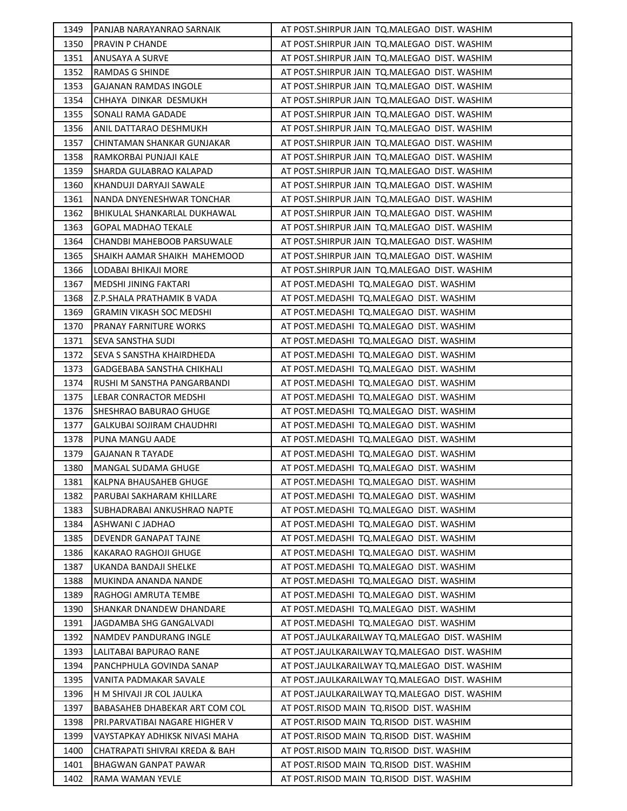| 1349 | PANJAB NARAYANRAO SARNAIK        | AT POST. SHIRPUR JAIN TO. MALEGAO DIST. WASHIM |
|------|----------------------------------|------------------------------------------------|
| 1350 | <b>PRAVIN P CHANDE</b>           | AT POST. SHIRPUR JAIN TO. MALEGAO DIST. WASHIM |
| 1351 | ANUSAYA A SURVE                  | AT POST. SHIRPUR JAIN TO. MALEGAO DIST. WASHIM |
| 1352 | <b>RAMDAS G SHINDE</b>           | AT POST.SHIRPUR JAIN  TQ.MALEGAO  DIST. WASHIM |
| 1353 | <b>GAJANAN RAMDAS INGOLE</b>     | AT POST.SHIRPUR JAIN TO.MALEGAO DIST. WASHIM   |
| 1354 | CHHAYA DINKAR DESMUKH            | AT POST. SHIRPUR JAIN TO. MALEGAO DIST. WASHIM |
| 1355 | SONALI RAMA GADADE               | AT POST. SHIRPUR JAIN TO. MALEGAO DIST. WASHIM |
| 1356 | ANIL DATTARAO DESHMUKH           | AT POST.SHIRPUR JAIN TO.MALEGAO DIST. WASHIM   |
| 1357 | CHINTAMAN SHANKAR GUNJAKAR       | AT POST. SHIRPUR JAIN TO. MALEGAO DIST. WASHIM |
| 1358 | RAMKORBAI PUNJAJI KALE           | AT POST.SHIRPUR JAIN TO.MALEGAO DIST. WASHIM   |
| 1359 | SHARDA GULABRAO KALAPAD          | AT POST. SHIRPUR JAIN TO. MALEGAO DIST. WASHIM |
| 1360 | KHANDUJI DARYAJI SAWALE          | AT POST.SHIRPUR JAIN TQ.MALEGAO DIST. WASHIM   |
| 1361 | NANDA DNYENESHWAR TONCHAR        | AT POST. SHIRPUR JAIN TO. MALEGAO DIST. WASHIM |
| 1362 | BHIKULAL SHANKARLAL DUKHAWAL     | AT POST.SHIRPUR JAIN TQ.MALEGAO DIST. WASHIM   |
| 1363 | <b>GOPAL MADHAO TEKALE</b>       | AT POST. SHIRPUR JAIN TO. MALEGAO DIST. WASHIM |
| 1364 | CHANDBI MAHEBOOB PARSUWALE       | AT POST.SHIRPUR JAIN TO.MALEGAO DIST. WASHIM   |
| 1365 | SHAIKH AAMAR SHAIKH MAHEMOOD     | AT POST. SHIRPUR JAIN TO. MALEGAO DIST. WASHIM |
| 1366 | LODABAI BHIKAJI MORE             | AT POST.SHIRPUR JAIN  TQ.MALEGAO  DIST. WASHIM |
| 1367 | <b>MEDSHI JINING FAKTARI</b>     | AT POST.MEDASHI TQ.MALEGAO DIST. WASHIM        |
| 1368 | Z.P.SHALA PRATHAMIK B VADA       | AT POST.MEDASHI TQ.MALEGAO DIST. WASHIM        |
| 1369 | <b>GRAMIN VIKASH SOC MEDSHI</b>  | AT POST.MEDASHI TQ.MALEGAO DIST. WASHIM        |
| 1370 | <b>PRANAY FARNITURE WORKS</b>    | AT POST.MEDASHI TQ.MALEGAO DIST. WASHIM        |
| 1371 | SEVA SANSTHA SUDI                | AT POST.MEDASHI TQ.MALEGAO DIST. WASHIM        |
| 1372 | SEVA S SANSTHA KHAIRDHEDA        | AT POST.MEDASHI TQ.MALEGAO DIST. WASHIM        |
| 1373 | GADGEBABA SANSTHA CHIKHALI       | AT POST.MEDASHI TQ.MALEGAO DIST. WASHIM        |
| 1374 | RUSHI M SANSTHA PANGARBANDI      | AT POST.MEDASHI TQ.MALEGAO DIST. WASHIM        |
| 1375 | LEBAR CONRACTOR MEDSHI           | AT POST.MEDASHI TQ.MALEGAO DIST. WASHIM        |
| 1376 | SHESHRAO BABURAO GHUGE           | AT POST.MEDASHI TQ.MALEGAO DIST. WASHIM        |
| 1377 | <b>GALKUBAI SOJIRAM CHAUDHRI</b> | AT POST.MEDASHI TQ.MALEGAO DIST. WASHIM        |
| 1378 | PUNA MANGU AADE                  | AT POST.MEDASHI TQ.MALEGAO DIST. WASHIM        |
| 1379 | <b>GAJANAN R TAYADE</b>          | AT POST.MEDASHI TQ.MALEGAO DIST. WASHIM        |
| 1380 | MANGAL SUDAMA GHUGE              | AT POST.MEDASHI TQ.MALEGAO DIST. WASHIM        |
| 1381 | KALPNA BHAUSAHEB GHUGE           | AT POST.MEDASHI TQ.MALEGAO DIST. WASHIM        |
| 1382 | PARUBAI SAKHARAM KHILLARE        | AT POST.MEDASHI TQ.MALEGAO DIST. WASHIM        |
| 1383 | SUBHADRABAI ANKUSHRAO NAPTE      | AT POST.MEDASHI TQ.MALEGAO DIST. WASHIM        |
| 1384 | ASHWANI C JADHAO                 | AT POST.MEDASHI TQ.MALEGAO DIST. WASHIM        |
| 1385 | DEVENDR GANAPAT TAJNE            | AT POST.MEDASHI TQ.MALEGAO DIST. WASHIM        |
| 1386 | KAKARAO RAGHOJI GHUGE            | AT POST.MEDASHI TO.MALEGAO DIST. WASHIM        |
| 1387 | UKANDA BANDAJI SHELKE            | AT POST.MEDASHI TQ.MALEGAO DIST. WASHIM        |
| 1388 | MUKINDA ANANDA NANDE             | AT POST.MEDASHI TQ.MALEGAO DIST. WASHIM        |
| 1389 | RAGHOGI AMRUTA TEMBE             | AT POST.MEDASHI TQ.MALEGAO DIST. WASHIM        |
| 1390 | <b>SHANKAR DNANDEW DHANDARE</b>  | AT POST.MEDASHI TQ.MALEGAO DIST. WASHIM        |
| 1391 | JAGDAMBA SHG GANGALVADI          | AT POST.MEDASHI TQ.MALEGAO DIST. WASHIM        |
| 1392 | NAMDEV PANDURANG INGLE           | AT POST.JAULKARAILWAY TQ.MALEGAO DIST. WASHIM  |
| 1393 | LALITABAI BAPURAO RANE           | AT POST.JAULKARAILWAY TQ.MALEGAO DIST. WASHIM  |
| 1394 | PANCHPHULA GOVINDA SANAP         | AT POST.JAULKARAILWAY TQ.MALEGAO DIST. WASHIM  |
| 1395 | VANITA PADMAKAR SAVALE           | AT POST.JAULKARAILWAY TQ.MALEGAO DIST. WASHIM  |
| 1396 | H M SHIVAJI JR COL JAULKA        | AT POST.JAULKARAILWAY TQ.MALEGAO DIST. WASHIM  |
| 1397 | BABASAHEB DHABEKAR ART COM COL   | AT POST.RISOD MAIN  TQ.RISOD  DIST. WASHIM     |
| 1398 | PRI.PARVATIBAI NAGARE HIGHER V   | AT POST.RISOD MAIN TQ.RISOD DIST. WASHIM       |
| 1399 | VAYSTAPKAY ADHIKSK NIVASI MAHA   | AT POST.RISOD MAIN TQ.RISOD DIST. WASHIM       |
| 1400 | CHATRAPATI SHIVRAI KREDA & BAH   | AT POST.RISOD MAIN TQ.RISOD DIST. WASHIM       |
| 1401 | BHAGWAN GANPAT PAWAR             | AT POST.RISOD MAIN TQ.RISOD DIST. WASHIM       |
| 1402 | RAMA WAMAN YEVLE                 | AT POST.RISOD MAIN TQ.RISOD DIST. WASHIM       |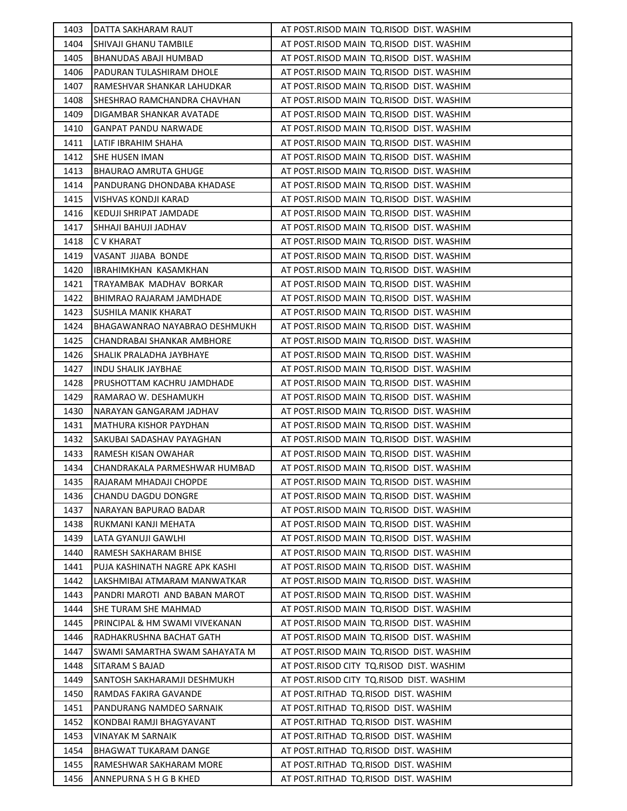| 1403 | DATTA SAKHARAM RAUT            | AT POST.RISOD MAIN TQ.RISOD DIST. WASHIM |
|------|--------------------------------|------------------------------------------|
| 1404 | SHIVAJI GHANU TAMBILE          | AT POST.RISOD MAIN TO.RISOD DIST. WASHIM |
| 1405 | <b>BHANUDAS ABAJI HUMBAD</b>   | AT POST.RISOD MAIN TQ.RISOD DIST. WASHIM |
| 1406 | PADURAN TULASHIRAM DHOLE       | AT POST.RISOD MAIN TQ.RISOD DIST. WASHIM |
| 1407 | RAMESHVAR SHANKAR LAHUDKAR     | AT POST.RISOD MAIN TQ.RISOD DIST. WASHIM |
| 1408 | SHESHRAO RAMCHANDRA CHAVHAN    | AT POST.RISOD MAIN TQ.RISOD DIST. WASHIM |
| 1409 | DIGAMBAR SHANKAR AVATADE       | AT POST.RISOD MAIN TQ.RISOD DIST. WASHIM |
| 1410 | <b>GANPAT PANDU NARWADE</b>    | AT POST.RISOD MAIN TQ.RISOD DIST. WASHIM |
| 1411 | LATIF IBRAHIM SHAHA            | AT POST.RISOD MAIN TQ.RISOD DIST. WASHIM |
| 1412 | <b>SHE HUSEN IMAN</b>          | AT POST.RISOD MAIN TQ.RISOD DIST. WASHIM |
| 1413 | <b>BHAURAO AMRUTA GHUGE</b>    | AT POST.RISOD MAIN TQ.RISOD DIST. WASHIM |
| 1414 | PANDURANG DHONDABA KHADASE     | AT POST.RISOD MAIN TQ.RISOD DIST. WASHIM |
| 1415 | VISHVAS KONDJI KARAD           | AT POST.RISOD MAIN TQ.RISOD DIST. WASHIM |
| 1416 | KEDUJI SHRIPAT JAMDADE         | AT POST.RISOD MAIN TQ.RISOD DIST. WASHIM |
| 1417 | SHHAJI BAHUJI JADHAV           | AT POST.RISOD MAIN TQ.RISOD DIST. WASHIM |
| 1418 | <b>CV KHARAT</b>               | AT POST.RISOD MAIN TQ.RISOD DIST. WASHIM |
| 1419 | VASANT JIJABA BONDE            | AT POST.RISOD MAIN TQ.RISOD DIST. WASHIM |
| 1420 | IBRAHIMKHAN KASAMKHAN          | AT POST.RISOD MAIN TQ.RISOD DIST. WASHIM |
| 1421 | TRAYAMBAK MADHAV BORKAR        | AT POST.RISOD MAIN TQ.RISOD DIST. WASHIM |
| 1422 | BHIMRAO RAJARAM JAMDHADE       | AT POST.RISOD MAIN TQ.RISOD DIST. WASHIM |
| 1423 | SUSHILA MANIK KHARAT           | AT POST.RISOD MAIN TQ.RISOD DIST. WASHIM |
| 1424 | BHAGAWANRAO NAYABRAO DESHMUKH  | AT POST.RISOD MAIN TQ.RISOD DIST. WASHIM |
| 1425 | CHANDRABAI SHANKAR AMBHORE     | AT POST.RISOD MAIN TQ.RISOD DIST. WASHIM |
| 1426 | SHALIK PRALADHA JAYBHAYE       | AT POST.RISOD MAIN TQ.RISOD DIST. WASHIM |
| 1427 | <b>INDU SHALIK JAYBHAE</b>     | AT POST.RISOD MAIN TQ.RISOD DIST. WASHIM |
| 1428 | PRUSHOTTAM KACHRU JAMDHADE     | AT POST.RISOD MAIN TQ.RISOD DIST. WASHIM |
| 1429 | RAMARAO W. DESHAMUKH           | AT POST.RISOD MAIN TQ.RISOD DIST. WASHIM |
| 1430 | NARAYAN GANGARAM JADHAV        | AT POST.RISOD MAIN TQ.RISOD DIST. WASHIM |
| 1431 | MATHURA KISHOR PAYDHAN         | AT POST.RISOD MAIN TQ.RISOD DIST. WASHIM |
| 1432 | ISAKUBAI SADASHAV PAYAGHAN     | AT POST.RISOD MAIN TQ.RISOD DIST. WASHIM |
| 1433 | RAMESH KISAN OWAHAR            | AT POST.RISOD MAIN TQ.RISOD DIST. WASHIM |
| 1434 | CHANDRAKALA PARMESHWAR HUMBAD  | AT POST.RISOD MAIN TQ.RISOD DIST. WASHIM |
| 1435 | RAJARAM MHADAJI CHOPDE         | AT POST.RISOD MAIN TQ.RISOD DIST. WASHIM |
| 1436 | <b>CHANDU DAGDU DONGRE</b>     | AT POST.RISOD MAIN TQ.RISOD DIST. WASHIM |
| 1437 | NARAYAN BAPURAO BADAR          | AT POST.RISOD MAIN TQ.RISOD DIST. WASHIM |
| 1438 | RUKMANI KANJI MEHATA           | AT POST.RISOD MAIN TQ.RISOD DIST. WASHIM |
| 1439 | LATA GYANUJI GAWLHI            | AT POST.RISOD MAIN TO.RISOD DIST. WASHIM |
| 1440 | RAMESH SAKHARAM BHISE          | AT POST.RISOD MAIN TQ.RISOD DIST. WASHIM |
| 1441 | PUJA KASHINATH NAGRE APK KASHI | AT POST.RISOD MAIN TQ.RISOD DIST. WASHIM |
| 1442 | LAKSHMIBAI ATMARAM MANWATKAR   | AT POST.RISOD MAIN TQ.RISOD DIST. WASHIM |
| 1443 | PANDRI MAROTI AND BABAN MAROT  | AT POST.RISOD MAIN TQ.RISOD DIST. WASHIM |
| 1444 | SHE TURAM SHE MAHMAD           | AT POST.RISOD MAIN TQ.RISOD DIST. WASHIM |
| 1445 | PRINCIPAL & HM SWAMI VIVEKANAN | AT POST.RISOD MAIN TQ.RISOD DIST. WASHIM |
| 1446 | RADHAKRUSHNA BACHAT GATH       | AT POST.RISOD MAIN TQ.RISOD DIST. WASHIM |
| 1447 | SWAMI SAMARTHA SWAM SAHAYATA M | AT POST.RISOD MAIN TQ.RISOD DIST. WASHIM |
| 1448 | SITARAM S BAJAD                | AT POST.RISOD CITY TQ.RISOD DIST. WASHIM |
| 1449 | SANTOSH SAKHARAMJI DESHMUKH    | AT POST.RISOD CITY TQ.RISOD DIST. WASHIM |
| 1450 | RAMDAS FAKIRA GAVANDE          | AT POST.RITHAD TQ.RISOD DIST. WASHIM     |
| 1451 | PANDURANG NAMDEO SARNAIK       | AT POST.RITHAD TQ.RISOD DIST. WASHIM     |
| 1452 | KONDBAI RAMJI BHAGYAVANT       | AT POST.RITHAD TQ.RISOD DIST. WASHIM     |
| 1453 | VINAYAK M SARNAIK              | AT POST.RITHAD TQ.RISOD DIST. WASHIM     |
| 1454 | <b>BHAGWAT TUKARAM DANGE</b>   | AT POST.RITHAD TQ.RISOD DIST. WASHIM     |
| 1455 | RAMESHWAR SAKHARAM MORE        | AT POST.RITHAD TQ.RISOD DIST. WASHIM     |
| 1456 | ANNEPURNA S H G B KHED         | AT POST.RITHAD TQ.RISOD DIST. WASHIM     |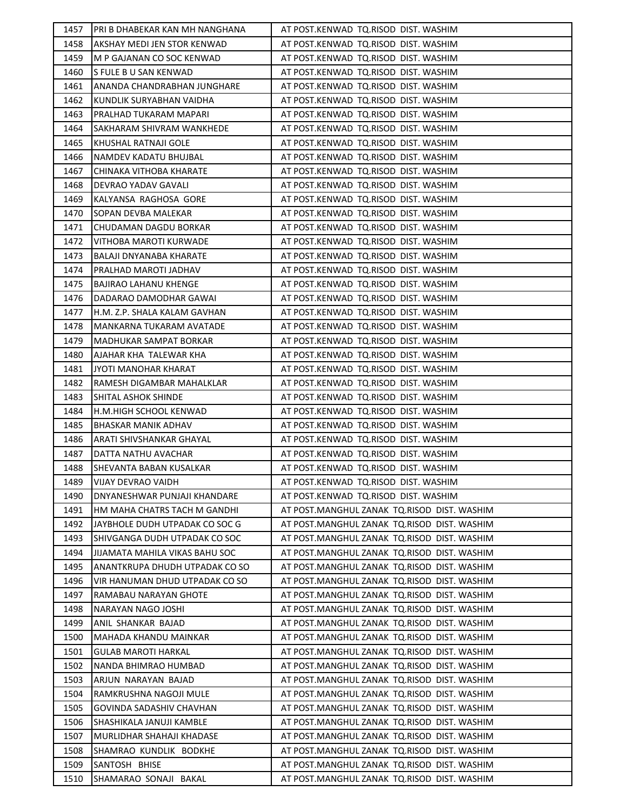| 1457 | IPRI B DHABEKAR KAN MH NANGHANA | AT POST.KENWAD TQ.RISOD DIST. WASHIM        |
|------|---------------------------------|---------------------------------------------|
| 1458 | AKSHAY MEDI JEN STOR KENWAD     | AT POST.KENWAD TQ.RISOD DIST. WASHIM        |
| 1459 | M P GAJANAN CO SOC KENWAD       | AT POST.KENWAD TQ.RISOD DIST. WASHIM        |
| 1460 | IS FULE B U SAN KENWAD          | AT POST.KENWAD TQ.RISOD DIST. WASHIM        |
| 1461 | ANANDA CHANDRABHAN JUNGHARE     | AT POST.KENWAD TQ.RISOD DIST. WASHIM        |
| 1462 | KUNDLIK SURYABHAN VAIDHA        | AT POST.KENWAD TQ.RISOD DIST. WASHIM        |
| 1463 | PRALHAD TUKARAM MAPARI          | AT POST.KENWAD TQ.RISOD DIST. WASHIM        |
| 1464 | SAKHARAM SHIVRAM WANKHEDE       | AT POST.KENWAD TQ.RISOD DIST. WASHIM        |
| 1465 | KHUSHAL RATNAJI GOLE            | AT POST.KENWAD TQ.RISOD DIST. WASHIM        |
| 1466 | NAMDEV KADATU BHUJBAL           | AT POST.KENWAD TQ.RISOD DIST. WASHIM        |
| 1467 | CHINAKA VITHOBA KHARATE         | AT POST.KENWAD TQ.RISOD DIST. WASHIM        |
| 1468 | DEVRAO YADAV GAVALI             | AT POST.KENWAD TQ.RISOD DIST. WASHIM        |
| 1469 | KALYANSA RAGHOSA GORE           | AT POST.KENWAD TQ.RISOD DIST. WASHIM        |
| 1470 | SOPAN DEVBA MALEKAR             | AT POST.KENWAD TQ.RISOD DIST. WASHIM        |
| 1471 | CHUDAMAN DAGDU BORKAR           | AT POST.KENWAD TQ.RISOD DIST. WASHIM        |
| 1472 | VITHOBA MAROTI KURWADE          | AT POST.KENWAD TQ.RISOD DIST. WASHIM        |
| 1473 | BALAJI DNYANABA KHARATE         | AT POST.KENWAD TQ.RISOD DIST. WASHIM        |
| 1474 | PRALHAD MAROTI JADHAV           | AT POST.KENWAD TQ.RISOD DIST. WASHIM        |
| 1475 | <b>BAJIRAO LAHANU KHENGE</b>    | AT POST.KENWAD TQ.RISOD DIST. WASHIM        |
| 1476 | DADARAO DAMODHAR GAWAI          | AT POST.KENWAD TQ.RISOD DIST. WASHIM        |
| 1477 | H.M. Z.P. SHALA KALAM GAVHAN    | AT POST.KENWAD TQ.RISOD DIST. WASHIM        |
| 1478 | MANKARNA TUKARAM AVATADE        | AT POST.KENWAD TQ.RISOD DIST. WASHIM        |
| 1479 | MADHUKAR SAMPAT BORKAR          | AT POST.KENWAD TQ.RISOD DIST. WASHIM        |
| 1480 | AJAHAR KHA TALEWAR KHA          | AT POST.KENWAD TQ.RISOD DIST. WASHIM        |
| 1481 | JYOTI MANOHAR KHARAT            | AT POST.KENWAD TQ.RISOD DIST. WASHIM        |
| 1482 | RAMESH DIGAMBAR MAHALKLAR       | AT POST.KENWAD TQ.RISOD DIST. WASHIM        |
| 1483 | <b>SHITAL ASHOK SHINDE</b>      | AT POST.KENWAD TQ.RISOD DIST. WASHIM        |
| 1484 | H.M.HIGH SCHOOL KENWAD          | AT POST.KENWAD TQ.RISOD DIST. WASHIM        |
| 1485 | <b>BHASKAR MANIK ADHAV</b>      | AT POST.KENWAD TQ.RISOD DIST. WASHIM        |
| 1486 | ARATI SHIVSHANKAR GHAYAL        | AT POST.KENWAD TQ.RISOD DIST. WASHIM        |
| 1487 | DATTA NATHU AVACHAR             | AT POST.KENWAD TQ.RISOD DIST. WASHIM        |
| 1488 | SHEVANTA BABAN KUSALKAR         | AT POST.KENWAD TQ.RISOD DIST. WASHIM        |
| 1489 | VIJAY DEVRAO VAIDH              | AT POST.KENWAD TQ.RISOD DIST. WASHIM        |
| 1490 | DNYANESHWAR PUNJAJI KHANDARE    | AT POST.KENWAD TQ.RISOD DIST. WASHIM        |
| 1491 | HM MAHA CHATRS TACH M GANDHI    | AT POST.MANGHUL ZANAK TQ.RISOD DIST. WASHIM |
| 1492 | JAYBHOLE DUDH UTPADAK CO SOC G  | AT POST.MANGHUL ZANAK TQ.RISOD DIST. WASHIM |
| 1493 | SHIVGANGA DUDH UTPADAK CO SOC   | AT POST.MANGHUL ZANAK TO.RISOD DIST. WASHIM |
| 1494 | JIJAMATA MAHILA VIKAS BAHU SOC  | AT POST.MANGHUL ZANAK TQ.RISOD DIST. WASHIM |
| 1495 | ANANTKRUPA DHUDH UTPADAK CO SO  | AT POST.MANGHUL ZANAK TQ.RISOD DIST. WASHIM |
| 1496 | VIR HANUMAN DHUD UTPADAK CO SO  | AT POST.MANGHUL ZANAK TQ.RISOD DIST. WASHIM |
| 1497 | RAMABAU NARAYAN GHOTE           | AT POST.MANGHUL ZANAK TQ.RISOD DIST. WASHIM |
| 1498 | NARAYAN NAGO JOSHI              | AT POST.MANGHUL ZANAK TQ.RISOD DIST. WASHIM |
| 1499 | ANIL SHANKAR BAJAD              | AT POST.MANGHUL ZANAK TQ.RISOD DIST. WASHIM |
| 1500 | MAHADA KHANDU MAINKAR           | AT POST.MANGHUL ZANAK TQ.RISOD DIST. WASHIM |
| 1501 | <b>GULAB MAROTI HARKAL</b>      | AT POST.MANGHUL ZANAK TQ.RISOD DIST. WASHIM |
| 1502 | NANDA BHIMRAO HUMBAD            | AT POST.MANGHUL ZANAK TQ.RISOD DIST. WASHIM |
| 1503 | ARJUN NARAYAN BAJAD             | AT POST.MANGHUL ZANAK TQ.RISOD DIST. WASHIM |
| 1504 | RAMKRUSHNA NAGOJI MULE          | AT POST.MANGHUL ZANAK TQ.RISOD DIST. WASHIM |
| 1505 | <b>GOVINDA SADASHIV CHAVHAN</b> | AT POST.MANGHUL ZANAK TQ.RISOD DIST. WASHIM |
| 1506 | SHASHIKALA JANUJI KAMBLE        | AT POST.MANGHUL ZANAK TQ.RISOD DIST. WASHIM |
| 1507 | MURLIDHAR SHAHAJI KHADASE       | AT POST.MANGHUL ZANAK TQ.RISOD DIST. WASHIM |
| 1508 | SHAMRAO KUNDLIK BODKHE          | AT POST.MANGHUL ZANAK TQ.RISOD DIST. WASHIM |
| 1509 | SANTOSH BHISE                   | AT POST.MANGHUL ZANAK TQ.RISOD DIST. WASHIM |
| 1510 | SHAMARAO SONAJI BAKAL           | AT POST.MANGHUL ZANAK TQ.RISOD DIST. WASHIM |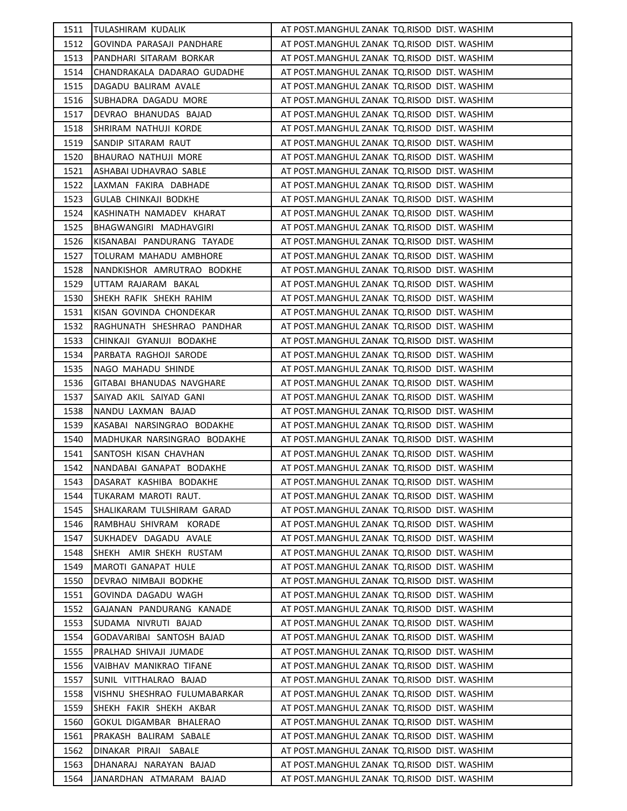| 1511 | TULASHIRAM KUDALIK           | AT POST.MANGHUL ZANAK TQ.RISOD DIST. WASHIM |
|------|------------------------------|---------------------------------------------|
| 1512 | GOVINDA PARASAJI PANDHARE    | AT POST.MANGHUL ZANAK TQ.RISOD DIST. WASHIM |
| 1513 | PANDHARI SITARAM BORKAR      | AT POST.MANGHUL ZANAK TQ.RISOD DIST. WASHIM |
| 1514 | CHANDRAKALA DADARAO GUDADHE  | AT POST.MANGHUL ZANAK TQ.RISOD DIST. WASHIM |
| 1515 | DAGADU BALIRAM AVALE         | AT POST.MANGHUL ZANAK TQ.RISOD DIST. WASHIM |
| 1516 | SUBHADRA DAGADU MORE         | AT POST.MANGHUL ZANAK TQ.RISOD DIST. WASHIM |
| 1517 | DEVRAO BHANUDAS BAJAD        | AT POST.MANGHUL ZANAK TQ.RISOD DIST. WASHIM |
| 1518 | SHRIRAM NATHUJI KORDE        | AT POST.MANGHUL ZANAK TQ.RISOD DIST. WASHIM |
| 1519 | SANDIP SITARAM RAUT          | AT POST.MANGHUL ZANAK TQ.RISOD DIST. WASHIM |
| 1520 | BHAURAO NATHUJI MORE         | AT POST.MANGHUL ZANAK TQ.RISOD DIST. WASHIM |
| 1521 | ASHABAI UDHAVRAO SABLE       | AT POST.MANGHUL ZANAK TQ.RISOD DIST. WASHIM |
| 1522 | LAXMAN FAKIRA DABHADE        | AT POST.MANGHUL ZANAK TQ.RISOD DIST. WASHIM |
| 1523 | <b>GULAB CHINKAJI BODKHE</b> | AT POST.MANGHUL ZANAK TQ.RISOD DIST. WASHIM |
| 1524 | KASHINATH NAMADEV KHARAT     | AT POST.MANGHUL ZANAK TQ.RISOD DIST. WASHIM |
| 1525 | BHAGWANGIRI MADHAVGIRI       | AT POST.MANGHUL ZANAK TQ.RISOD DIST. WASHIM |
| 1526 | KISANABAI PANDURANG TAYADE   | AT POST.MANGHUL ZANAK TQ.RISOD DIST. WASHIM |
| 1527 | TOLURAM MAHADU AMBHORE       | AT POST.MANGHUL ZANAK TQ.RISOD DIST. WASHIM |
| 1528 | NANDKISHOR AMRUTRAO BODKHE   | AT POST.MANGHUL ZANAK TQ.RISOD DIST. WASHIM |
| 1529 | UTTAM RAJARAM BAKAL          | AT POST.MANGHUL ZANAK TQ.RISOD DIST. WASHIM |
| 1530 | SHEKH RAFIK SHEKH RAHIM      | AT POST.MANGHUL ZANAK TQ.RISOD DIST. WASHIM |
| 1531 | KISAN GOVINDA CHONDEKAR      | AT POST.MANGHUL ZANAK TQ.RISOD DIST. WASHIM |
| 1532 | RAGHUNATH SHESHRAO PANDHAR   | AT POST.MANGHUL ZANAK TQ.RISOD DIST. WASHIM |
| 1533 | CHINKAJI GYANUJI BODAKHE     | AT POST.MANGHUL ZANAK TQ.RISOD DIST. WASHIM |
| 1534 | PARBATA RAGHOJI SARODE       | AT POST.MANGHUL ZANAK TQ.RISOD DIST. WASHIM |
| 1535 | NAGO MAHADU SHINDE           | AT POST.MANGHUL ZANAK TQ.RISOD DIST. WASHIM |
| 1536 | GITABAI BHANUDAS NAVGHARE    | AT POST.MANGHUL ZANAK TQ.RISOD DIST. WASHIM |
| 1537 | SAIYAD AKIL SAIYAD GANI      | AT POST.MANGHUL ZANAK TQ.RISOD DIST. WASHIM |
| 1538 | NANDU LAXMAN BAJAD           | AT POST.MANGHUL ZANAK TQ.RISOD DIST. WASHIM |
| 1539 | KASABAI NARSINGRAO BODAKHE   | AT POST.MANGHUL ZANAK TQ.RISOD DIST. WASHIM |
| 1540 | MADHUKAR NARSINGRAO BODAKHE  | AT POST.MANGHUL ZANAK TQ.RISOD DIST. WASHIM |
| 1541 | SANTOSH KISAN CHAVHAN        | AT POST.MANGHUL ZANAK TQ.RISOD DIST. WASHIM |
| 1542 | NANDABAI GANAPAT BODAKHE     | AT POST.MANGHUL ZANAK TQ.RISOD DIST. WASHIM |
| 1543 | DASARAT KASHIBA BODAKHE      | AT POST.MANGHUL ZANAK TQ.RISOD DIST. WASHIM |
| 1544 | TUKARAM MAROTI RAUT.         | AT POST.MANGHUL ZANAK TQ.RISOD DIST. WASHIM |
| 1545 | SHALIKARAM TULSHIRAM GARAD   | AT POST.MANGHUL ZANAK TQ.RISOD DIST. WASHIM |
| 1546 | RAMBHAU SHIVRAM KORADE       | AT POST.MANGHUL ZANAK TQ.RISOD DIST. WASHIM |
| 1547 | SUKHADEV DAGADU AVALE        | AT POST.MANGHUL ZANAK TQ.RISOD DIST. WASHIM |
| 1548 | SHEKH AMIR SHEKH RUSTAM      | AT POST.MANGHUL ZANAK TQ.RISOD DIST. WASHIM |
| 1549 | MAROTI GANAPAT HULE          | AT POST.MANGHUL ZANAK TQ.RISOD DIST. WASHIM |
| 1550 | DEVRAO NIMBAJI BODKHE        | AT POST.MANGHUL ZANAK TQ.RISOD DIST. WASHIM |
| 1551 | GOVINDA DAGADU WAGH          | AT POST.MANGHUL ZANAK TQ.RISOD DIST. WASHIM |
| 1552 | GAJANAN PANDURANG KANADE     | AT POST.MANGHUL ZANAK TQ.RISOD DIST. WASHIM |
| 1553 | SUDAMA NIVRUTI BAJAD         | AT POST.MANGHUL ZANAK TQ.RISOD DIST. WASHIM |
| 1554 | GODAVARIBAI SANTOSH BAJAD    | AT POST.MANGHUL ZANAK TQ.RISOD DIST. WASHIM |
| 1555 | PRALHAD SHIVAJI JUMADE       | AT POST.MANGHUL ZANAK TQ.RISOD DIST. WASHIM |
| 1556 | VAIBHAV MANIKRAO TIFANE      | AT POST.MANGHUL ZANAK TQ.RISOD DIST. WASHIM |
| 1557 | SUNIL VITTHALRAO BAJAD       | AT POST.MANGHUL ZANAK TQ.RISOD DIST. WASHIM |
| 1558 | VISHNU SHESHRAO FULUMABARKAR | AT POST.MANGHUL ZANAK TQ.RISOD DIST. WASHIM |
| 1559 | SHEKH FAKIR SHEKH AKBAR      | AT POST.MANGHUL ZANAK TQ.RISOD DIST. WASHIM |
| 1560 | GOKUL DIGAMBAR BHALERAO      | AT POST.MANGHUL ZANAK TQ.RISOD DIST. WASHIM |
| 1561 | PRAKASH BALIRAM SABALE       | AT POST.MANGHUL ZANAK TQ.RISOD DIST. WASHIM |
| 1562 | DINAKAR PIRAJI SABALE        | AT POST.MANGHUL ZANAK TQ.RISOD DIST. WASHIM |
| 1563 | DHANARAJ NARAYAN BAJAD       | AT POST.MANGHUL ZANAK TQ.RISOD DIST. WASHIM |
| 1564 | JANARDHAN ATMARAM BAJAD      | AT POST.MANGHUL ZANAK TQ.RISOD DIST. WASHIM |